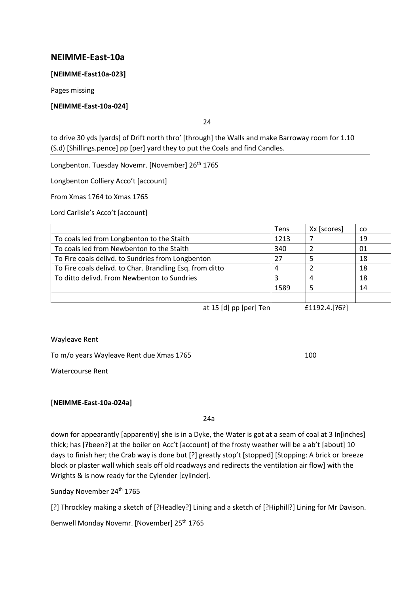# **NEIMME-East-10a**

### **[NEIMME-East10a-023]**

Pages missing

### **[NEIMME-East-10a-024]**

24

to drive 30 yds [yards] of Drift north thro' [through] the Walls and make Barroway room for 1.10 (S.d) [Shillings.pence] pp [per] yard they to put the Coals and find Candles.

Longbenton. Tuesday Novemr. [November] 26<sup>th</sup> 1765

Longbenton Colliery Acco't [account]

From Xmas 1764 to Xmas 1765

Lord Carlisle's Acco't [account]

|                                                          | <b>Tens</b> | Xx [scores] | CO. |
|----------------------------------------------------------|-------------|-------------|-----|
| To coals led from Longbenton to the Staith               | 1213        |             | 19  |
| To coals led from Newbenton to the Staith                | 340         |             | 01  |
| To Fire coals delivd. to Sundries from Longbenton        | 27          |             | 18  |
| To Fire coals delivd. to Char. Brandling Esq. from ditto | 4           |             | 18  |
| To ditto delivd. From Newbenton to Sundries              | 3           |             | 18  |
|                                                          | 1589        |             | 14  |
|                                                          |             |             |     |
| $\sim$ $\sim$ $\sim$ $\sim$ $\sim$ $\sim$                |             |             |     |

at 15 [d] pp [per] Ten £1192.4.[?6?]

### Wayleave Rent

To m/o years Wayleave Rent due Xmas 1765 100

Watercourse Rent

### **[NEIMME-East-10a-024a]**

24a

down for appearantly [apparently] she is in a Dyke, the Water is got at a seam of coal at 3 In[inches] thick; has [?been?] at the boiler on Acc't [account] of the frosty weather will be a ab't [about] 10 days to finish her; the Crab way is done but [?] greatly stop't [stopped] [Stopping: A brick or breeze block or plaster wall which seals off old roadways and redirects the ventilation air flow] with the Wrights & is now ready for the Cylender [cylinder].

Sunday November 24<sup>th</sup> 1765

[?] Throckley making a sketch of [?Headley?] Lining and a sketch of [?Hiphill?] Lining for Mr Davison.

Benwell Monday Novemr. [November] 25<sup>th</sup> 1765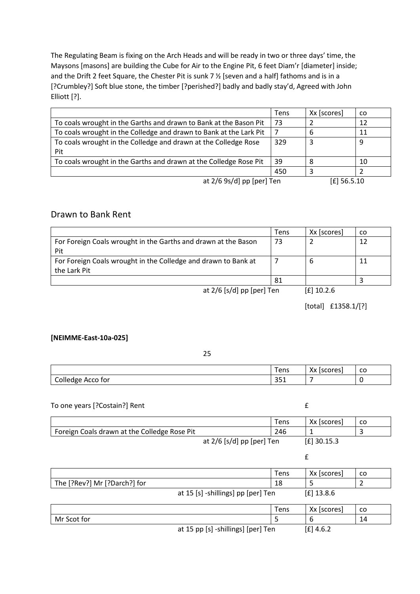The Regulating Beam is fixing on the Arch Heads and will be ready in two or three days' time, the Maysons [masons] are building the Cube for Air to the Engine Pit, 6 feet Diam'r [diameter] inside; and the Drift 2 feet Square, the Chester Pit is sunk 7 ½ [seven and a half] fathoms and is in a [?Crumbley?] Soft blue stone, the timber [?perished?] badly and badly stay'd, Agreed with John Elliott [?].

|                                                                    | Tens | Xx [scores] | CO. |
|--------------------------------------------------------------------|------|-------------|-----|
| To coals wrought in the Garths and drawn to Bank at the Bason Pit  | 73   |             | 12  |
| To coals wrought in the Colledge and drawn to Bank at the Lark Pit |      | 6           | 11  |
| To coals wrought in the Colledge and drawn at the Colledge Rose    | 329  | 3           | 9   |
| Pit                                                                |      |             |     |
| To coals wrought in the Garths and drawn at the Colledge Rose Pit  | 39   | 8           | 10  |
|                                                                    | 450  |             |     |
| at $2/6$ 9s/d] pp [per] Ten                                        |      | $E$ 56.5.10 |     |

# Drawn to Bank Rent

|                                                                | Tens | Xx [scores]                 | CO. |
|----------------------------------------------------------------|------|-----------------------------|-----|
| For Foreign Coals wrought in the Garths and drawn at the Bason | 73   |                             | 12  |
| Pit                                                            |      |                             |     |
| For Foreign Coals wrought in the Colledge and drawn to Bank at |      |                             |     |
| the Lark Pit                                                   |      |                             |     |
|                                                                | 81   |                             |     |
|                                                                |      | $\sim$ $\sim$ $\sim$ $\sim$ |     |

at 2/6 [s/d] pp [per] Ten [£] 10.2.6

[total] £1358.1/[?]

### **[NEIMME-East-10a-025]**

| ٠<br>. .<br>I |
|---------------|
| ۰.<br>×       |

|                   | Tens            | $\mathsf{v}$<br><i><b>Iccorps</b></i><br>19601<br>, , ,<br>ີ | co |
|-------------------|-----------------|--------------------------------------------------------------|----|
| Colledge Acco for | $\cap$<br>ـ ر ب |                                                              |    |

### To one years [?Costain?] Rent **Exercise 2**

|                                              |                             | Tens | Xx [scores]   | CO. |
|----------------------------------------------|-----------------------------|------|---------------|-----|
| Foreign Coals drawn at the Colledge Rose Pit |                             | 246  |               |     |
|                                              | at $2/6$ [s/d] pp [per] Ten |      | $[£]$ 30.15.3 |     |

|                              |                                    | Tens | Xx [scores]  | co |
|------------------------------|------------------------------------|------|--------------|----|
| The [?Rev?] Mr [?Darch?] for |                                    | 18   |              |    |
|                              | at 15 [s] -shillings] pp [per] Ten |      | $[£]$ 13.8.6 |    |
|                              |                                    |      |              |    |
|                              |                                    | Tens | Xx [scores]  | co |
| Mr Scot for                  |                                    |      |              | 14 |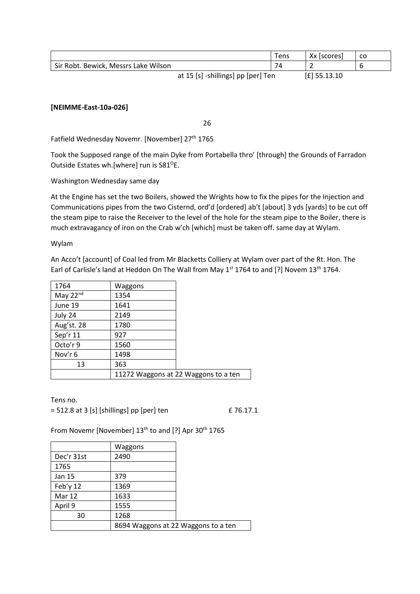|                                      | Tens                               | Xx [scores] | <b>CO</b> |
|--------------------------------------|------------------------------------|-------------|-----------|
| Sir Robt. Bewick, Messrs Lake Wilson | 74                                 |             |           |
|                                      | at 15 [s] -shillings] pp [per] Ten |             |           |

### **[NEIMME-East-10a-026]**

26

Fatfield Wednesday Novemr. [November] 27<sup>th</sup> 1765

Took the Supposed range of the main Dyke from Portabella thro' [through] the Grounds of Farradon Outside Estates wh.[where] run is S81<sup>o</sup>E.

Washington Wednesday same day

At the Engine has set the two Boilers, showed the Wrights how to fix the pipes for the Injection and Communications pipes from the two Cisternd, ord'd [ordered] ab't [about] 3 yds [yards] to be cut off the steam pipe to raise the Receiver to the level of the hole for the steam pipe to the Boiler, there is much extravagancy of iron on the Crab w'ch [which] must be taken off. same day at Wylam.

Wylam

An Acco't [account] of Coal led from Mr Blacketts Colliery at Wylam over part of the Rt. Hon. The Earl of Carlisle's land at Heddon On The Wall from May 1<sup>st</sup> 1764 to and [?] Novem 13<sup>th</sup> 1764.

| 1764       | Waggons |                                      |
|------------|---------|--------------------------------------|
| May 22nd   | 1354    |                                      |
| June 19    | 1641    |                                      |
| July 24    | 2149    |                                      |
| Aug'st. 28 | 1780    |                                      |
| Sep'r 11   | 927     |                                      |
| Octo'r 9   | 1560    |                                      |
| Nov'r 6    | 1498    |                                      |
| 13         | 363     |                                      |
|            |         | 11272 Waggons at 22 Waggons to a ten |
|            |         |                                      |

Tens no.

 $= 512.8$  at 3 [s] [shillings] pp [per] ten  $\qquad 276.17.1$ 

From Novemr [November] 13<sup>th</sup> to and [?] Apr 30<sup>th</sup> 1765

|            | Waggons                             |  |
|------------|-------------------------------------|--|
| Dec'r 31st | 2490                                |  |
| 1765       |                                     |  |
| Jan 15     | 379                                 |  |
| Feb'y 12   | 1369                                |  |
| Mar 12     | 1633                                |  |
| April 9    | 1555                                |  |
| 30         | 1268                                |  |
|            | 8694 Waggons at 22 Waggons to a ten |  |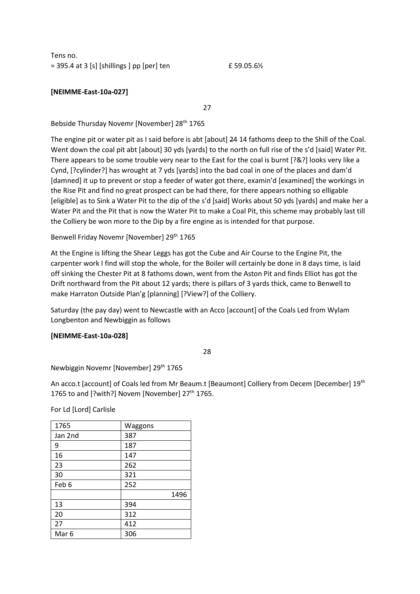Tens no.  $= 395.4$  at 3 [s] [shillings ] pp [per] ten  $\pmb{\text{f}}$  59.05.6%

# **[NEIMME-East-10a-027]**

27

Bebside Thursday Novemr [November] 28<sup>th</sup> 1765

The engine pit or water pit as I said before is abt [about] 24 14 fathoms deep to the Shill of the Coal. Went down the coal pit abt [about] 30 yds [yards] to the north on full rise of the s'd [said] Water Pit. There appears to be some trouble very near to the East for the coal is burnt [?&?] looks very like a Cynd, [?cylinder?] has wrought at 7 yds [yards] into the bad coal in one of the places and dam'd [damned] it up to prevent or stop a feeder of water got there, examin'd [examined] the workings in the Rise Pit and find no great prospect can be had there, for there appears nothing so elligable [eligible] as to Sink a Water Pit to the dip of the s'd [said] Works about 50 yds [yards] and make her a Water Pit and the Pit that is now the Water Pit to make a Coal Pit, this scheme may probably last till the Colliery be won more to the Dip by a fire engine as is intended for that purpose.

Benwell Friday Novemr [November] 29<sup>th</sup> 1765

At the Engine is lifting the Shear Leggs has got the Cube and Air Course to the Engine Pit, the carpenter work I find will stop the whole, for the Boiler will certainly be done in 8 days time, is laid off sinking the Chester Pit at 8 fathoms down, went from the Aston Pit and finds Elliot has got the Drift northward from the Pit about 12 yards; there is pillars of 3 yards thick, came to Benwell to make Harraton Outside Plan'g [planning] [?View?] of the Colliery.

Saturday (the pay day) went to Newcastle with an Acco [account] of the Coals Led from Wylam Longbenton and Newbiggin as follows

### **[NEIMME-East-10a-028]**

28

Newbiggin Novemr [November] 29th 1765

An acco.t [account] of Coals led from Mr Beaum.t [Beaumont] Colliery from Decem [December] 19<sup>th</sup> 1765 to and [?with?] Novem [November]  $27<sup>th</sup>$  1765.

For Ld [Lord] Carlisle

| 1765             | Waggons |
|------------------|---------|
| Jan 2nd          | 387     |
| 9                | 187     |
| 16               | 147     |
| 23               | 262     |
| 30               | 321     |
| Feb 6            | 252     |
|                  | 1496    |
| 13               | 394     |
| 20               | 312     |
| 27               | 412     |
| Mar <sub>6</sub> | 306     |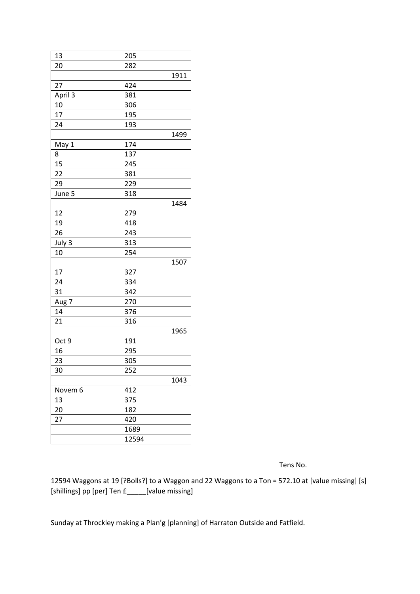| 13<br>205<br>20<br>282<br>1911<br>27<br>424 |
|---------------------------------------------|
|                                             |
|                                             |
|                                             |
|                                             |
| April 3<br>381                              |
| 10<br>306                                   |
| 17<br>195                                   |
| 24<br>193                                   |
| 1499                                        |
| 174<br>May 1                                |
| 8<br>137                                    |
| 15<br>245                                   |
| 22<br>381                                   |
| 29<br>229                                   |
| June 5<br>318                               |
| 1484                                        |
| 12<br>279                                   |
| 19<br>418                                   |
| 26<br>243                                   |
| 313<br>July 3                               |
| 254<br>10                                   |
| 1507                                        |
| 17<br>327                                   |
| 24<br>334                                   |
| 31<br>342                                   |
| 270<br>Aug 7                                |
| 14<br>376                                   |
| 21<br>316                                   |
| 1965                                        |
| 191<br>Oct 9                                |
| 16<br>295                                   |
| $\overline{2}3$<br>305                      |
|                                             |
|                                             |
| 252<br>30                                   |
| 1043                                        |
| 412<br>Novem 6                              |
| 13<br>375                                   |
| 20<br>182                                   |
| 27<br>420<br>1689                           |

Tens No.

12594 Waggons at 19 [?Bolls?] to a Waggon and 22 Waggons to a Ton = 572.10 at [value missing] [s] [shillings] pp [per] Ten £\_\_\_\_\_[value missing]

Sunday at Throckley making a Plan'g [planning] of Harraton Outside and Fatfield.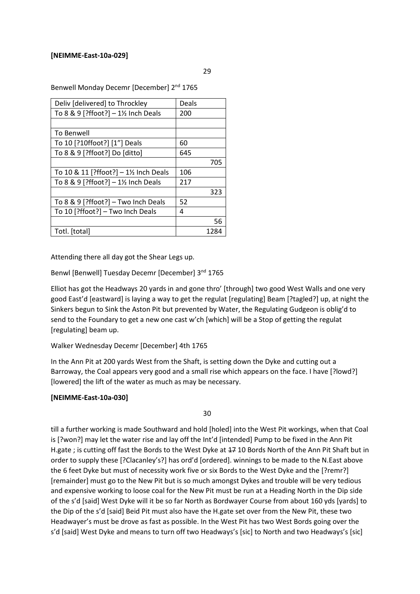### **[NEIMME-East-10a-029]**

29

Benwell Monday Decemr [December] 2<sup>nd</sup> 1765

| Deliv [delivered] to Throckley                | Deals |      |
|-----------------------------------------------|-------|------|
| To 8 & 9 [?ffoot?] - 1½ Inch Deals            | 200   |      |
|                                               |       |      |
| To Benwell                                    |       |      |
| To 10 [?10ffoot?] [1"] Deals                  | 60    |      |
| To 8 & 9 [?ffoot?] Do [ditto]                 | 645   |      |
|                                               |       | 705  |
| To 10 & 11 [?ffoot?] - 1½ Inch Deals          | 106   |      |
| To 8 & 9 [?ffoot?] $-1\frac{1}{2}$ Inch Deals | 217   |      |
|                                               |       | 323  |
| To $8 \& 9$ [?ffoot?] - Two Inch Deals        | 52    |      |
| To 10 [?ffoot?] - Two Inch Deals              | 4     |      |
|                                               |       | 56   |
| Totl. [total]                                 |       | 1284 |

Attending there all day got the Shear Legs up.

Benwl [Benwell] Tuesday Decemr [December] 3<sup>nd</sup> 1765

Elliot has got the Headways 20 yards in and gone thro' [through] two good West Walls and one very good East'd [eastward] is laying a way to get the regulat [regulating] Beam [?tagled?] up, at night the Sinkers begun to Sink the Aston Pit but prevented by Water, the Regulating Gudgeon is oblig'd to send to the Foundary to get a new one cast w'ch [which] will be a Stop of getting the regulat [regulating] beam up.

Walker Wednesday Decemr [December] 4th 1765

In the Ann Pit at 200 yards West from the Shaft, is setting down the Dyke and cutting out a Barroway, the Coal appears very good and a small rise which appears on the face. I have [?lowd?] [lowered] the lift of the water as much as may be necessary.

# **[NEIMME-East-10a-030]**

30

till a further working is made Southward and hold [holed] into the West Pit workings, when that Coal is [?won?] may let the water rise and lay off the Int'd [intended] Pump to be fixed in the Ann Pit H.gate ; is cutting off fast the Bords to the West Dyke at  $47$  10 Bords North of the Ann Pit Shaft but in order to supply these [?Clacanley's?] has ord'd [ordered]. winnings to be made to the N.East above the 6 feet Dyke but must of necessity work five or six Bords to the West Dyke and the [?remr?] [remainder] must go to the New Pit but is so much amongst Dykes and trouble will be very tedious and expensive working to loose coal for the New Pit must be run at a Heading North in the Dip side of the s'd [said] West Dyke will it be so far North as Bordwayer Course from about 160 yds [yards] to the Dip of the s'd [said] Beid Pit must also have the H.gate set over from the New Pit, these two Headwayer's must be drove as fast as possible. In the West Pit has two West Bords going over the s'd [said] West Dyke and means to turn off two Headways's [sic] to North and two Headways's [sic]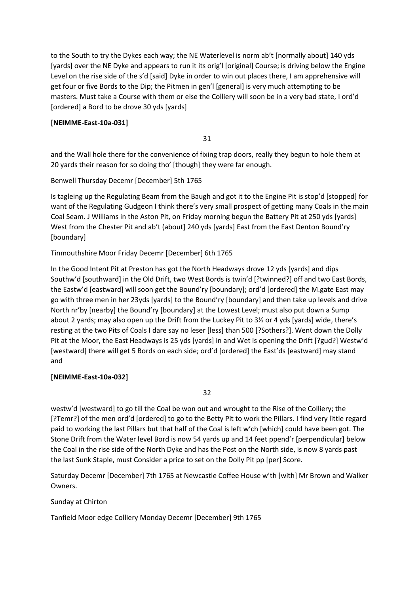to the South to try the Dykes each way; the NE Waterlevel is norm ab't [normally about] 140 yds [yards] over the NE Dyke and appears to run it its orig'l [original] Course; is driving below the Engine Level on the rise side of the s'd [said] Dyke in order to win out places there, I am apprehensive will get four or five Bords to the Dip; the Pitmen in gen'l [general] is very much attempting to be masters. Must take a Course with them or else the Colliery will soon be in a very bad state, I ord'd [ordered] a Bord to be drove 30 yds [yards]

# **[NEIMME-East-10a-031]**

31

and the Wall hole there for the convenience of fixing trap doors, really they begun to hole them at 20 yards their reason for so doing tho' [though] they were far enough.

Benwell Thursday Decemr [December] 5th 1765

Is tagleing up the Regulating Beam from the Baugh and got it to the Engine Pit is stop'd [stopped] for want of the Regulating Gudgeon I think there's very small prospect of getting many Coals in the main Coal Seam. J Williams in the Aston Pit, on Friday morning begun the Battery Pit at 250 yds [yards] West from the Chester Pit and ab't (about] 240 yds [yards] East from the East Denton Bound'ry [boundary]

Tinmouthshire Moor Friday Decemr [December] 6th 1765

In the Good Intent Pit at Preston has got the North Headways drove 12 yds [yards] and dips Southw'd [southward] in the Old Drift, two West Bords is twin'd [?twinned?] off and two East Bords, the Eastw'd [eastward] will soon get the Bound'ry [boundary]; ord'd [ordered] the M.gate East may go with three men in her 23yds [yards] to the Bound'ry [boundary] and then take up levels and drive North nr'by [nearby] the Bound'ry [boundary] at the Lowest Level; must also put down a Sump about 2 yards; may also open up the Drift from the Luckey Pit to 3½ or 4 yds [yards] wide, there's resting at the two Pits of Coals I dare say no leser [less] than 500 [?Sothers?]. Went down the Dolly Pit at the Moor, the East Headways is 25 yds [yards] in and Wet is opening the Drift [?gud?] Westw'd [westward] there will get 5 Bords on each side; ord'd [ordered] the East'ds [eastward] may stand and

# **[NEIMME-East-10a-032]**

32

westw'd [westward] to go till the Coal be won out and wrought to the Rise of the Colliery; the [?Temr?] of the men ord'd [ordered] to go to the Betty Pit to work the Pillars. I find very little regard paid to working the last Pillars but that half of the Coal is left w'ch [which] could have been got. The Stone Drift from the Water level Bord is now 54 yards up and 14 feet ppend'r [perpendicular] below the Coal in the rise side of the North Dyke and has the Post on the North side, is now 8 yards past the last Sunk Staple, must Consider a price to set on the Dolly Pit pp [per] Score.

Saturday Decemr [December] 7th 1765 at Newcastle Coffee House w'th [with] Mr Brown and Walker Owners.

Sunday at Chirton

Tanfield Moor edge Colliery Monday Decemr [December] 9th 1765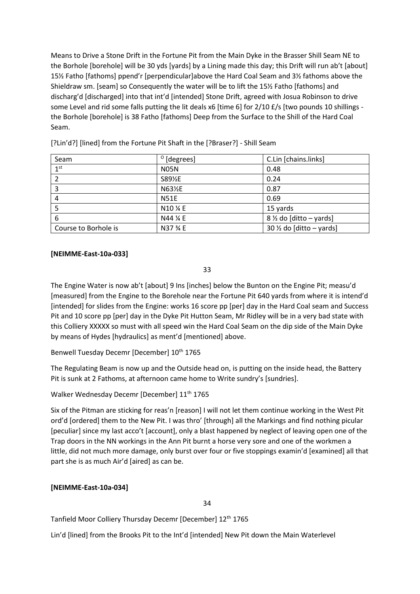Means to Drive a Stone Drift in the Fortune Pit from the Main Dyke in the Brasser Shill Seam NE to the Borhole [borehole] will be 30 yds [yards] by a Lining made this day; this Drift will run ab't [about] 15½ Fatho [fathoms] ppend'r [perpendicular]above the Hard Coal Seam and 3½ fathoms above the Shieldraw sm. [seam] so Consequently the water will be to lift the 15½ Fatho [fathoms] and discharg'd [discharged] into that int'd [intended] Stone Drift, agreed with Josua Robinson to drive some Level and rid some falls putting the lit deals x6 [time 6] for 2/10 £/s [two pounds 10 shillings the Borhole [borehole] is 38 Fatho [fathoms] Deep from the Surface to the Shill of the Hard Coal Seam.

| Seam                 | $^{\circ}$ [degrees] | C.Lin [chains.links]                |
|----------------------|----------------------|-------------------------------------|
| 1 <sup>st</sup>      | <b>N05N</b>          | 0.48                                |
|                      | S89½E                | 0.24                                |
| 3                    | N63½E                | 0.87                                |
| 4                    | <b>N51E</b>          | 0.69                                |
|                      | N10 % E              | 15 yards                            |
| 6                    | N44 % E              | $8\frac{1}{2}$ do [ditto – yards]   |
| Course to Borhole is | N37 % E              | 30 $\frac{1}{2}$ do [ditto – yards] |

[?Lin'd?] [lined] from the Fortune Pit Shaft in the [?Braser?] - Shill Seam

# **[NEIMME-East-10a-033]**

33

The Engine Water is now ab't [about] 9 Ins [inches] below the Bunton on the Engine Pit; measu'd [measured] from the Engine to the Borehole near the Fortune Pit 640 yards from where it is intend'd [intended] for slides from the Engine: works 16 score pp [per] day in the Hard Coal seam and Success Pit and 10 score pp [per] day in the Dyke Pit Hutton Seam, Mr Ridley will be in a very bad state with this Colliery XXXXX so must with all speed win the Hard Coal Seam on the dip side of the Main Dyke by means of Hydes [hydraulics] as ment'd [mentioned] above.

Benwell Tuesday Decemr [December] 10<sup>th</sup> 1765

The Regulating Beam is now up and the Outside head on, is putting on the inside head, the Battery Pit is sunk at 2 Fathoms, at afternoon came home to Write sundry's [sundries].

Walker Wednesday Decemr [December] 11<sup>th</sup> 1765

Six of the Pitman are sticking for reas'n [reason] I will not let them continue working in the West Pit ord'd [ordered] them to the New Pit. I was thro' [through] all the Markings and find nothing picular [peculiar] since my last acco't [account], only a blast happened by neglect of leaving open one of the Trap doors in the NN workings in the Ann Pit burnt a horse very sore and one of the workmen a little, did not much more damage, only burst over four or five stoppings examin'd [examined] all that part she is as much Air'd [aired] as can be.

# **[NEIMME-East-10a-034]**

34

Tanfield Moor Colliery Thursday Decemr [December] 12th 1765

Lin'd [lined] from the Brooks Pit to the Int'd [intended] New Pit down the Main Waterlevel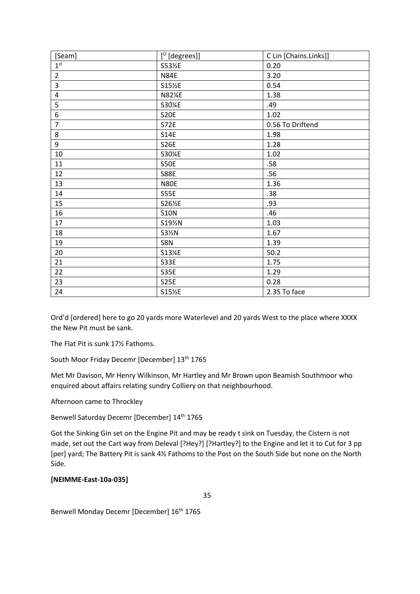| [Seam]          | $[°$ [degrees]] | C Lin [Chains.Links]] |
|-----------------|-----------------|-----------------------|
| 1 <sup>st</sup> | S53½E           | 0.20                  |
| $\overline{2}$  | <b>N84E</b>     | 3.20                  |
| 3               | S15½E           | 0.54                  |
| $\overline{4}$  | N82¼E           | 1.38                  |
| 5               | S30%E           | .49                   |
| 6               | S20E            | 1.02                  |
| $\overline{7}$  | S72E            | 0.56 To Driftend      |
| 8               | <b>S14E</b>     | 1.98                  |
| 9               | <b>S26E</b>     | 1.28                  |
| 10              | S30%E           | 1.02                  |
| 11              | <b>S50E</b>     | .58                   |
| 12              | <b>S88E</b>     | .56                   |
| 13              | <b>N80E</b>     | 1.36                  |
| 14              | <b>S55E</b>     | .38                   |
| 15              | S26½E           | .93                   |
| 16              | <b>S10N</b>     | .46                   |
| 17              | S191%N          | 1.03                  |
| 18              | S31%N           | 1.67                  |
| 19              | S8N             | 1.39                  |
| 20              | S13%E           | 50.2                  |
| 21              | S33E            | 1.75                  |
| 22              | <b>S35E</b>     | 1.29                  |
| 23              | <b>S25E</b>     | 0.28                  |
| 24              | S15½E           | 2.35 To face          |

Ord'd [ordered] here to go 20 yards more Waterlevel and 20 yards West to the place where XXXX the New Pit must be sank.

The Flat Pit is sunk 17½ Fathoms.

South Moor Friday Decemr [December] 13<sup>th</sup> 1765

Met Mr Davison, Mr Henry Wilkinson, Mr Hartley and Mr Brown upon Beamish Southmoor who enquired about affairs relating sundry Colliery on that neighbourhood.

Afternoon came to Throckley

Benwell Saturday Decemr [December] 14<sup>th</sup> 1765

Got the Sinking Gin set on the Engine Pit and may be ready t sink on Tuesday, the Cistern is not made, set out the Cart way from Deleval [?Hey?] [?Hartley?] to the Engine and let it to Cut for 3 pp [per] yard; The Battery Pit is sank 4½ Fathoms to the Post on the South Side but none on the North Side.

# **[NEIMME-East-10a-035]**

35

Benwell Monday Decemr [December] 16<sup>th</sup> 1765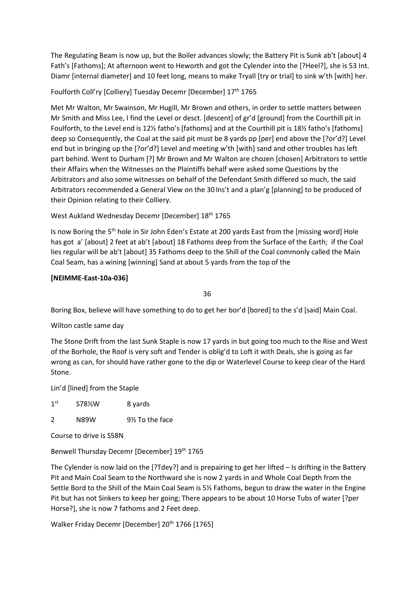The Regulating Beam is now up, but the Boiler advances slowly; the Battery Pit is Sunk ab't [about] 4 Fath's [Fathoms]; At afternoon went to Heworth and got the Cylender into the [?Heel?], she is 53 Int. Diamr [internal diameter] and 10 feet long, means to make Tryall [try or trial] to sink w'th [with] her.

# Foulforth Coll'ry [Colliery] Tuesday Decemr [December] 17<sup>th</sup> 1765

Met Mr Walton, Mr Swainson, Mr Hugill, Mr Brown and others, in order to settle matters between Mr Smith and Miss Lee, I find the Level or desct. [descent] of gr'd [ground] from the Courthill pit in Foulforth, to the Level end is 12½ fatho's [fathoms] and at the Courthill pit is 18½ fatho's [fathoms] deep so Consequently, the Coal at the said pit must be 8 yards pp [per] end above the [?or'd?] Level end but in bringing up the [?or'd?] Level and meeting w'th [with] sand and other troubles has left part behind. Went to Durham [?] Mr Brown and Mr Walton are chozen [chosen] Arbitrators to settle their Affairs when the Witnesses on the Plaintiffs behalf were asked some Questions by the Arbitrators and also some witnesses on behalf of the Defendant Smith differed so much, the said Arbitrators recommended a General View on the 30 Ins't and a plan'g [planning] to be produced of their Opinion relating to their Colliery.

# West Aukland Wednesday Decemr [December] 18th 1765

Is now Boring the 5<sup>th</sup> hole in Sir John Eden's Estate at 200 yards East from the [missing word] Hole has got a' [about] 2 feet at ab't [about] 18 Fathoms deep from the Surface of the Earth; if the Coal lies regular will be ab't [about] 35 Fathoms deep to the Shill of the Coal commonly called the Main Coal Seam, has a wining [winning] Sand at about 5 yards from the top of the

# **[NEIMME-East-10a-036]**

36

Boring Box, believe will have something to do to get her bor'd [bored] to the s'd [said] Main Coal.

# Wilton castle same day

The Stone Drift from the last Sunk Staple is now 17 yards in but going too much to the Rise and West of the Borhole, the Roof is very soft and Tender is oblig'd to Loft it with Deals, she is going as far wrong as can, for should have rather gone to the dip or Waterlevel Course to keep clear of the Hard Stone.

Lin'd [lined] from the Staple

 $1<sup>st</sup>$ S78½W 8 yards

2 N89W 9½ To the face

Course to drive is S58N

Benwell Thursday Decemr [December] 19<sup>th</sup> 1765

The Cylender is now laid on the [?Tdey?] and is prepairing to get her lifted – Is drifting in the Battery Pit and Main Coal Seam to the Northward she is now 2 yards in and Whole Coal Depth from the Settle Bord to the Shill of the Main Coal Seam is 5½ Fathoms, begun to draw the water in the Engine Pit but has not Sinkers to keep her going; There appears to be about 10 Horse Tubs of water [?per Horse?], she is now 7 fathoms and 2 Feet deep.

Walker Friday Decemr [December] 20<sup>th</sup> 1766 [1765]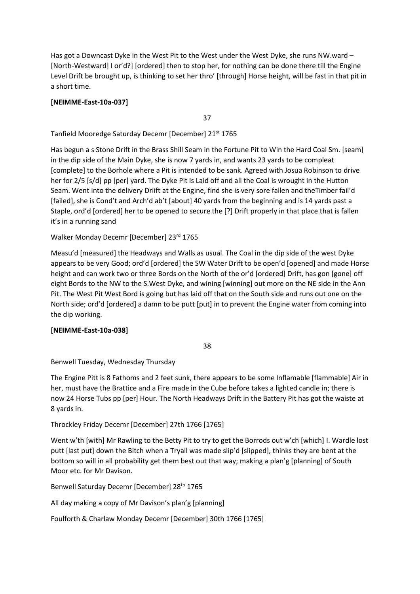Has got a Downcast Dyke in the West Pit to the West under the West Dyke, she runs NW ward – [North-Westward] I or'd?] [ordered] then to stop her, for nothing can be done there till the Engine Level Drift be brought up, is thinking to set her thro' [through] Horse height, will be fast in that pit in a short time.

# **[NEIMME-East-10a-037]**

37

Tanfield Mooredge Saturday Decemr [December] 21st 1765

Has begun a s Stone Drift in the Brass Shill Seam in the Fortune Pit to Win the Hard Coal Sm. [seam] in the dip side of the Main Dyke, she is now 7 yards in, and wants 23 yards to be compleat [complete] to the Borhole where a Pit is intended to be sank. Agreed with Josua Robinson to drive her for 2/5 [s/d] pp [per] yard. The Dyke Pit is Laid off and all the Coal is wrought in the Hutton Seam. Went into the delivery Driift at the Engine, find she is very sore fallen and theTimber fail'd [failed], she is Cond't and Arch'd ab't [about] 40 yards from the beginning and is 14 yards past a Staple, ord'd [ordered] her to be opened to secure the [?] Drift properly in that place that is fallen it's in a running sand

Walker Monday Decemr [December] 23rd 1765

Measu'd [measured] the Headways and Walls as usual. The Coal in the dip side of the west Dyke appears to be very Good; ord'd [ordered] the SW Water Drift to be open'd [opened] and made Horse height and can work two or three Bords on the North of the or'd [ordered] Drift, has gon [gone] off eight Bords to the NW to the S.West Dyke, and wining [winning] out more on the NE side in the Ann Pit. The West Pit West Bord is going but has laid off that on the South side and runs out one on the North side; ord'd [ordered] a damn to be putt [put] in to prevent the Engine water from coming into the dip working.

# **[NEIMME-East-10a-038]**

38

Benwell Tuesday, Wednesday Thursday

The Engine Pitt is 8 Fathoms and 2 feet sunk, there appears to be some Inflamable [flammable] Air in her, must have the Brattice and a Fire made in the Cube before takes a lighted candle in; there is now 24 Horse Tubs pp [per] Hour. The North Headways Drift in the Battery Pit has got the waiste at 8 yards in.

# Throckley Friday Decemr [December] 27th 1766 [1765]

Went w'th [with] Mr Rawling to the Betty Pit to try to get the Borrods out w'ch [which] I. Wardle lost putt [last put] down the Bitch when a Tryall was made slip'd [slipped], thinks they are bent at the bottom so will in all probability get them best out that way; making a plan'g [planning] of South Moor etc. for Mr Davison.

Benwell Saturday Decemr [December] 28<sup>th</sup> 1765

All day making a copy of Mr Davison's plan'g [planning]

Foulforth & Charlaw Monday Decemr [December] 30th 1766 [1765]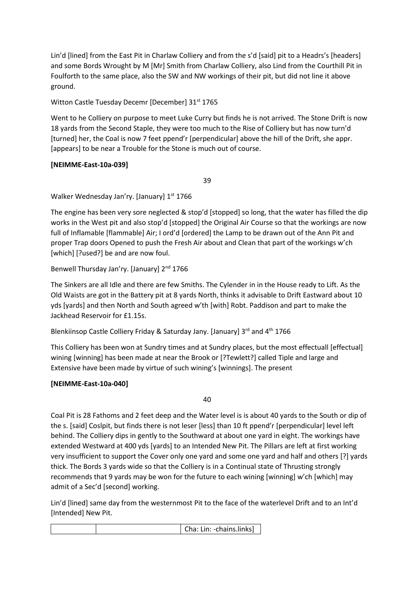Lin'd [lined] from the East Pit in Charlaw Colliery and from the s'd [said] pit to a Headrs's [headers] and some Bords Wrought by M [Mr] Smith from Charlaw Colliery, also Lind from the Courthill Pit in Foulforth to the same place, also the SW and NW workings of their pit, but did not line it above ground.

Witton Castle Tuesday Decemr [December] 31<sup>st</sup> 1765

Went to he Colliery on purpose to meet Luke Curry but finds he is not arrived. The Stone Drift is now 18 yards from the Second Staple, they were too much to the Rise of Colliery but has now turn'd [turned] her, the Coal is now 7 feet ppend'r [perpendicular] above the hill of the Drift, she appr. [appears] to be near a Trouble for the Stone is much out of course.

# **[NEIMME-East-10a-039]**

39

Walker Wednesday Jan'ry. [January] 1st 1766

The engine has been very sore neglected & stop'd [stopped] so long, that the water has filled the dip works in the West pit and also stop'd [stopped] the Original Air Course so that the workings are now full of Inflamable [flammable] Air; I ord'd [ordered] the Lamp to be drawn out of the Ann Pit and proper Trap doors Opened to push the Fresh Air about and Clean that part of the workings w'ch [which] [?used?] be and are now foul.

Benwell Thursday Jan'ry. [January] 2<sup>nd</sup> 1766

The Sinkers are all Idle and there are few Smiths. The Cylender in in the House ready to Lift. As the Old Waists are got in the Battery pit at 8 yards North, thinks it advisable to Drift Eastward about 10 yds [yards] and then North and South agreed w'th [with] Robt. Paddison and part to make the Jackhead Reservoir for £1.15s.

Blenkiinsop Castle Colliery Friday & Saturday Jany. [January]  $3^{rd}$  and  $4^{th}$  1766

This Colliery has been won at Sundry times and at Sundry places, but the most effectuall [effectual] wining [winning] has been made at near the Brook or [?Tewlett?] called Tiple and large and Extensive have been made by virtue of such wining's [winnings]. The present

# **[NEIMME-East-10a-040]**

40

Coal Pit is 28 Fathoms and 2 feet deep and the Water level is is about 40 yards to the South or dip of the s. [said] Coslpit, but finds there is not leser [less] than 10 ft ppend'r [perpendicular] level left behind. The Colliery dips in gently to the Southward at about one yard in eight. The workings have extended Westward at 400 yds [yards] to an Intended New Pit. The Pillars are left at first working very insufficient to support the Cover only one yard and some one yard and half and others [?] yards thick. The Bords 3 yards wide so that the Colliery is in a Continual state of Thrusting strongly recommends that 9 yards may be won for the future to each wining [winning] w'ch [which] may admit of a Sec'd [second] working.

Lin'd [lined] same day from the westernmost Pit to the face of the waterlevel Drift and to an Int'd [Intended] New Pit.

|  |  |  | Cha: Lin: -chains.links] |
|--|--|--|--------------------------|
|--|--|--|--------------------------|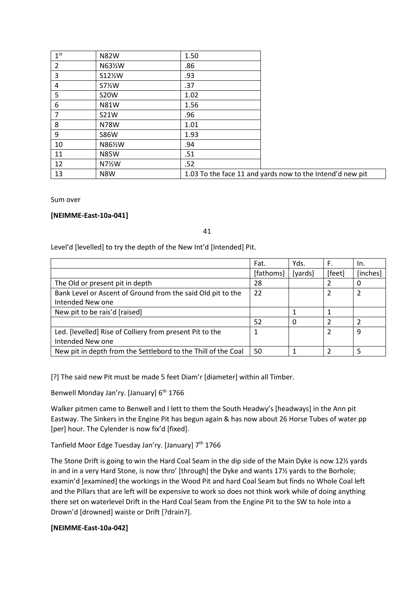| 1 <sup>st</sup> | <b>N82W</b> | 1.50 |                                                           |
|-----------------|-------------|------|-----------------------------------------------------------|
| $\overline{2}$  | N63½W       | .86  |                                                           |
| 3               | S121/2W     | .93  |                                                           |
| 4               | S71/2W      | .37  |                                                           |
| 5               | <b>S20W</b> | 1.02 |                                                           |
| 6               | <b>N81W</b> | 1.56 |                                                           |
| 7               | <b>S21W</b> | .96  |                                                           |
| 8               | N78W        | 1.01 |                                                           |
| 9               | <b>S86W</b> | 1.93 |                                                           |
| 10              | N86½W       | .94  |                                                           |
| 11              | <b>N85W</b> | .51  |                                                           |
| 12              | N7%W        | .52  |                                                           |
| 13              | N8W         |      | 1.03 To the face 11 and yards now to the Intend'd new pit |

Sum over

### **[NEIMME-East-10a-041]**

41

### Level'd [levelled] to try the depth of the New Int'd [Intended] Pit.

|                                                               | Fat.      | Yds.     | F.     | In.      |
|---------------------------------------------------------------|-----------|----------|--------|----------|
|                                                               | [fathoms] | [yards]  | [feet] | [inches] |
| The Old or present pit in depth                               | 28        |          | 2      | 0        |
| Bank Level or Ascent of Ground from the said Old pit to the   | 22        |          |        | 2        |
| Intended New one                                              |           |          |        |          |
| New pit to be rais'd [raised]                                 |           |          |        |          |
|                                                               | 52        | $\Omega$ |        |          |
| Led. [levelled] Rise of Colliery from present Pit to the      |           |          |        | 9        |
| Intended New one                                              |           |          |        |          |
| New pit in depth from the Settlebord to the Thill of the Coal | 50        |          |        | 5        |

[?] The said new Pit must be made 5 feet Diam'r [diameter] within all Timber.

Benwell Monday Jan'ry. [January] 6<sup>th</sup> 1766

Walker pitmen came to Benwell and I lett to them the South Headwy's [headways] in the Ann pit Eastway. The Sinkers in the Engine Pit has begun again & has now about 26 Horse Tubes of water pp [per] hour. The Cylender is now fix'd [fixed].

Tanfield Moor Edge Tuesday Jan'ry. [January] 7<sup>th</sup> 1766

The Stone Drift is going to win the Hard Coal Seam in the dip side of the Main Dyke is now 12½ yards in and in a very Hard Stone, is now thro' [through] the Dyke and wants 17½ yards to the Borhole; examin'd [examined] the workings in the Wood Pit and hard Coal Seam but finds no Whole Coal left and the Pillars that are left will be expensive to work so does not think work while of doing anything there set on waterlevel Drift in the Hard Coal Seam from the Engine Pit to the SW to hole into a Drown'd [drowned] waiste or Drift [?drain?].

### **[NEIMME-East-10a-042]**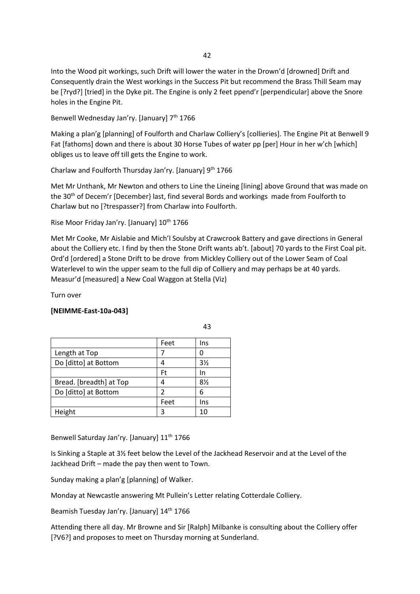Into the Wood pit workings, such Drift will lower the water in the Drown'd [drowned] Drift and Consequently drain the West workings in the Success Pit but recommend the Brass Thill Seam may be [?ryd?] [tried] in the Dyke pit. The Engine is only 2 feet ppend'r [perpendicular] above the Snore holes in the Engine Pit.

Benwell Wednesday Jan'ry. [January] 7<sup>th</sup> 1766

Making a plan'g [planning] of Foulforth and Charlaw Colliery's [collieries]. The Engine Pit at Benwell 9 Fat [fathoms] down and there is about 30 Horse Tubes of water pp [per] Hour in her w'ch [which] obliges us to leave off till gets the Engine to work.

Charlaw and Foulforth Thursday Jan'ry. [January] 9<sup>th</sup> 1766

Met Mr Unthank, Mr Newton and others to Line the Lineing [lining] above Ground that was made on the 30<sup>th</sup> of Decem'r [December] last, find several Bords and workings made from Foulforth to Charlaw but no [?trespasser?] from Charlaw into Foulforth.

Rise Moor Friday Jan'ry. [January] 10<sup>th</sup> 1766

Met Mr Cooke, Mr Aislabie and Mich'l Soulsby at Crawcrook Battery and gave directions in General about the Colliery etc. I find by then the Stone Drift wants ab't. [about] 70 yards to the First Coal pit. Ord'd [ordered] a Stone Drift to be drove from Mickley Colliery out of the Lower Seam of Coal Waterlevel to win the upper seam to the full dip of Colliery and may perhaps be at 40 yards. Measur'd [measured] a New Coal Waggon at Stella (Viz)

Turn over

### **[NEIMME-East-10a-043]**

|                         | Feet | Ins            |
|-------------------------|------|----------------|
| Length at Top           |      | U              |
| Do [ditto] at Bottom    |      | $3\frac{1}{2}$ |
|                         | Ft   | In             |
| Bread. [breadth] at Top | Δ    | 8½             |
| Do [ditto] at Bottom    | 2    | 6              |
|                         | Feet | Ins            |
| Height                  |      | 10             |

43

Benwell Saturday Jan'ry. [January] 11<sup>th</sup> 1766

Is Sinking a Staple at 3½ feet below the Level of the Jackhead Reservoir and at the Level of the Jackhead Drift – made the pay then went to Town.

Sunday making a plan'g [planning] of Walker.

Monday at Newcastle answering Mt Pullein's Letter relating Cotterdale Colliery.

Beamish Tuesday Jan'ry. [January] 14<sup>th</sup> 1766

Attending there all day. Mr Browne and Sir [Ralph] Milbanke is consulting about the Colliery offer [?V6?] and proposes to meet on Thursday morning at Sunderland.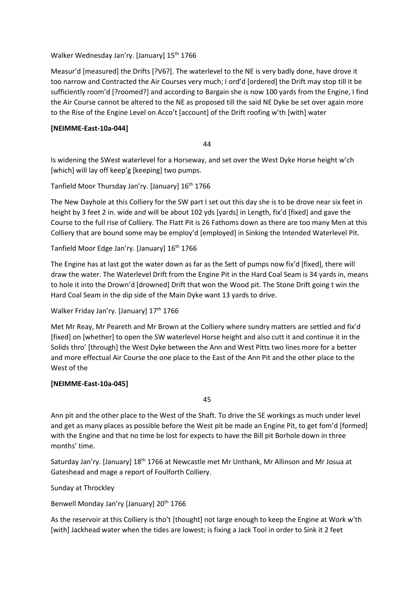Walker Wednesday Jan'ry. [January] 15<sup>th</sup> 1766

Measur'd [measured] the Drifts [?V6?]. The waterlevel to the NE is very badly done, have drove it too narrow and Contracted the Air Courses very much; I ord'd [ordered] the Drift may stop till it be sufficiently room'd [?roomed?] and according to Bargain she is now 100 yards from the Engine, I find the Air Course cannot be altered to the NE as proposed till the said NE Dyke be set over again more to the Rise of the Engine Level on Acco't [account] of the Drift roofing w'th [with] water

### **[NEIMME-East-10a-044]**

44

Is widening the SWest waterlevel for a Horseway, and set over the West Dyke Horse height w'ch [which] will lay off keep'g [keeping] two pumps.

Tanfield Moor Thursday Jan'ry. [January] 16th 1766

The New Dayhole at this Colliery for the SW part I set out this day she is to be drove near six feet in height by 3 feet 2 in. wide and will be about 102 yds [yards] in Length, fix'd [fixed] and gave the Course to the full rise of Colliery. The Flatt Pit is 26 Fathoms down as there are too many Men at this Colliery that are bound some may be employ'd [employed] in Sinking the Intended Waterlevel Pit.

Tanfield Moor Edge Jan'ry. [January] 16<sup>th</sup> 1766

The Engine has at last got the water down as far as the Sett of pumps now fix'd [fixed], there will draw the water. The Waterlevel Drift from the Engine Pit in the Hard Coal Seam is 34 yards in, means to hole it into the Drown'd [drowned] Drift that won the Wood pit. The Stone Drift going t win the Hard Coal Seam in the dip side of the Main Dyke want 13 yards to drive.

Walker Friday Jan'ry. [January] 17<sup>th</sup> 1766

Met Mr Reay, Mr Peareth and Mr Brown at the Colliery where sundry matters are settled and fix'd [fixed] on [whether] to open the SW waterlevel Horse height and also cutt it and continue it in the Solids thro' [through] the West Dyke between the Ann and West Pitts two lines more for a better and more effectual Air Course the one place to the East of the Ann Pit and the other place to the West of the

# **[NEIMME-East-10a-045]**

45

Ann pit and the other place to the West of the Shaft. To drive the SE workings as much under level and get as many places as possible before the West pit be made an Engine Pit, to get fom'd [formed] with the Engine and that no time be lost for expects to have the Bill pit Borhole down in three months' time.

Saturday Jan'ry. [January] 18<sup>th</sup> 1766 at Newcastle met Mr Unthank, Mr Allinson and Mr Josua at Gateshead and mage a report of Foulforth Colliery.

Sunday at Throckley

Benwell Monday Jan'ry [January] 20<sup>th</sup> 1766

As the reservoir at this Colliery is tho't [thought] not large enough to keep the Engine at Work w'th [with] Jackhead water when the tides are lowest; is fixing a Jack Tool in order to Sink it 2 feet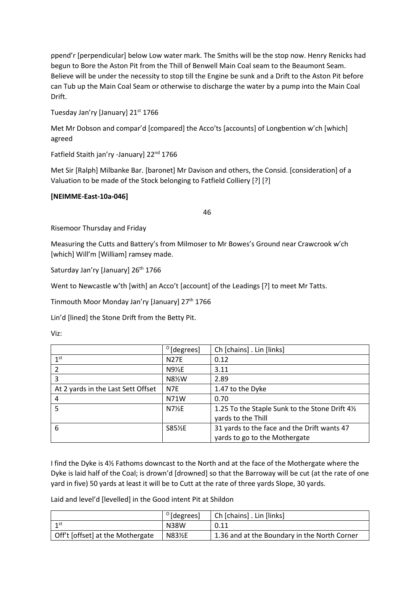ppend'r [perpendicular] below Low water mark. The Smiths will be the stop now. Henry Renicks had begun to Bore the Aston Pit from the Thill of Benwell Main Coal seam to the Beaumont Seam. Believe will be under the necessity to stop till the Engine be sunk and a Drift to the Aston Pit before can Tub up the Main Coal Seam or otherwise to discharge the water by a pump into the Main Coal Drift.

Tuesday Jan'ry [January] 21st 1766

Met Mr Dobson and compar'd [compared] the Acco'ts [accounts] of Longbention w'ch [which] agreed

Fatfield Staith jan'ry -January] 22<sup>nd</sup> 1766

Met Sir [Ralph] Milbanke Bar. [baronet] Mr Davison and others, the Consid. [consideration] of a Valuation to be made of the Stock belonging to Fatfield Colliery [?] [?]

### **[NEIMME-East-10a-046]**

46

Risemoor Thursday and Friday

Measuring the Cutts and Battery's from Milmoser to Mr Bowes's Ground near Crawcrook w'ch [which] Will'm [William] ramsey made.

Saturday Jan'ry [January] 26<sup>th</sup> 1766

Went to Newcastle w'th [with] an Acco't [account] of the Leadings [?] to meet Mr Tatts.

Tinmouth Moor Monday Jan'ry [January] 27<sup>th</sup> 1766

Lin'd [lined] the Stone Drift from the Betty Pit.

Viz:

|                                    | $^{\circ}$ [degrees] | Ch [chains] . Lin [links]                                                    |
|------------------------------------|----------------------|------------------------------------------------------------------------------|
| 1 <sup>st</sup>                    | <b>N27E</b>          | 0.12                                                                         |
| 2                                  | $N9\frac{1}{4}E$     | 3.11                                                                         |
| 3                                  | N8%W                 | 2.89                                                                         |
| At 2 yards in the Last Sett Offset | N7E                  | 1.47 to the Dyke                                                             |
| 4                                  | N71W                 | 0.70                                                                         |
| 5                                  | $N7\frac{1}{2}E$     | 1.25 To the Staple Sunk to the Stone Drift 41/2<br>yards to the Thill        |
| 6                                  | S85%E                | 31 yards to the face and the Drift wants 47<br>yards to go to the Mothergate |

I find the Dyke is 4½ Fathoms downcast to the North and at the face of the Mothergate where the Dyke is laid half of the Coal; is drown'd [drowned] so that the Barroway will be cut (at the rate of one yard in five) 50 yards at least it will be to Cutt at the rate of three yards Slope, 30 yards.

Laid and level'd [levelled] in the Good intent Pit at Shildon

|                                  | $^{\circ}$ [degrees] | Ch [chains] . Lin [links]                    |
|----------------------------------|----------------------|----------------------------------------------|
| $-1$ st                          | <b>N38W</b>          | 0.11                                         |
| Off't [offset] at the Mothergate | N83½E                | 1.36 and at the Boundary in the North Corner |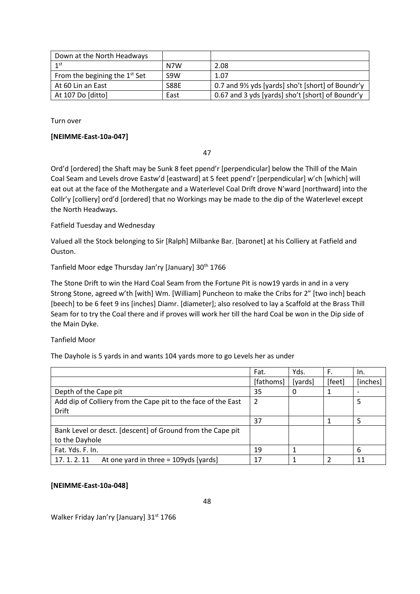| Down at the North Headways      |                  |                                                  |
|---------------------------------|------------------|--------------------------------------------------|
| $1$ st                          | N7W              | 2.08                                             |
| From the begining the $1st$ Set | S <sub>9</sub> W | 1.07                                             |
| At 60 Lin an East               | <b>S88E</b>      | 0.7 and 9½ yds [yards] sho't [short] of Boundr'y |
| At 107 Do [ditto]               | East             | 0.67 and 3 yds [yards] sho't [short] of Boundr'y |

Turn over

### **[NEIMME-East-10a-047]**

47

Ord'd [ordered] the Shaft may be Sunk 8 feet ppend'r [perpendicular] below the Thill of the Main Coal Seam and Levels drove Eastw'd [eastward] at 5 feet ppend'r [perpendicular] w'ch [which] will eat out at the face of the Mothergate and a Waterlevel Coal Drift drove N'ward [northward] into the Collr'y [colliery] ord'd [ordered] that no Workings may be made to the dip of the Waterlevel except the North Headways.

### Fatfield Tuesday and Wednesday

Valued all the Stock belonging to Sir [Ralph] Milbanke Bar. [baronet] at his Colliery at Fatfield and Ouston.

### Tanfield Moor edge Thursday Jan'ry [January] 30<sup>th</sup> 1766

The Stone Drift to win the Hard Coal Seam from the Fortune Pit is now19 yards in and in a very Strong Stone, agreed w'th [with] Wm. [William] Puncheon to make the Cribs for 2" [two inch] beach [beech] to be 6 feet 9 ins [inches] Diamr. [diameter]; also resolved to lay a Scaffold at the Brass Thill Seam for to try the Coal there and if proves will work her till the hard Coal be won in the Dip side of the Main Dyke.

### Tanfield Moor

The Dayhole is 5 yards in and wants 104 yards more to go Levels her as under

|                                                               | Fat.      | Yds.    | F.     | In.      |
|---------------------------------------------------------------|-----------|---------|--------|----------|
|                                                               | [fathoms] | [yards] | [feet] | [inches] |
| Depth of the Cape pit                                         | 35        | 0       |        |          |
| Add dip of Colliery from the Cape pit to the face of the East | 2         |         |        | 5        |
| <b>Drift</b>                                                  |           |         |        |          |
|                                                               | 37        |         |        | 5        |
| Bank Level or desct. [descent] of Ground from the Cape pit    |           |         |        |          |
| to the Dayhole                                                |           |         |        |          |
| Fat. Yds. F. In.                                              | 19        |         |        | 6        |
| At one yard in three = $109yds$ [yards]<br>17.1.2.11          | 17        |         | າ      | 11       |

### **[NEIMME-East-10a-048]**

Walker Friday Jan'ry [January] 31st 1766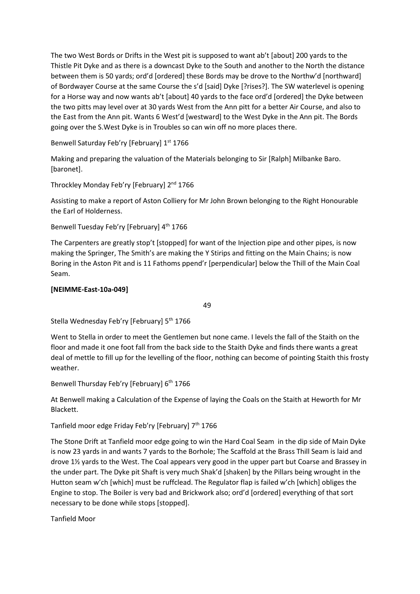The two West Bords or Drifts in the West pit is supposed to want ab't [about] 200 yards to the Thistle Pit Dyke and as there is a downcast Dyke to the South and another to the North the distance between them is 50 yards; ord'd [ordered] these Bords may be drove to the Northw'd [northward] of Bordwayer Course at the same Course the s'd [said] Dyke [?rises?]. The SW waterlevel is opening for a Horse way and now wants ab't [about] 40 yards to the face ord'd [ordered] the Dyke between the two pitts may level over at 30 yards West from the Ann pitt for a better Air Course, and also to the East from the Ann pit. Wants 6 West'd [westward] to the West Dyke in the Ann pit. The Bords going over the S.West Dyke is in Troubles so can win off no more places there.

Benwell Saturday Feb'ry [February] 1<sup>st</sup> 1766

Making and preparing the valuation of the Materials belonging to Sir [Ralph] Milbanke Baro. [baronet].

Throckley Monday Feb'ry [February] 2<sup>nd</sup> 1766

Assisting to make a report of Aston Colliery for Mr John Brown belonging to the Right Honourable the Earl of Holderness.

Benwell Tuesday Feb'ry [February] 4<sup>th</sup> 1766

The Carpenters are greatly stop't [stopped] for want of the Injection pipe and other pipes, is now making the Springer, The Smith's are making the Y Stirips and fitting on the Main Chains; is now Boring in the Aston Pit and is 11 Fathoms ppend'r [perpendicular] below the Thill of the Main Coal Seam.

# **[NEIMME-East-10a-049]**

49

Stella Wednesday Feb'ry [February] 5<sup>th</sup> 1766

Went to Stella in order to meet the Gentlemen but none came. I levels the fall of the Staith on the floor and made it one foot fall from the back side to the Staith Dyke and finds there wants a great deal of mettle to fill up for the levelling of the floor, nothing can become of pointing Staith this frosty weather.

Benwell Thursday Feb'ry [February] 6<sup>th</sup> 1766

At Benwell making a Calculation of the Expense of laying the Coals on the Staith at Heworth for Mr Blackett.

Tanfield moor edge Friday Feb'ry [February] 7<sup>th</sup> 1766

The Stone Drift at Tanfield moor edge going to win the Hard Coal Seam in the dip side of Main Dyke is now 23 yards in and wants 7 yards to the Borhole; The Scaffold at the Brass Thill Seam is laid and drove 1½ yards to the West. The Coal appears very good in the upper part but Coarse and Brassey in the under part. The Dyke pit Shaft is very much Shak'd [shaken] by the Pillars being wrought in the Hutton seam w'ch [which] must be ruffclead. The Regulator flap is failed w'ch [which] obliges the Engine to stop. The Boiler is very bad and Brickwork also; ord'd [ordered] everything of that sort necessary to be done while stops [stopped].

Tanfield Moor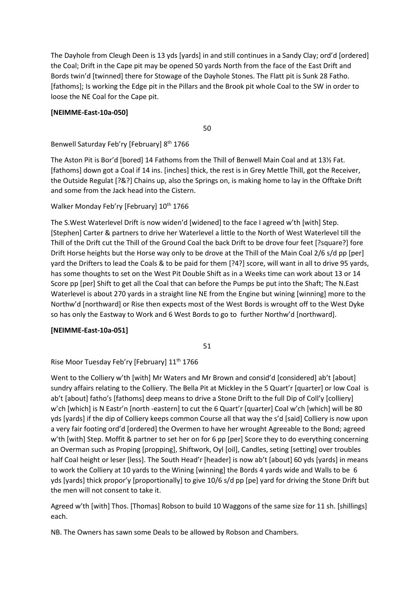The Dayhole from Cleugh Deen is 13 yds [yards] in and still continues in a Sandy Clay; ord'd [ordered] the Coal; Drift in the Cape pit may be opened 50 yards North from the face of the East Drift and Bords twin'd [twinned] there for Stowage of the Dayhole Stones. The Flatt pit is Sunk 28 Fatho. [fathoms]; Is working the Edge pit in the Pillars and the Brook pit whole Coal to the SW in order to loose the NE Coal for the Cape pit.

# **[NEIMME-East-10a-050]**

50

Benwell Saturday Feb'ry [February] 8<sup>th</sup> 1766

The Aston Pit is Bor'd [bored] 14 Fathoms from the Thill of Benwell Main Coal and at 13½ Fat. [fathoms] down got a Coal if 14 ins. [inches] thick, the rest is in Grey Mettle Thill, got the Receiver, the Outside Regulat [?&?] Chains up, also the Springs on, is making home to lay in the Offtake Drift and some from the Jack head into the Cistern.

Walker Monday Feb'ry [February] 10<sup>th</sup> 1766

The S.West Waterlevel Drift is now widen'd [widened] to the face I agreed w'th [with] Step. [Stephen] Carter & partners to drive her Waterlevel a little to the North of West Waterlevel till the Thill of the Drift cut the Thill of the Ground Coal the back Drift to be drove four feet [?square?] fore Drift Horse heights but the Horse way only to be drove at the Thill of the Main Coal 2/6 s/d pp [per] yard the Drifters to lead the Coals & to be paid for them [?4?] score, will want in all to drive 95 yards, has some thoughts to set on the West Pit Double Shift as in a Weeks time can work about 13 or 14 Score pp [per] Shift to get all the Coal that can before the Pumps be put into the Shaft; The N.East Waterlevel is about 270 yards in a straight line NE from the Engine but wining [winning] more to the Northw'd [northward] or Rise then expects most of the West Bords is wrought off to the West Dyke so has only the Eastway to Work and 6 West Bords to go to further Northw'd [northward].

# **[NEIMME-East-10a-051]**

51

Rise Moor Tuesday Feb'ry [February] 11<sup>th</sup> 1766

Went to the Colliery w'th [with] Mr Waters and Mr Brown and consid'd [considered] ab't [about] sundry affairs relating to the Colliery. The Bella Pit at Mickley in the 5 Quart'r [quarter] or low Coal is ab't [about] fatho's [fathoms] deep means to drive a Stone Drift to the full Dip of Coll'y [colliery] w'ch [which] is N Eastr'n [north -eastern] to cut the 6 Quart'r [quarter] Coal w'ch [which] will be 80 yds [yards] if the dip of Colliery keeps common Course all that way the s'd [said] Colliery is now upon a very fair footing ord'd [ordered] the Overmen to have her wrought Agreeable to the Bond; agreed w'th [with] Step. Moffit & partner to set her on for 6 pp [per] Score they to do everything concerning an Overman such as Proping [propping], Shiftwork, Oyl [oil], Candles, seting [setting] over troubles half Coal height or leser [less]. The South Head'r [header] is now ab't [about] 60 yds [yards] in means to work the Colliery at 10 yards to the Wining [winning] the Bords 4 yards wide and Walls to be 6 yds [yards] thick propor'y [proportionally] to give 10/6 s/d pp [pe] yard for driving the Stone Drift but the men will not consent to take it.

Agreed w'th [with] Thos. [Thomas] Robson to build 10 Waggons of the same size for 11 sh. [shillings] each.

NB. The Owners has sawn some Deals to be allowed by Robson and Chambers.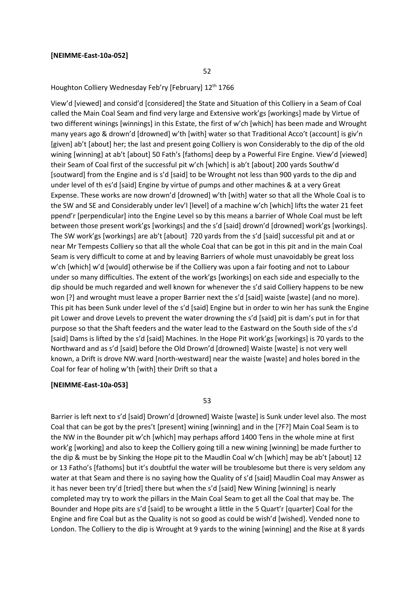#### **[NEIMME-East-10a-052]**

Houghton Colliery Wednesday Feb'ry [February] 12<sup>th</sup> 1766

View'd [viewed] and consid'd [considered] the State and Situation of this Colliery in a Seam of Coal called the Main Coal Seam and find very large and Extensive work'gs [workings] made by Virtue of two different winings [winnings] in this Estate, the first of w'ch [which] has been made and Wrought many years ago & drown'd [drowned] w'th [with] water so that Traditional Acco't (account] is giv'n [given] ab't [about] her; the last and present going Colliery is won Considerably to the dip of the old wining [winning] at ab't [about] 50 Fath's [fathoms] deep by a Powerful Fire Engine. View'd [viewed] their Seam of Coal first of the successful pit w'ch [which] is ab't [about] 200 yards Southw'd [soutward] from the Engine and is s'd [said] to be Wrought not less than 900 yards to the dip and under level of th es'd [said] Engine by virtue of pumps and other machines & at a very Great Expense. These works are now drown'd [drowned] w'th [with] water so that all the Whole Coal is to the SW and SE and Considerably under lev'l [level] of a machine w'ch [which] lifts the water 21 feet ppend'r [perpendicular] into the Engine Level so by this means a barrier of Whole Coal must be left between those present work'gs [workings] and the s'd [said] drown'd [drowned] work'gs [workings]. The SW work'gs [workings] are ab't [about] 720 yards from the s'd [said] successful pit and at or near Mr Tempests Colliery so that all the whole Coal that can be got in this pit and in the main Coal Seam is very difficult to come at and by leaving Barriers of whole must unavoidably be great loss w'ch [which] w'd [would] otherwise be if the Colliery was upon a fair footing and not to Labour under so many difficulties. The extent of the work'gs [workings] on each side and especially to the dip should be much regarded and well known for whenever the s'd said Colliery happens to be new won [?] and wrought must leave a proper Barrier next the s'd [said] waiste [waste] (and no more). This pit has been Sunk under level of the s'd [said] Engine but in order to win her has sunk the Engine pit Lower and drove Levels to prevent the water drowning the s'd [said] pit is dam's put in for that purpose so that the Shaft feeders and the water lead to the Eastward on the South side of the s'd [said] Dams is lifted by the s'd [said] Machines. In the Hope Pit work'gs [workings] is 70 yards to the Northward and as s'd [said] before the Old Drown'd [drowned] Waiste [waste] is not very well known, a Drift is drove NW.ward [north-westward] near the waiste [waste] and holes bored in the Coal for fear of holing w'th [with] their Drift so that a

#### **[NEIMME-East-10a-053]**

53

Barrier is left next to s'd [said] Drown'd [drowned] Waiste [waste] is Sunk under level also. The most Coal that can be got by the pres't [present] wining [winning] and in the [?F?] Main Coal Seam is to the NW in the Bounder pit w'ch [which] may perhaps afford 1400 Tens in the whole mine at first work'g [working] and also to keep the Colliery going till a new wining [winning] be made further to the dip & must be by Sinking the Hope pit to the Maudlin Coal w'ch [which] may be ab't [about] 12 or 13 Fatho's [fathoms] but it's doubtful the water will be troublesome but there is very seldom any water at that Seam and there is no saying how the Quality of s'd [said] Maudlin Coal may Answer as it has never been try'd [tried] there but when the s'd [said] New Wining [winning] is nearly completed may try to work the pillars in the Main Coal Seam to get all the Coal that may be. The Bounder and Hope pits are s'd [said] to be wrought a little in the 5 Quart'r [quarter] Coal for the Engine and fire Coal but as the Quality is not so good as could be wish'd [wished]. Vended none to London. The Colliery to the dip is Wrought at 9 yards to the wining [winning] and the Rise at 8 yards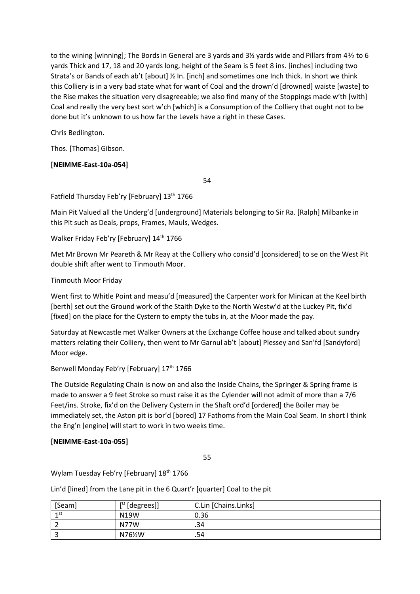to the wining [winning]; The Bords in General are 3 yards and 3½ yards wide and Pillars from 4½ to 6 yards Thick and 17, 18 and 20 yards long, height of the Seam is 5 feet 8 ins. [inches] including two Strata's or Bands of each ab't [about] ½ In. [inch] and sometimes one Inch thick. In short we think this Colliery is in a very bad state what for want of Coal and the drown'd [drowned] waiste [waste] to the Rise makes the situation very disagreeable; we also find many of the Stoppings made w'th [with] Coal and really the very best sort w'ch [which] is a Consumption of the Colliery that ought not to be done but it's unknown to us how far the Levels have a right in these Cases.

Chris Bedlington.

Thos. [Thomas] Gibson.

# **[NEIMME-East-10a-054]**

54

Fatfield Thursday Feb'ry [February] 13<sup>th</sup> 1766

Main Pit Valued all the Underg'd [underground] Materials belonging to Sir Ra. [Ralph] Milbanke in this Pit such as Deals, props, Frames, Mauls, Wedges.

Walker Friday Feb'ry [February] 14<sup>th</sup> 1766

Met Mr Brown Mr Peareth & Mr Reay at the Colliery who consid'd [considered] to se on the West Pit double shift after went to Tinmouth Moor.

# Tinmouth Moor Friday

Went first to Whitle Point and measu'd [measured] the Carpenter work for Minican at the Keel birth [berth] set out the Ground work of the Staith Dyke to the North Westw'd at the Luckey Pit, fix'd [fixed] on the place for the Cystern to empty the tubs in, at the Moor made the pay.

Saturday at Newcastle met Walker Owners at the Exchange Coffee house and talked about sundry matters relating their Colliery, then went to Mr Garnul ab't [about] Plessey and San'fd [Sandyford] Moor edge.

Benwell Monday Feb'ry [February] 17<sup>th</sup> 1766

The Outside Regulating Chain is now on and also the Inside Chains, the Springer & Spring frame is made to answer a 9 feet Stroke so must raise it as the Cylender will not admit of more than a 7/6 Feet/ins. Stroke, fix'd on the Delivery Cystern in the Shaft ord'd [ordered] the Boiler may be immediately set, the Aston pit is bor'd [bored] 17 Fathoms from the Main Coal Seam. In short I think the Eng'n [engine] will start to work in two weeks time.

# **[NEIMME-East-10a-055]**

55

Wylam Tuesday Feb'ry [February] 18<sup>th</sup> 1766

Lin'd [lined] from the Lane pit in the 6 Quart'r [quarter] Coal to the pit

| [Seam] | $[°$ [degrees]] | C.Lin [Chains.Links] |
|--------|-----------------|----------------------|
| 1st    | N19W            | 0.36                 |
|        | N77W            | .34                  |
|        | N76½W           | .54                  |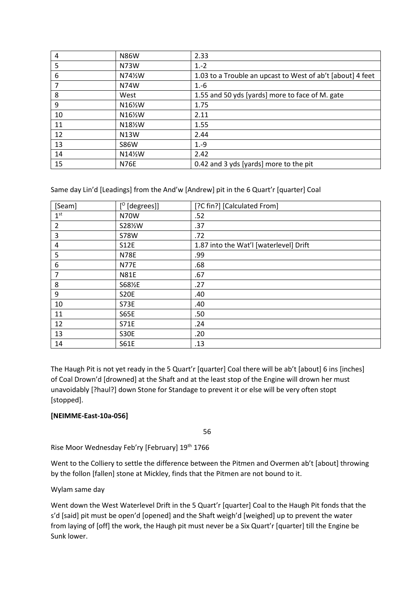| 4  | <b>N86W</b> | 2.33                                                       |
|----|-------------|------------------------------------------------------------|
| 5  | N73W        | $1.-2$                                                     |
| 6  | N74½W       | 1.03 to a Trouble an upcast to West of ab't [about] 4 feet |
|    | N74W        | $1.-6$                                                     |
| 8  | West        | 1.55 and 50 yds [yards] more to face of M. gate            |
| 9  | N16½W       | 1.75                                                       |
| 10 | N16½W       | 2.11                                                       |
| 11 | N18½W       | 1.55                                                       |
| 12 | N13W        | 2.44                                                       |
| 13 | <b>S86W</b> | $1.-9$                                                     |
| 14 | N14½W       | 2.42                                                       |
| 15 | <b>N76E</b> | 0.42 and 3 yds [yards] more to the pit                     |

Same day Lin'd [Leadings] from the And'w [Andrew] pit in the 6 Quart'r [quarter] Coal

| [Seam]          | $[°$ [degrees]] | [?C fin?] [Calculated From]            |
|-----------------|-----------------|----------------------------------------|
| 1 <sup>st</sup> | <b>N70W</b>     | .52                                    |
| $\overline{2}$  | S28%W           | .37                                    |
| 3               | <b>S78W</b>     | .72                                    |
| 4               | <b>S12E</b>     | 1.87 into the Wat'l [waterlevel] Drift |
| 5               | <b>N78E</b>     | .99                                    |
| 6               | <b>N77E</b>     | .68                                    |
| 7               | <b>N81E</b>     | .67                                    |
| 8               | S681%E          | .27                                    |
| 9               | <b>S20E</b>     | .40                                    |
| 10              | <b>S73E</b>     | .40                                    |
| 11              | <b>S65E</b>     | .50                                    |
| 12              | <b>S71E</b>     | .24                                    |
| 13              | <b>S30E</b>     | .20                                    |
| 14              | <b>S61E</b>     | .13                                    |

The Haugh Pit is not yet ready in the 5 Quart'r [quarter] Coal there will be ab't [about] 6 ins [inches] of Coal Drown'd [drowned] at the Shaft and at the least stop of the Engine will drown her must unavoidably [?haul?] down Stone for Standage to prevent it or else will be very often stopt [stopped].

# **[NEIMME-East-10a-056]**

56

Rise Moor Wednesday Feb'ry [February] 19<sup>th</sup> 1766

Went to the Colliery to settle the difference between the Pitmen and Overmen ab't [about] throwing by the follon [fallen] stone at Mickley, finds that the Pitmen are not bound to it.

### Wylam same day

Went down the West Waterlevel Drift in the 5 Quart'r [quarter] Coal to the Haugh Pit fonds that the s'd [said] pit must be open'd [opened] and the Shaft weigh'd [weighed] up to prevent the water from laying of [off] the work, the Haugh pit must never be a Six Quart'r [quarter] till the Engine be Sunk lower.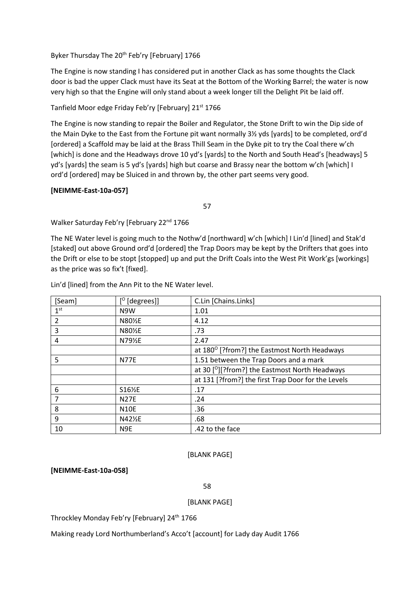Byker Thursday The 20<sup>th</sup> Feb'ry [February] 1766

The Engine is now standing I has considered put in another Clack as has some thoughts the Clack door is bad the upper Clack must have its Seat at the Bottom of the Working Barrel; the water is now very high so that the Engine will only stand about a week longer till the Delight Pit be laid off.

Tanfield Moor edge Friday Feb'ry [February] 21<sup>st</sup> 1766

The Engine is now standing to repair the Boiler and Regulator, the Stone Drift to win the Dip side of the Main Dyke to the East from the Fortune pit want normally 3½ yds [yards] to be completed, ord'd [ordered] a Scaffold may be laid at the Brass Thill Seam in the Dyke pit to try the Coal there w'ch [which] is done and the Headways drove 10 yd's [yards] to the North and South Head's [headways] 5 yd's [yards] the seam is 5 yd's [yards] high but coarse and Brassy near the bottom w'ch [which] I ord'd [ordered] may be Sluiced in and thrown by, the other part seems very good.

### **[NEIMME-East-10a-057]**

57

Walker Saturday Feb'ry [February 22<sup>nd</sup> 1766

The NE Water level is going much to the Nothw'd [northward] w'ch [which] I Lin'd [lined] and Stak'd [staked] out above Ground ord'd [ordered] the Trap Doors may be kept by the Drifters that goes into the Drift or else to be stopt [stopped] up and put the Drift Coals into the West Pit Work'gs [workings] as the price was so fix't [fixed].

| [Seam]          | $[°$ [degrees]] | C.Lin [Chains.Links]                                       |
|-----------------|-----------------|------------------------------------------------------------|
| 1 <sup>st</sup> | N9W             | 1.01                                                       |
| 2               | N80½E           | 4.12                                                       |
| 3               | N80½E           | .73                                                        |
| 4               | N79½E           | 2.47                                                       |
|                 |                 | at 180 <sup>°</sup> [?from?] the Eastmost North Headways   |
| 5               | <b>N77E</b>     | 1.51 between the Trap Doors and a mark                     |
|                 |                 | at 30 [ <sup>0</sup> ][?from?] the Eastmost North Headways |
|                 |                 | at 131 [?from?] the first Trap Door for the Levels         |
| 6               | S16½E           | .17                                                        |
| 7               | <b>N27E</b>     | .24                                                        |
| 8               | <b>N10E</b>     | .36                                                        |
| 9               | N42½E           | .68                                                        |
| 10              | N <sub>9E</sub> | .42 to the face                                            |

Lin'd [lined] from the Ann Pit to the NE Water level.

#### [BLANK PAGE]

**[NEIMME-East-10a-058]**

58

### [BLANK PAGE]

Throckley Monday Feb'ry [February] 24<sup>th</sup> 1766

Making ready Lord Northumberland's Acco't [account] for Lady day Audit 1766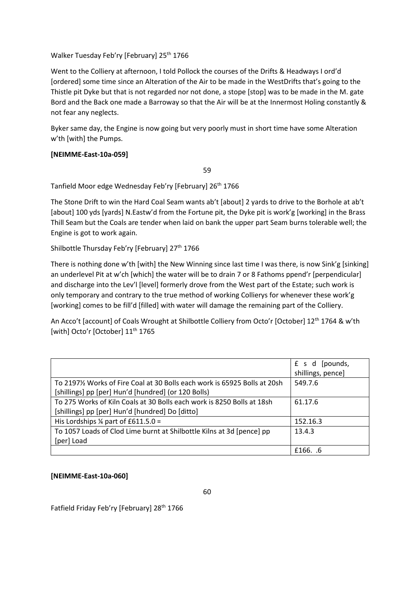### Walker Tuesday Feb'ry [February] 25<sup>th</sup> 1766

Went to the Colliery at afternoon, I told Pollock the courses of the Drifts & Headways I ord'd [ordered] some time since an Alteration of the Air to be made in the WestDrifts that's going to the Thistle pit Dyke but that is not regarded nor not done, a stope [stop] was to be made in the M. gate Bord and the Back one made a Barroway so that the Air will be at the Innermost Holing constantly & not fear any neglects.

Byker same day, the Engine is now going but very poorly must in short time have some Alteration w'th [with] the Pumps.

### **[NEIMME-East-10a-059]**

59

Tanfield Moor edge Wednesday Feb'ry [February] 26<sup>th</sup> 1766

The Stone Drift to win the Hard Coal Seam wants ab't [about] 2 yards to drive to the Borhole at ab't [about] 100 yds [yards] N.Eastw'd from the Fortune pit, the Dyke pit is work'g [working] in the Brass Thill Seam but the Coals are tender when laid on bank the upper part Seam burns tolerable well; the Engine is got to work again.

Shilbottle Thursday Feb'ry [February] 27<sup>th</sup> 1766

There is nothing done w'th [with] the New Winning since last time I was there, is now Sink'g [sinking] an underlevel Pit at w'ch [which] the water will be to drain 7 or 8 Fathoms ppend'r [perpendicular] and discharge into the Lev'l [level] formerly drove from the West part of the Estate; such work is only temporary and contrary to the true method of working Collierys for whenever these work'g [working] comes to be fill'd [filled] with water will damage the remaining part of the Colliery.

An Acco't [account] of Coals Wrought at Shilbottle Colliery from Octo'r [October] 12<sup>th</sup> 1764 & w'th [with] Octo'r [October] 11<sup>th</sup> 1765

|                                                                          | £ s d<br>[pounds,<br>shillings, pence] |
|--------------------------------------------------------------------------|----------------------------------------|
| To 2197½ Works of Fire Coal at 30 Bolls each work is 65925 Bolls at 20sh | 549.7.6                                |
| [shillings] pp [per] Hun'd [hundred] (or 120 Bolls)                      |                                        |
| To 275 Works of Kiln Coals at 30 Bolls each work is 8250 Bolls at 18sh   | 61.17.6                                |
| [shillings] pp [per] Hun'd [hundred] Do [ditto]                          |                                        |
| His Lordships $\frac{1}{4}$ part of £611.5.0 =                           | 152.16.3                               |
| To 1057 Loads of Clod Lime burnt at Shilbottle Kilns at 3d [pence] pp    | 13.4.3                                 |
| [per] Load                                                               |                                        |
|                                                                          | £166. .6                               |

# **[NEIMME-East-10a-060]**

60

Fatfield Friday Feb'ry [February] 28<sup>th</sup> 1766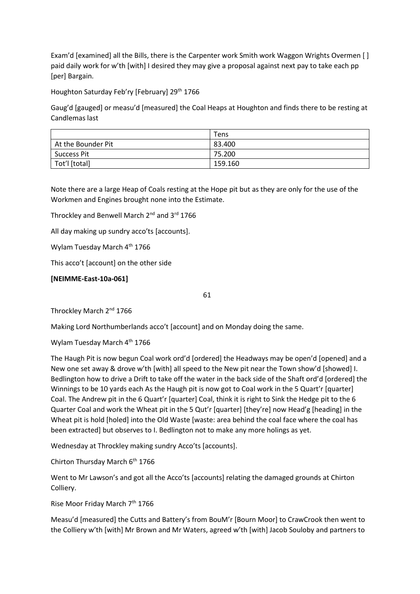Exam'd [examined] all the Bills, there is the Carpenter work Smith work Waggon Wrights Overmen [ ] paid daily work for w'th [with] I desired they may give a proposal against next pay to take each pp [per] Bargain.

Houghton Saturday Feb'ry [February] 29<sup>th</sup> 1766

Gaug'd [gauged] or measu'd [measured] the Coal Heaps at Houghton and finds there to be resting at Candlemas last

|                    | Tens    |
|--------------------|---------|
| At the Bounder Pit | 83.400  |
| Success Pit        | 75.200  |
| Tot'l [total]      | 159.160 |

Note there are a large Heap of Coals resting at the Hope pit but as they are only for the use of the Workmen and Engines brought none into the Estimate.

Throckley and Benwell March 2<sup>nd</sup> and 3<sup>rd</sup> 1766

All day making up sundry acco'ts [accounts].

Wylam Tuesday March 4<sup>th</sup> 1766

This acco't [account] on the other side

### **[NEIMME-East-10a-061]**

61

Throckley March 2<sup>nd</sup> 1766

Making Lord Northumberlands acco't [account] and on Monday doing the same.

Wylam Tuesday March 4<sup>th</sup> 1766

The Haugh Pit is now begun Coal work ord'd [ordered] the Headways may be open'd [opened] and a New one set away & drove w'th [with] all speed to the New pit near the Town show'd [showed] I. Bedlington how to drive a Drift to take off the water in the back side of the Shaft ord'd [ordered] the Winnings to be 10 yards each As the Haugh pit is now got to Coal work in the 5 Quart'r [quarter] Coal. The Andrew pit in the 6 Quart'r [quarter] Coal, think it is right to Sink the Hedge pit to the 6 Quarter Coal and work the Wheat pit in the 5 Qut'r [quarter] [they're] now Head'g [heading] in the Wheat pit is hold [holed] into the Old Waste [waste: area behind the coal face where the coal has been extracted] but observes to I. Bedlington not to make any more holings as yet.

Wednesday at Throckley making sundry Acco'ts [accounts].

Chirton Thursday March 6<sup>th</sup> 1766

Went to Mr Lawson's and got all the Acco'ts [accounts] relating the damaged grounds at Chirton Colliery.

Rise Moor Friday March 7<sup>th</sup> 1766

Measu'd [measured] the Cutts and Battery's from BouM'r [Bourn Moor] to CrawCrook then went to the Colliery w'th [with] Mr Brown and Mr Waters, agreed w'th [with] Jacob Souloby and partners to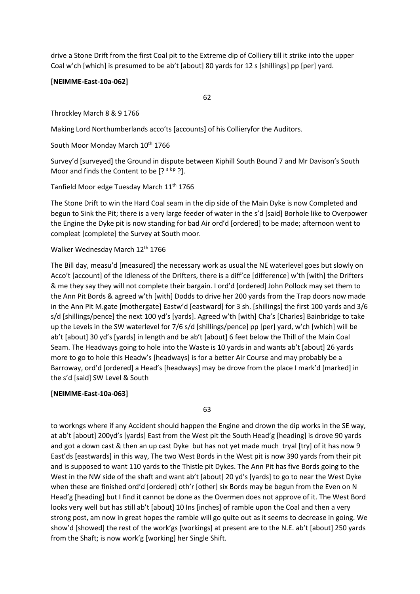drive a Stone Drift from the first Coal pit to the Extreme dip of Colliery till it strike into the upper Coal w'ch [which] is presumed to be ab't [about] 80 yards for 12 s [shillings] pp [per] yard.

### **[NEIMME-East-10a-062]**

62

Throckley March 8 & 9 1766

Making Lord Northumberlands acco'ts [accounts] of his Collieryfor the Auditors.

South Moor Monday March 10<sup>th</sup> 1766

Survey'd [surveyed] the Ground in dispute between Kiphill South Bound 7 and Mr Davison's South Moor and finds the Content to be  $[? <sup>a kp</sup> ?]$ .

Tanfield Moor edge Tuesday March 11<sup>th</sup> 1766

The Stone Drift to win the Hard Coal seam in the dip side of the Main Dyke is now Completed and begun to Sink the Pit; there is a very large feeder of water in the s'd [said] Borhole like to Overpower the Engine the Dyke pit is now standing for bad Air ord'd [ordered] to be made; afternoon went to compleat [complete] the Survey at South moor.

### Walker Wednesday March 12<sup>th</sup> 1766

The Bill day, measu'd [measured] the necessary work as usual the NE waterlevel goes but slowly on Acco't [account] of the Idleness of the Drifters, there is a diff'ce [difference] w'th [with] the Drifters & me they say they will not complete their bargain. I ord'd [ordered] John Pollock may set them to the Ann Pit Bords & agreed w'th [with] Dodds to drive her 200 yards from the Trap doors now made in the Ann Pit M.gate [mothergate] Eastw'd [eastward] for 3 sh. [shillings] the first 100 yards and 3/6 s/d [shillings/pence] the next 100 yd's [yards]. Agreed w'th [with] Cha's [Charles] Bainbridge to take up the Levels in the SW waterlevel for 7/6 s/d [shillings/pence] pp [per] yard, w'ch [which] will be ab't [about] 30 yd's [yards] in length and be ab't [about] 6 feet below the Thill of the Main Coal Seam. The Headways going to hole into the Waste is 10 yards in and wants ab't [about] 26 yards more to go to hole this Headw's [headways] is for a better Air Course and may probably be a Barroway, ord'd [ordered] a Head's [headways] may be drove from the place I mark'd [marked] in the s'd [said] SW Level & South

### **[NEIMME-East-10a-063]**

63

to workngs where if any Accident should happen the Engine and drown the dip works in the SE way, at ab't [about] 200yd's [yards] East from the West pit the South Head'g [heading] is drove 90 yards and got a down cast & then an up cast Dyke but has not yet made much tryal [try] of it has now 9 East'ds [eastwards] in this way, The two West Bords in the West pit is now 390 yards from their pit and is supposed to want 110 yards to the Thistle pit Dykes. The Ann Pit has five Bords going to the West in the NW side of the shaft and want ab't [about] 20 yd's [yards] to go to near the West Dyke when these are finished ord'd [ordered] oth'r [other] six Bords may be begun from the Even on N Head'g [heading] but I find it cannot be done as the Overmen does not approve of it. The West Bord looks very well but has still ab't [about] 10 Ins [inches] of ramble upon the Coal and then a very strong post, am now in great hopes the ramble will go quite out as it seems to decrease in going. We show'd [showed] the rest of the work'gs [workings] at present are to the N.E. ab't [about] 250 yards from the Shaft; is now work'g [working] her Single Shift.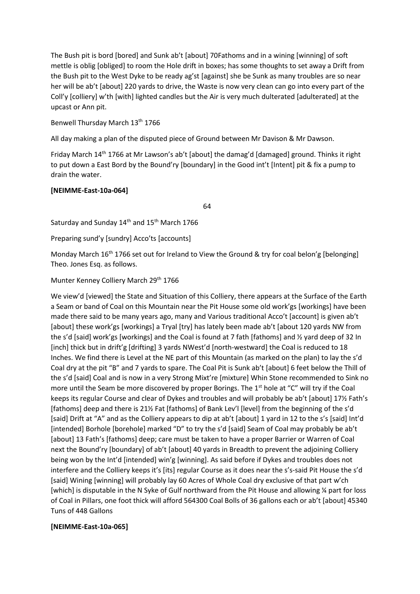The Bush pit is bord [bored] and Sunk ab't [about] 70Fathoms and in a wining [winning] of soft mettle is oblig [obliged] to room the Hole drift in boxes; has some thoughts to set away a Drift from the Bush pit to the West Dyke to be ready ag'st [against] she be Sunk as many troubles are so near her will be ab't [about] 220 yards to drive, the Waste is now very clean can go into every part of the Coll'y [colliery] w'th [with] lighted candles but the Air is very much dulterated [adulterated] at the upcast or Ann pit.

Benwell Thursday March 13<sup>th</sup> 1766

All day making a plan of the disputed piece of Ground between Mr Davison & Mr Dawson.

Friday March 14<sup>th</sup> 1766 at Mr Lawson's ab't [about] the damag'd [damaged] ground. Thinks it right to put down a East Bord by the Bound'ry [boundary] in the Good int't [Intent] pit & fix a pump to drain the water.

# **[NEIMME-East-10a-064]**

64

Saturday and Sunday 14<sup>th</sup> and 15<sup>th</sup> March 1766

Preparing sund'y [sundry] Acco'ts [accounts]

Monday March 16<sup>th</sup> 1766 set out for Ireland to View the Ground & try for coal belon'g [belonging] Theo. Jones Esq. as follows.

Munter Kenney Colliery March 29th 1766

We view'd [viewed] the State and Situation of this Colliery, there appears at the Surface of the Earth a Seam or band of Coal on this Mountain near the Pit House some old work'gs [workings] have been made there said to be many years ago, many and Various traditional Acco't [account] is given ab't [about] these work'gs [workings] a Tryal [try] has lately been made ab't [about 120 yards NW from the s'd [said] work'gs [workings] and the Coal is found at 7 fath [fathoms] and ½ yard deep of 32 In [inch] thick but in drift'g [drifting] 3 yards NWest'd [north-westward] the Coal is reduced to 18 Inches. We find there is Level at the NE part of this Mountain (as marked on the plan) to lay the s'd Coal dry at the pit "B" and 7 yards to spare. The Coal Pit is Sunk ab't [about] 6 feet below the Thill of the s'd [said] Coal and is now in a very Strong Mixt're [mixture] Whin Stone recommended to Sink no more until the Seam be more discovered by proper Borings. The 1<sup>st</sup> hole at "C" will try if the Coal keeps its regular Course and clear of Dykes and troubles and will probably be ab't [about] 17% Fath's [fathoms] deep and there is 21½ Fat [fathoms] of Bank Lev'l [level] from the beginning of the s'd [said] Drift at "A" and as the Colliery appears to dip at ab't [about] 1 yard in 12 to the s's [said] Int'd [intended] Borhole [borehole] marked "D" to try the s'd [said] Seam of Coal may probably be ab't [about] 13 Fath's [fathoms] deep; care must be taken to have a proper Barrier or Warren of Coal next the Bound'ry [boundary] of ab't [about] 40 yards in Breadth to prevent the adjoining Colliery being won by the Int'd [intended] win'g [winning]. As said before if Dykes and troubles does not interfere and the Colliery keeps it's [its] regular Course as it does near the s's-said Pit House the s'd [said] Wining [winning] will probably lay 60 Acres of Whole Coal dry exclusive of that part w'ch [which] is disputable in the N Syke of Gulf northward from the Pit House and allowing ¼ part for loss of Coal in Pillars, one foot thick will afford 564300 Coal Bolls of 36 gallons each or ab't [about] 45340 Tuns of 448 Gallons

# **[NEIMME-East-10a-065]**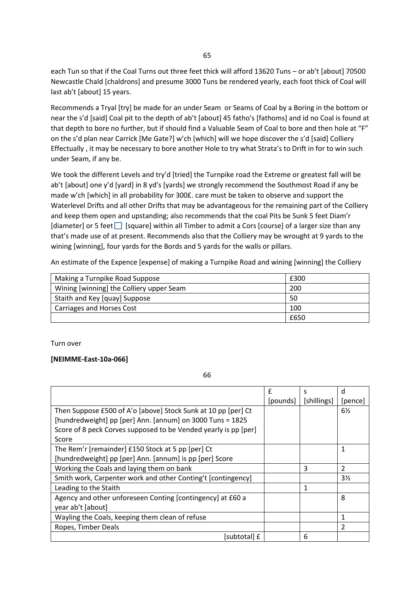each Tun so that if the Coal Turns out three feet thick will afford 13620 Tuns – or ab't [about] 70500 Newcastle Chald [chaldrons] and presume 3000 Tuns be rendered yearly, each foot thick of Coal will last ab't [about] 15 years.

Recommends a Tryal [try] be made for an under Seam or Seams of Coal by a Boring in the bottom or near the s'd [said] Coal pit to the depth of ab't [about] 45 fatho's [fathoms] and id no Coal is found at that depth to bore no further, but if should find a Valuable Seam of Coal to bore and then hole at "F" on the s'd plan near Carrick [Me Gate?] w'ch [which] will we hope discover the s'd [said] Colliery Effectually , it may be necessary to bore another Hole to try what Strata's to Drift in for to win such under Seam, if any be.

We took the different Levels and try'd [tried] the Turnpike road the Extreme or greatest fall will be ab't [about] one y'd [yard] in 8 yd's [yards] we strongly recommend the Southmost Road if any be made w'ch [which] in all probability for 300£. care must be taken to observe and support the Waterlevel Drifts and all other Drifts that may be advantageous for the remaining part of the Colliery and keep them open and upstanding; also recommends that the coal Pits be Sunk 5 feet Diam'r [diameter] or 5 feet  $\Box$  [square] within all Timber to admit a Cors [course] of a larger size than any that's made use of at present. Recommends also that the Colliery may be wrought at 9 yards to the wining [winning], four yards for the Bords and 5 yards for the walls or pillars.

An estimate of the Expence [expense] of making a Turnpike Road and wining [winning] the Colliery

| Making a Turnpike Road Suppose           | £300 |
|------------------------------------------|------|
| Wining [winning] the Colliery upper Seam | 200  |
| Staith and Key [quay] Suppose            | 50   |
| Carriages and Horses Cost                | 100  |
|                                          | £650 |

Turn over

#### **[NEIMME-East-10a-066]**

66

|                                                                 | £        | S           | d              |
|-----------------------------------------------------------------|----------|-------------|----------------|
|                                                                 | [pounds] | [shillings] | [pence]        |
| Then Suppose £500 of A'o [above] Stock Sunk at 10 pp [per] Ct   |          |             | $6\%$          |
| [hundredweight] pp [per] Ann. [annum] on 3000 Tuns = 1825       |          |             |                |
| Score of 8 peck Corves supposed to be Vended yearly is pp [per] |          |             |                |
| Score                                                           |          |             |                |
| The Rem'r [remainder] £150 Stock at 5 pp [per] Ct               |          |             | $\mathbf{1}$   |
| [hundredweight] pp [per] Ann. [annum] is pp [per] Score         |          |             |                |
| Working the Coals and laying them on bank                       |          | 3           | $\overline{2}$ |
| Smith work, Carpenter work and other Conting't [contingency]    |          |             | $3\frac{1}{2}$ |
| Leading to the Staith                                           |          | 1           |                |
| Agency and other unforeseen Conting [contingency] at £60 a      |          |             | 8              |
| year ab't [about]                                               |          |             |                |
| Wayling the Coals, keeping them clean of refuse                 |          |             | 1              |
| Ropes, Timber Deals                                             |          |             | 2              |
| [subtotal] £                                                    |          | 6           |                |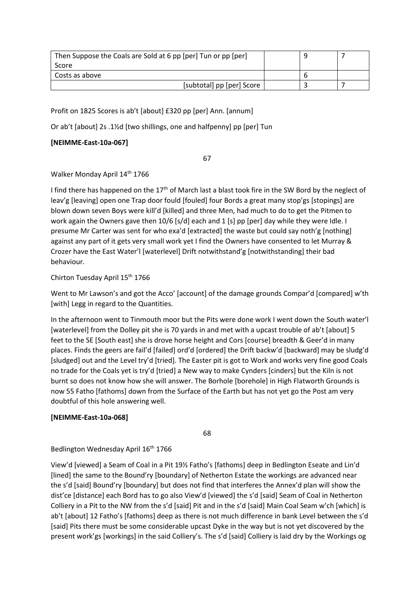| Then Suppose the Coals are Sold at 6 pp [per] Tun or pp [per] |  |  |
|---------------------------------------------------------------|--|--|
| Score                                                         |  |  |
| Costs as above                                                |  |  |
| [subtotal] pp [per] Score                                     |  |  |

Profit on 1825 Scores is ab't [about] £320 pp [per] Ann. [annum]

Or ab't [about] 2s .1½d [two shillings, one and halfpenny] pp [per] Tun

### **[NEIMME-East-10a-067]**

67

Walker Monday April 14<sup>th</sup> 1766

I find there has happened on the  $17<sup>th</sup>$  of March last a blast took fire in the SW Bord by the neglect of leav'g [leaving] open one Trap door fould [fouled] four Bords a great many stop'gs [stopings] are blown down seven Boys were kill'd [killed] and three Men, had much to do to get the Pitmen to work again the Owners gave then 10/6 [s/d] each and 1 [s] pp [per] day while they were Idle. I presume Mr Carter was sent for who exa'd [extracted] the waste but could say noth'g [nothing] against any part of it gets very small work yet I find the Owners have consented to let Murray & Crozer have the East Water'l [waterlevel] Drift notwithstand'g [notwithstanding] their bad behaviour.

Chirton Tuesday April 15th 1766

Went to Mr Lawson's and got the Acco' [account] of the damage grounds Compar'd [compared] w'th [with] Legg in regard to the Quantities.

In the afternoon went to Tinmouth moor but the Pits were done work I went down the South water'l [waterlevel] from the Dolley pit she is 70 yards in and met with a upcast trouble of ab't [about] 5 feet to the SE [South east] she is drove horse height and Cors [course] breadth & Geer'd in many places. Finds the geers are fail'd [failed] ord'd [ordered] the Drift backw'd [backward] may be sludg'd [sludged] out and the Level try'd [tried]. The Easter pit is got to Work and works very fine good Coals no trade for the Coals yet is try'd [tried] a New way to make Cynders [cinders] but the Kiln is not burnt so does not know how she will answer. The Borhole [borehole] in High Flatworth Grounds is now 55 Fatho [fathoms] down from the Surface of the Earth but has not yet go the Post am very doubtful of this hole answering well.

# **[NEIMME-East-10a-068]**

68

Bedlington Wednesday April 16<sup>th</sup> 1766

View'd [viewed] a Seam of Coal in a Pit 19½ Fatho's [fathoms] deep in Bedlington Eseate and Lin'd [lined] the same to the Bound'ry [boundary] of Netherton Estate the workings are advanced near the s'd [said] Bound'ry [boundary] but does not find that interferes the Annex'd plan will show the dist'ce [distance] each Bord has to go also View'd [viewed] the s'd [said] Seam of Coal in Netherton Colliery in a Pit to the NW from the s'd [said] Pit and in the s'd [said] Main Coal Seam w'ch [which] is ab't [about] 12 Fatho's [fathoms] deep as there is not much difference in bank Level between the s'd [said] Pits there must be some considerable upcast Dyke in the way but is not yet discovered by the present work'gs [workings] in the said Colliery's. The s'd [said] Colliery is laid dry by the Workings og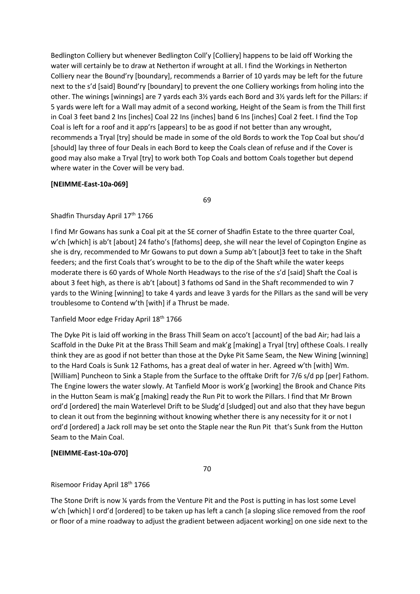Bedlington Colliery but whenever Bedlington Coll'y [Colliery] happens to be laid off Working the water will certainly be to draw at Netherton if wrought at all. I find the Workings in Netherton Colliery near the Bound'ry [boundary], recommends a Barrier of 10 yards may be left for the future next to the s'd [said] Bound'ry [boundary] to prevent the one Colliery workings from holing into the other. The winings [winnings] are 7 yards each 3½ yards each Bord and 3½ yards left for the Pillars: if 5 yards were left for a Wall may admit of a second working, Height of the Seam is from the Thill first in Coal 3 feet band 2 Ins [inches] Coal 22 Ins {inches] band 6 Ins [inches] Coal 2 feet. I find the Top Coal is left for a roof and it app'rs [appears] to be as good if not better than any wrought, recommends a Tryal [try] should be made in some of the old Bords to work the Top Coal but shou'd [should] lay three of four Deals in each Bord to keep the Coals clean of refuse and if the Cover is good may also make a Tryal [try] to work both Top Coals and bottom Coals together but depend where water in the Cover will be very bad.

### **[NEIMME-East-10a-069]**

69

### Shadfin Thursday April 17<sup>th</sup> 1766

I find Mr Gowans has sunk a Coal pit at the SE corner of Shadfin Estate to the three quarter Coal, w'ch [which] is ab't [about] 24 fatho's [fathoms] deep, she will near the level of Copington Engine as she is dry, recommended to Mr Gowans to put down a Sump ab't [about]3 feet to take in the Shaft feeders; and the first Coals that's wrought to be to the dip of the Shaft while the water keeps moderate there is 60 yards of Whole North Headways to the rise of the s'd [said] Shaft the Coal is about 3 feet high, as there is ab't [about] 3 fathoms od Sand in the Shaft recommended to win 7 yards to the Wining [winning] to take 4 yards and leave 3 yards for the Pillars as the sand will be very troublesome to Contend w'th [with] if a Thrust be made.

### Tanfield Moor edge Friday April 18th 1766

The Dyke Pit is laid off working in the Brass Thill Seam on acco't [account] of the bad Air; had lais a Scaffold in the Duke Pit at the Brass Thill Seam and mak'g [making] a Tryal [try] ofthese Coals. I really think they are as good if not better than those at the Dyke Pit Same Seam, the New Wining [winning] to the Hard Coals is Sunk 12 Fathoms, has a great deal of water in her. Agreed w'th [with] Wm. [William] Puncheon to Sink a Staple from the Surface to the offtake Drift for 7/6 s/d pp [per] Fathom. The Engine lowers the water slowly. At Tanfield Moor is work'g [working] the Brook and Chance Pits in the Hutton Seam is mak'g [making] ready the Run Pit to work the Pillars. I find that Mr Brown ord'd [ordered] the main Waterlevel Drift to be Sludg'd [sludged] out and also that they have begun to clean it out from the beginning without knowing whether there is any necessity for it or not I ord'd [ordered] a Jack roll may be set onto the Staple near the Run Pit that's Sunk from the Hutton Seam to the Main Coal.

### **[NEIMME-East-10a-070]**

70

### Risemoor Friday April 18th 1766

The Stone Drift is now ¼ yards from the Venture Pit and the Post is putting in has lost some Level w'ch [which] I ord'd [ordered] to be taken up has left a canch [a sloping slice removed from the roof or floor of a mine roadway to adjust the gradient between adjacent working] on one side next to the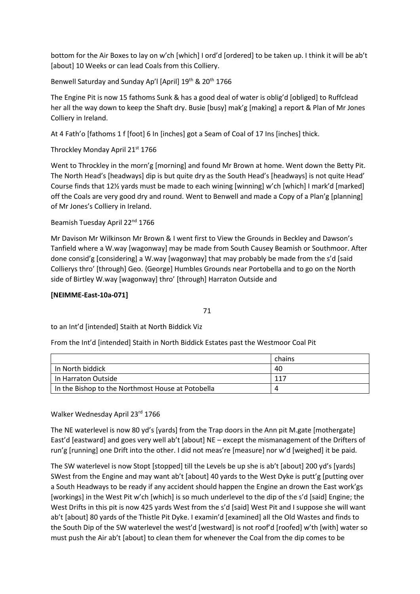bottom for the Air Boxes to lay on w'ch [which] I ord'd [ordered] to be taken up. I think it will be ab't [about] 10 Weeks or can lead Coals from this Colliery.

Benwell Saturday and Sunday Ap'l [April] 19<sup>th</sup> & 20<sup>th</sup> 1766

The Engine Pit is now 15 fathoms Sunk & has a good deal of water is oblig'd [obliged] to Ruffclead her all the way down to keep the Shaft dry. Busie [busy] mak'g [making] a report & Plan of Mr Jones Colliery in Ireland.

At 4 Fath'o [fathoms 1 f [foot] 6 In [inches] got a Seam of Coal of 17 Ins [inches] thick.

Throckley Monday April 21st 1766

Went to Throckley in the morn'g [morning] and found Mr Brown at home. Went down the Betty Pit. The North Head's [headways] dip is but quite dry as the South Head's [headways] is not quite Head' Course finds that 12½ yards must be made to each wining [winning] w'ch [which] I mark'd [marked] off the Coals are very good dry and round. Went to Benwell and made a Copy of a Plan'g [planning] of Mr Jones's Colliery in Ireland.

Beamish Tuesday April 22nd 1766

Mr Davison Mr Wilkinson Mr Brown & I went first to View the Grounds in Beckley and Dawson's Tanfield where a W.way [wagonway] may be made from South Causey Beamish or Southmoor. After done consid'g [considering] a W.way [wagonway] that may probably be made from the s'd [said Collierys thro' [through] Geo. {George] Humbles Grounds near Portobella and to go on the North side of Birtley W.way [wagonway] thro' [through] Harraton Outside and

# **[NEIMME-East-10a-071]**

71

to an Int'd [intended] Staith at North Biddick Viz

From the Int'd [intended] Staith in North Biddick Estates past the Westmoor Coal Pit

|                                                   | chains |
|---------------------------------------------------|--------|
| In North biddick                                  | 40     |
| In Harraton Outside                               | . 117  |
| In the Bishop to the Northmost House at Potobella |        |

Walker Wednesday April 23rd 1766

The NE waterlevel is now 80 yd's [yards] from the Trap doors in the Ann pit M.gate [mothergate] East'd [eastward] and goes very well ab't [about] NE – except the mismanagement of the Drifters of run'g [running] one Drift into the other. I did not meas're [measure] nor w'd [weighed] it be paid.

The SW waterlevel is now Stopt [stopped] till the Levels be up she is ab't [about] 200 yd's [yards] SWest from the Engine and may want ab't [about] 40 yards to the West Dyke is putt'g [putting over a South Headways to be ready if any accident should happen the Engine an drown the East work'gs [workings] in the West Pit w'ch [which] is so much underlevel to the dip of the s'd [said] Engine; the West Drifts in this pit is now 425 yards West from the s'd [said] West Pit and I suppose she will want ab't [about] 80 yards of the Thistle Pit Dyke. I examin'd [examined] all the Old Wastes and finds to the South Dip of the SW waterlevel the west'd [westward] is not roof'd [roofed] w'th [with] water so must push the Air ab't [about] to clean them for whenever the Coal from the dip comes to be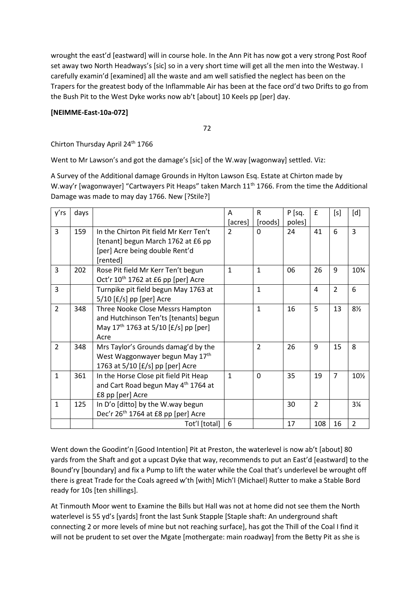wrought the east'd [eastward] will in course hole. In the Ann Pit has now got a very strong Post Roof set away two North Headways's [sic] so in a very short time will get all the men into the Westway. I carefully examin'd [examined] all the waste and am well satisfied the neglect has been on the Trapers for the greatest body of the Inflammable Air has been at the face ord'd two Drifts to go from the Bush Pit to the West Dyke works now ab't [about] 10 Keels pp [per] day.

# **[NEIMME-East-10a-072]**

72

Chirton Thursday April 24<sup>th</sup> 1766

Went to Mr Lawson's and got the damage's [sic] of the W.way [wagonway] settled. Viz:

A Survey of the Additional damage Grounds in Hylton Lawson Esq. Estate at Chirton made by W.way'r [wagonwayer] "Cartwayers Pit Heaps" taken March 11<sup>th</sup> 1766. From the time the Additional Damage was made to may day 1766. New [?Stile?]

| y'rs           | days |                                                 | A            | R              | P [sq. | $\pmb{\mathsf{f}}$ | [s]            | [d]            |
|----------------|------|-------------------------------------------------|--------------|----------------|--------|--------------------|----------------|----------------|
|                |      |                                                 | [acres]      | [roods]        | poles] |                    |                |                |
| 3              | 159  | In the Chirton Pit field Mr Kerr Ten't          | 2            | $\Omega$       | 24     | 41                 | 6              | 3              |
|                |      | [tenant] begun March 1762 at £6 pp              |              |                |        |                    |                |                |
|                |      | [per] Acre being double Rent'd                  |              |                |        |                    |                |                |
|                |      | [rented]                                        |              |                |        |                    |                |                |
| 3              | 202  | Rose Pit field Mr Kerr Ten't begun              | $\mathbf{1}$ | $\mathbf{1}$   | 06     | 26                 | 9              | 10%            |
|                |      | Oct'r 10 <sup>th</sup> 1762 at £6 pp [per] Acre |              |                |        |                    |                |                |
| $\overline{3}$ |      | Turnpike pit field begun May 1763 at            |              | $\mathbf{1}$   |        | 4                  | $\overline{2}$ | 6              |
|                |      | $5/10$ [£/s] pp [per] Acre                      |              |                |        |                    |                |                |
| $\overline{2}$ | 348  | Three Nooke Close Messrs Hampton                |              | $\mathbf{1}$   | 16     | 5                  | 13             | $8\frac{1}{2}$ |
|                |      | and Hutchinson Ten'ts [tenants] begun           |              |                |        |                    |                |                |
|                |      | May $17^{th}$ 1763 at 5/10 [£/s] pp [per]       |              |                |        |                    |                |                |
|                |      | Acre                                            |              |                |        |                    |                |                |
| $\overline{2}$ | 348  | Mrs Taylor's Grounds damag'd by the             |              | $\overline{2}$ | 26     | 9                  | 15             | 8              |
|                |      | West Waggonwayer begun May 17th                 |              |                |        |                    |                |                |
|                |      | 1763 at 5/10 [£/s] pp [per] Acre                |              |                |        |                    |                |                |
| $\mathbf{1}$   | 361  | In the Horse Close pit field Pit Heap           | $\mathbf{1}$ | $\Omega$       | 35     | 19                 | $\overline{7}$ | 10½            |
|                |      | and Cart Road begun May 4th 1764 at             |              |                |        |                    |                |                |
|                |      | £8 pp [per] Acre                                |              |                |        |                    |                |                |
| $\mathbf{1}$   | 125  | In D'o [ditto] by the W.way begun               |              |                | 30     | $\overline{2}$     |                | $3\frac{1}{4}$ |
|                |      | Dec'r 26 <sup>th</sup> 1764 at £8 pp [per] Acre |              |                |        |                    |                |                |
|                |      | Tot'l [total]                                   | 6            |                | 17     | 108                | 16             | $\overline{2}$ |

Went down the Goodint'n [Good Intention] Pit at Preston, the waterlevel is now ab't [about] 80 yards from the Shaft and got a upcast Dyke that way, recommends to put an East'd [eastward] to the Bound'ry [boundary] and fix a Pump to lift the water while the Coal that's underlevel be wrought off there is great Trade for the Coals agreed w'th [with] Mich'l {Michael} Rutter to make a Stable Bord ready for 10s [ten shillings].

At Tinmouth Moor went to Examine the Bills but Hall was not at home did not see them the North waterlevel is 55 yd's [yards] front the last Sunk Stapple [Staple shaft: An underground shaft] connecting 2 or more levels of mine but not reaching surface], has got the Thill of the Coal I find it will not be prudent to set over the Mgate [mothergate: main roadway] from the Betty Pit as she is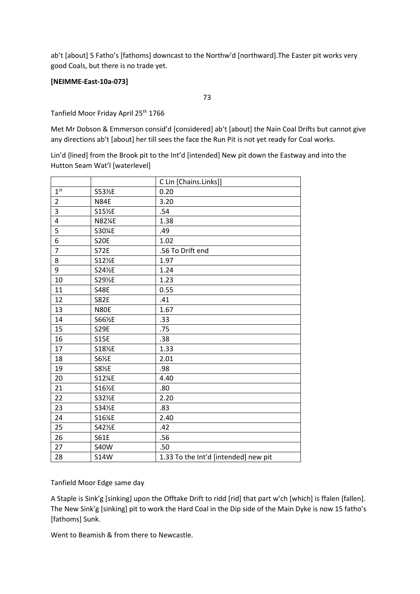ab't [about] 5 Fatho's [fathoms] downcast to the Northw'd [northward].The Easter pit works very good Coals, but there is no trade yet.

### **[NEIMME-East-10a-073]**

Tanfield Moor Friday April 25<sup>th</sup> 1766

Met Mr Dobson & Emmerson consid'd [considered] ab't [about] the Nain Coal Drifts but cannot give any directions ab't [about] her till sees the face the Run Pit is not yet ready for Coal works.

Lin'd {lined] from the Brook pit to the Int'd [intended] New pit down the Eastway and into the Hutton Seam Wat'l [waterlevel]

|                 |             | C Lin [Chains.Links]]                |
|-----------------|-------------|--------------------------------------|
| 1 <sup>st</sup> | S531%E      | 0.20                                 |
| $\overline{2}$  | <b>N84E</b> | 3.20                                 |
| 3               | S15%E       | .54                                  |
| 4               | N82%E       | 1.38                                 |
| 5               | S30%E       | .49                                  |
| 6               | <b>S20E</b> | 1.02                                 |
| $\overline{7}$  | <b>S72E</b> | .56 To Drift end                     |
| 8               | S121%E      | 1.97                                 |
| 9               | S241%E      | 1.24                                 |
| 10              | S291%E      | 1.23                                 |
| 11              | <b>S48E</b> | 0.55                                 |
| 12              | <b>S82E</b> | .41                                  |
| 13              | <b>N80E</b> | 1.67                                 |
| 14              | S66½E       | .33                                  |
| 15              | <b>S29E</b> | .75                                  |
| 16              | <b>S15E</b> | .38                                  |
| 17              | S181%E      | 1.33                                 |
| 18              | S6½E        | 2.01                                 |
| 19              | S81%E       | .98                                  |
| 20              | S12%E       | 4.40                                 |
| 21              | S16½E       | .80                                  |
| 22              | S32½E       | 2.20                                 |
| 23              | S341%E      | .83                                  |
| 24              | S16%E       | 2.40                                 |
| 25              | S421%E      | .42                                  |
| 26              | <b>S61E</b> | .56                                  |
| 27              | <b>S40W</b> | .50                                  |
| 28              | <b>S14W</b> | 1.33 To the Int'd [intended] new pit |

Tanfield Moor Edge same day

A Staple is Sink'g [sinking] upon the Offtake Drift to ridd [rid] that part w'ch [which] is ffalen [fallen]. The New Sink'g [sinking] pit to work the Hard Coal in the Dip side of the Main Dyke is now 15 fatho's [fathoms] Sunk.

Went to Beamish & from there to Newcastle.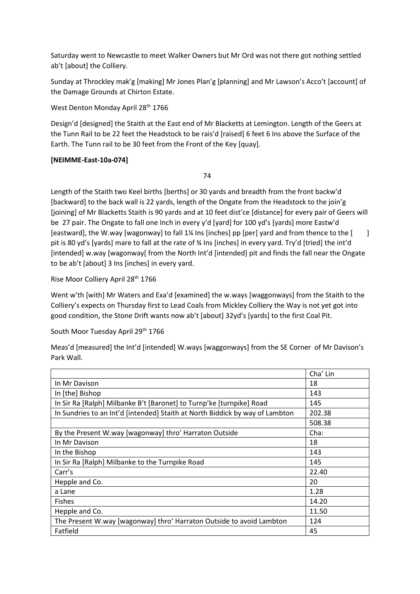Saturday went to Newcastle to meet Walker Owners but Mr Ord was not there got nothing settled ab't [about] the Colliery.

Sunday at Throckley mak'g [making] Mr Jones Plan'g [planning] and Mr Lawson's Acco't [account] of the Damage Grounds at Chirton Estate.

West Denton Monday April 28<sup>th</sup> 1766

Design'd [designed] the Staith at the East end of Mr Blacketts at Lemington. Length of the Geers at the Tunn Rail to be 22 feet the Headstock to be rais'd [raised] 6 feet 6 Ins above the Surface of the Earth. The Tunn rail to be 30 feet from the Front of the Key [quay].

# **[NEIMME-East-10a-074]**

74

Length of the Staith two Keel births [berths] or 30 yards and breadth from the front backw'd [backward] to the back wall is 22 yards, length of the Ongate from the Headstock to the join'g [joining] of Mr Blacketts Staith is 90 yards and at 10 feet dist'ce [distance] for every pair of Geers will be 27 pair. The Ongate to fall one Inch in every y'd [yard] for 100 yd's [yards] more Eastw'd [eastward], the W.way [wagonway] to fall 1¼ Ins [inches] pp [per] yard and from thence to the [ ] pit is 80 yd's [yards] mare to fall at the rate of ¾ Ins [inches] in every yard. Try'd [tried] the int'd [intended] w.way [wagonway[ from the North Int'd [intended] pit and finds the fall near the Ongate to be ab't [about] 3 Ins [inches] in every yard.

Rise Moor Colliery April 28th 1766

Went w'th [with] Mr Waters and Exa'd [examined] the w.ways [waggonways] from the Staith to the Colliery's expects on Thursday first to Lead Coals from Mickley Colliery the Way is not yet got into good condition, the Stone Drift wants now ab't [about] 32yd's [yards] to the first Coal Pit.

# South Moor Tuesday April 29<sup>th</sup> 1766

Meas'd [measured] the Int'd [intended] W.ways [waggonways] from the SE Corner of Mr Davison's Park Wall.

|                                                                              | Cha' Lin |  |
|------------------------------------------------------------------------------|----------|--|
| In Mr Davison                                                                | 18       |  |
| In [the] Bishop                                                              | 143      |  |
| In Sir Ra [Ralph] Milbanke B't [Baronet] to Turnp'ke [turnpike] Road         | 145      |  |
| In Sundries to an Int'd [intended] Staith at North Biddick by way of Lambton | 202.38   |  |
|                                                                              | 508.38   |  |
| By the Present W.way [wagonway] thro' Harraton Outside                       | Cha:     |  |
| In Mr Davison                                                                | 18       |  |
| In the Bishop                                                                | 143      |  |
| In Sir Ra [Ralph] Milbanke to the Turnpike Road                              | 145      |  |
| Carr's                                                                       | 22.40    |  |
| Hepple and Co.                                                               | 20       |  |
| a Lane                                                                       | 1.28     |  |
| <b>Fishes</b>                                                                | 14.20    |  |
| Hepple and Co.                                                               | 11.50    |  |
| The Present W.way [wagonway] thro' Harraton Outside to avoid Lambton         | 124      |  |
| Fatfield                                                                     | 45       |  |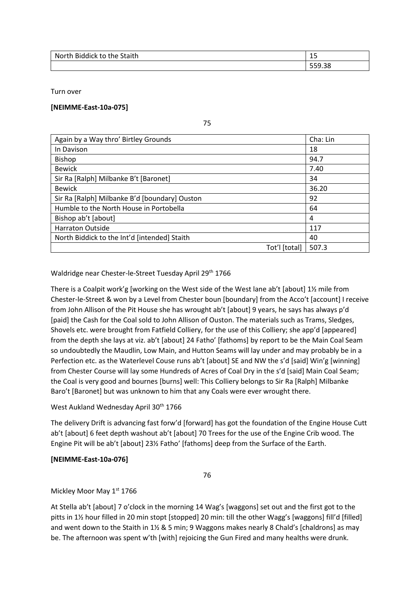| North Biddick to the Staith | $\sim$<br><u>_</u> |  |
|-----------------------------|--------------------|--|
|                             | 559.38             |  |

Turn over

### **[NEIMME-East-10a-075]**

75

| Again by a Way thro' Birtley Grounds          | Cha: Lin      |       |
|-----------------------------------------------|---------------|-------|
| In Davison                                    | 18            |       |
| <b>Bishop</b>                                 |               | 94.7  |
| <b>Bewick</b>                                 |               | 7.40  |
| Sir Ra [Ralph] Milbanke B't [Baronet]         |               | 34    |
| <b>Bewick</b>                                 |               | 36.20 |
| Sir Ra [Ralph] Milbanke B'd [boundary] Ouston |               | 92    |
| Humble to the North House in Portobella       |               | 64    |
| Bishop ab't [about]                           |               | 4     |
| <b>Harraton Outside</b>                       |               | 117   |
| North Biddick to the Int'd [intended] Staith  |               | 40    |
|                                               | Tot'l [total] | 507.3 |

Waldridge near Chester-le-Street Tuesday April 29<sup>th</sup> 1766

There is a Coalpit work'g [working on the West side of the West lane ab't [about] 1½ mile from Chester-le-Street & won by a Level from Chester boun [boundary] from the Acco't [account] I receive from John Allison of the Pit House she has wrought ab't [about] 9 years, he says has always p'd [paid] the Cash for the Coal sold to John Allison of Ouston. The materials such as Trams, Sledges, Shovels etc. were brought from Fatfield Colliery, for the use of this Colliery; she app'd [appeared] from the depth she lays at viz. ab't [about] 24 Fatho' [fathoms] by report to be the Main Coal Seam so undoubtedly the Maudlin, Low Main, and Hutton Seams will lay under and may probably be in a Perfection etc. as the Waterlevel Couse runs ab't [about] SE and NW the s'd [said] Win'g [winning] from Chester Course will lay some Hundreds of Acres of Coal Dry in the s'd [said] Main Coal Seam; the Coal is very good and bournes [burns] well: This Colliery belongs to Sir Ra [Ralph] Milbanke Baro't [Baronet] but was unknown to him that any Coals were ever wrought there.

# West Aukland Wednesday April 30<sup>th</sup> 1766

The delivery Drift is advancing fast forw'd [forward] has got the foundation of the Engine House Cutt ab't [about] 6 feet depth washout ab't [about] 70 Trees for the use of the Engine Crib wood. The Engine Pit will be ab't [about] 23½ Fatho' [fathoms] deep from the Surface of the Earth.

# **[NEIMME-East-10a-076]**

76

Mickley Moor May 1st 1766

At Stella ab't [about] 7 o'clock in the morning 14 Wag's [waggons] set out and the first got to the pitts in 1½ hour filled in 20 min stopt [stopped] 20 min: till the other Wagg's [waggons] fill'd [filled] and went down to the Staith in 1½ & 5 min; 9 Waggons makes nearly 8 Chald's [chaldrons] as may be. The afternoon was spent w'th [with] rejoicing the Gun Fired and many healths were drunk.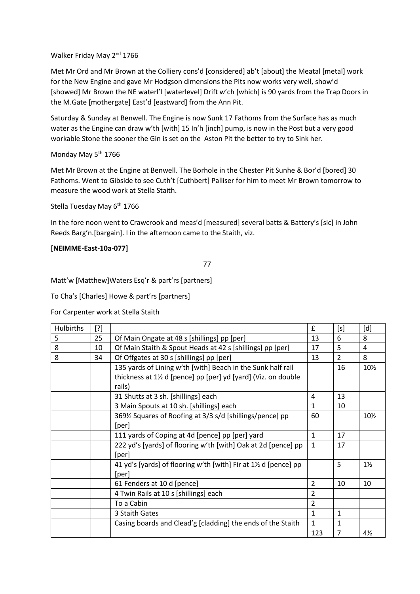### Walker Friday May 2<sup>nd</sup> 1766

Met Mr Ord and Mr Brown at the Colliery cons'd [considered] ab't [about] the Meatal [metal] work for the New Engine and gave Mr Hodgson dimensions the Pits now works very well, show'd [showed] Mr Brown the NE waterl'l [waterlevel] Drift w'ch [which] is 90 yards from the Trap Doors in the M.Gate [mothergate] East'd [eastward] from the Ann Pit.

Saturday & Sunday at Benwell. The Engine is now Sunk 17 Fathoms from the Surface has as much water as the Engine can draw w'th [with] 15 In'h [inch] pump, is now in the Post but a very good workable Stone the sooner the Gin is set on the Aston Pit the better to try to Sink her.

### Monday May 5<sup>th</sup> 1766

Met Mr Brown at the Engine at Benwell. The Borhole in the Chester Pit Sunhe & Bor'd [bored] 30 Fathoms. Went to Gibside to see Cuth't [Cuthbert] Palliser for him to meet Mr Brown tomorrow to measure the wood work at Stella Staith.

Stella Tuesday May 6<sup>th</sup> 1766

In the fore noon went to Crawcrook and meas'd [measured] several batts & Battery's [sic] in John Reeds Barg'n.[bargain]. I in the afternoon came to the Staith, viz.

### **[NEIMME-East-10a-077]**

77

Matt'w [Matthew]Waters Esq'r & part'rs [partners]

To Cha's [Charles] Howe & part'rs [partners]

### For Carpenter work at Stella Staith

| <b>Hulbirths</b> | $[?]$ |                                                                          | £              | [s]            | [d]            |
|------------------|-------|--------------------------------------------------------------------------|----------------|----------------|----------------|
| 5                | 25    | Of Main Ongate at 48 s [shillings] pp [per]                              | 13             | 6              | 8              |
| 8                | 10    | Of Main Staith & Spout Heads at 42 s [shillings] pp [per]                | 17             | 5              | 4              |
| 8                | 34    | Of Offgates at 30 s [shillings] pp [per]                                 | 13             | $\overline{2}$ | 8              |
|                  |       | 135 yards of Lining w'th [with] Beach in the Sunk half rail              |                | 16             | $10\%$         |
|                  |       | thickness at $1\frac{1}{2}$ d [pence] pp [per] yd [yard] (Viz. on double |                |                |                |
|                  |       | rails)                                                                   |                |                |                |
|                  |       | 31 Shutts at 3 sh. [shillings] each                                      | 4              | 13             |                |
|                  |       | 3 Main Spouts at 10 sh. [shillings] each                                 | $\mathbf{1}$   | 10             |                |
|                  |       | 369% Squares of Roofing at 3/3 s/d [shillings/pence] pp                  | 60             |                | 10½            |
|                  |       | [per]                                                                    |                |                |                |
|                  |       | 111 yards of Coping at 4d [pence] pp [per] yard                          | $\mathbf{1}$   | 17             |                |
|                  |       | 222 yd's [yards] of flooring w'th [with] Oak at 2d [pence] pp            | $\mathbf{1}$   | 17             |                |
|                  |       | [per]                                                                    |                |                |                |
|                  |       | 41 yd's [yards] of flooring w'th [with] Fir at 1½ d [pence] pp           |                | 5              | $1\frac{1}{2}$ |
|                  |       | [per]                                                                    |                |                |                |
|                  |       | 61 Fenders at 10 d [pence]                                               | $\overline{2}$ | 10             | 10             |
|                  |       | 4 Twin Rails at 10 s [shillings] each                                    | $\overline{2}$ |                |                |
|                  |       | To a Cabin                                                               | $\overline{2}$ |                |                |
|                  |       | 3 Staith Gates                                                           | $\mathbf{1}$   | $\mathbf{1}$   |                |
|                  |       | Casing boards and Clead'g [cladding] the ends of the Staith              | $\mathbf{1}$   | 1              |                |
|                  |       |                                                                          | 123            | 7              | $4\frac{1}{2}$ |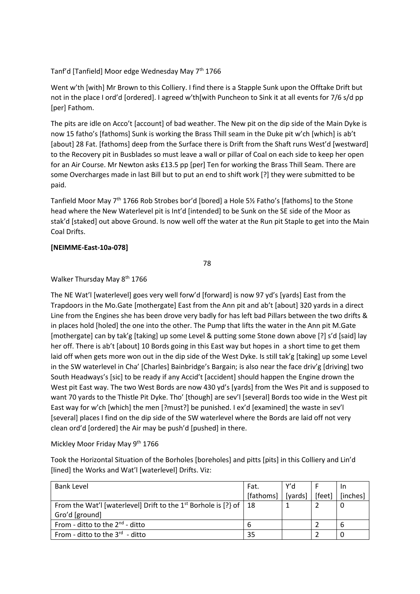### Tanf'd [Tanfield] Moor edge Wednesday May 7<sup>th</sup> 1766

Went w'th [with] Mr Brown to this Colliery. I find there is a Stapple Sunk upon the Offtake Drift but not in the place I ord'd [ordered]. I agreed w'th[with Puncheon to Sink it at all events for 7/6 s/d pp [per] Fathom.

The pits are idle on Acco't [account] of bad weather. The New pit on the dip side of the Main Dyke is now 15 fatho's [fathoms] Sunk is working the Brass Thill seam in the Duke pit w'ch [which] is ab't [about] 28 Fat. [fathoms] deep from the Surface there is Drift from the Shaft runs West'd [westward] to the Recovery pit in Busblades so must leave a wall or pillar of Coal on each side to keep her open for an Air Course. Mr Newton asks £13.5 pp [per] Ten for working the Brass Thill Seam. There are some Overcharges made in last Bill but to put an end to shift work [?] they were submitted to be paid.

Tanfield Moor May 7<sup>th</sup> 1766 Rob Strobes bor'd [bored] a Hole 5½ Fatho's [fathoms] to the Stone head where the New Waterlevel pit is Int'd [intended] to be Sunk on the SE side of the Moor as stak'd [staked] out above Ground. Is now well off the water at the Run pit Staple to get into the Main Coal Drifts.

#### **[NEIMME-East-10a-078]**

78

#### Walker Thursday May 8<sup>th</sup> 1766

The NE Wat'l [waterlevel] goes very well forw'd [forward] is now 97 yd's [yards] East from the Trapdoors in the Mo.Gate [mothergate] East from the Ann pit and ab't [about] 320 yards in a direct Line from the Engines she has been drove very badly for has left bad Pillars between the two drifts & in places hold [holed] the one into the other. The Pump that lifts the water in the Ann pit M.Gate [mothergate] can by tak'g [taking] up some Level & putting some Stone down above [?] s'd [said] lay her off. There is ab't [about] 10 Bords going in this East way but hopes in a short time to get them laid off when gets more won out in the dip side of the West Dyke. Is still tak'g [taking] up some Level in the SW waterlevel in Cha' [Charles] Bainbridge's Bargain; is also near the face driv'g [driving] two South Headways's [sic] to be ready if any Accid't [accident] should happen the Engine drown the West pit East way. The two West Bords are now 430 yd's [yards] from the Wes Pit and is supposed to want 70 yards to the Thistle Pit Dyke. Tho' [though] are sev'l [several] Bords too wide in the West pit East way for w'ch [which] the men [?must?] be punished. I ex'd [examined] the waste in sev'l [several] places I find on the dip side of the SW waterlevel where the Bords are laid off not very clean ord'd [ordered] the Air may be push'd [pushed] in there.

Mickley Moor Friday May 9<sup>th</sup> 1766

Took the Horizontal Situation of the Borholes [boreholes] and pitts [pits] in this Colliery and Lin'd [lined] the Works and Wat'l [waterlevel] Drifts. Viz:

| <b>Bank Level</b>                                                               | Fat.                               | Y'd |          |
|---------------------------------------------------------------------------------|------------------------------------|-----|----------|
|                                                                                 | [fathoms]   [yards] $ $ [feet] $ $ |     | [inches] |
| From the Wat'l [waterlevel] Drift to the 1 <sup>st</sup> Borhole is [?} of   18 |                                    |     |          |
| Gro'd [ground]                                                                  |                                    |     |          |
| From - ditto to the $2^{nd}$ - ditto                                            | b                                  |     | 6        |
| From - ditto to the $3^{rd}$ - ditto                                            | 35                                 |     |          |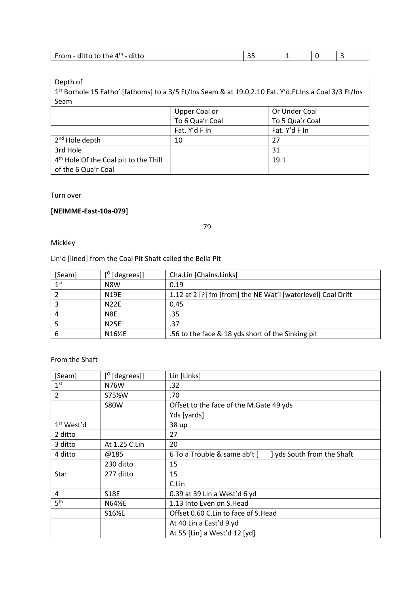| $\mathsf{diff}$<br>⊿tn<br>ditto to the<br>- 4<br>untu<br><b>VIII</b> |  |  |
|----------------------------------------------------------------------|--|--|

| Depth of                                                                                              |                      |                 |  |
|-------------------------------------------------------------------------------------------------------|----------------------|-----------------|--|
| 1st Borhole 15 Fatho' [fathoms] to a 3/5 Ft/Ins Seam & at 19.0.2.10 Fat. Y'd.Ft.Ins a Coal 3/3 Ft/Ins |                      |                 |  |
| Seam                                                                                                  |                      |                 |  |
|                                                                                                       | <b>Upper Coal or</b> | Or Under Coal   |  |
|                                                                                                       | To 6 Qua'r Coal      | To 5 Qua'r Coal |  |
|                                                                                                       | Fat. Y'd F In        | Fat. Y'd F In   |  |
| 2 <sup>nd</sup> Hole depth                                                                            | 10                   | 27              |  |
| 3rd Hole                                                                                              |                      | 31              |  |
| 4 <sup>th</sup> Hole Of the Coal pit to the Thill                                                     |                      | 19.1            |  |
| of the 6 Qua'r Coal                                                                                   |                      |                 |  |

### Turn over

# **[NEIMME-East-10a-079]**

79

Mickley

Lin'd [lined] from the Coal Pit Shaft called the Bella Pit

| [Seam]          | $[°$ [degrees]] | Cha.Lin [Chains.Links]                                       |
|-----------------|-----------------|--------------------------------------------------------------|
| 1 <sup>st</sup> | N8W             | 0.19                                                         |
|                 | <b>N19E</b>     | 1.12 at 2 [?] fm [from] the NE Wat'l [waterlevel] Coal Drift |
|                 | <b>N22E</b>     | 0.45                                                         |
|                 | N8E             | .35                                                          |
|                 | <b>N25E</b>     | .37                                                          |
|                 | N16½E           | .56 to the face & 18 yds short of the Sinking pit            |

From the Shaft

| [Seam]                 | $[°$ [degrees]]    | Lin [Links]                                                |  |
|------------------------|--------------------|------------------------------------------------------------|--|
| 1 <sup>st</sup>        | N76W               | .32                                                        |  |
| 2                      | S75 <sup>%</sup> W | .70                                                        |  |
|                        | <b>S80W</b>        | Offset to the face of the M.Gate 49 yds                    |  |
|                        |                    | Yds [yards]                                                |  |
| 1 <sup>st</sup> West'd |                    | 38 up                                                      |  |
| 2 ditto                |                    | 27                                                         |  |
| 3 ditto                | At 1.25 C.Lin      | 20                                                         |  |
| 4 ditto                | @185               | ] yds South from the Shaft<br>6 To a Trouble & same ab't [ |  |
|                        | 230 ditto          | 15                                                         |  |
| Sta:                   | 277 ditto          | 15                                                         |  |
|                        |                    | C.Lin                                                      |  |
| 4                      | S18E               | 0.39 at 39 Lin a West'd 6 yd                               |  |
| 5 <sup>th</sup>        | N64½E              | 1.13 Into Even on S.Head                                   |  |
|                        | S16½E              | Offset 0.60 C.Lin to face of S.Head                        |  |
|                        |                    | At 40 Lin a East'd 9 yd                                    |  |
|                        |                    | At 55 [Lin] a West'd 12 [yd]                               |  |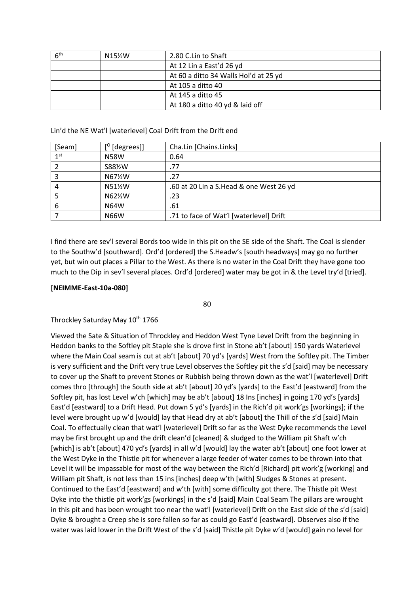| 6 <sup>th</sup> | N15½W | 2.80 C.Lin to Shaft                   |
|-----------------|-------|---------------------------------------|
|                 |       | At 12 Lin a East'd 26 yd              |
|                 |       | At 60 a ditto 34 Walls Hol'd at 25 yd |
|                 |       | At 105 a ditto 40                     |
|                 |       | At 145 a ditto 45                     |
|                 |       | At 180 a ditto 40 yd & laid off       |

### Lin'd the NE Wat'l [waterlevel] Coal Drift from the Drift end

| [Seam]          | $[°$ [degrees]] | Cha.Lin [Chains.Links]                  |
|-----------------|-----------------|-----------------------------------------|
| 1 <sub>st</sub> | <b>N58W</b>     | 0.64                                    |
|                 | S88%W           | .77                                     |
| 3               | N67½W           | .27                                     |
| 4               | N51%W           | .60 at 20 Lin a S.Head & one West 26 yd |
|                 | N62%W           | .23                                     |
| 6               | <b>N64W</b>     | .61                                     |
|                 | <b>N66W</b>     | .71 to face of Wat'l [waterlevel] Drift |

I find there are sev'l several Bords too wide in this pit on the SE side of the Shaft. The Coal is slender to the Southw'd [southward]. Ord'd [ordered] the S.Headw's [south headways] may go no further yet, but win out places a Pillar to the West. As there is no water in the Coal Drift they have gone too much to the Dip in sev'l several places. Ord'd [ordered] water may be got in & the Level try'd [tried].

### **[NEIMME-East-10a-080]**

80

### Throckley Saturday May 10<sup>th</sup> 1766

Viewed the Sate & Situation of Throckley and Heddon West Tyne Level Drift from the beginning in Heddon banks to the Softley pit Staple she is drove first in Stone ab't [about] 150 yards Waterlevel where the Main Coal seam is cut at ab't [about] 70 yd's [yards] West from the Softley pit. The Timber is very sufficient and the Drift very true Level observes the Softley pit the s'd [said] may be necessary to cover up the Shaft to prevent Stones or Rubbish being thrown down as the wat'l [waterlevel] Drift comes thro [through] the South side at ab't [about] 20 yd's [yards] to the East'd [eastward] from the Softley pit, has lost Level w'ch [which] may be ab't [about] 18 Ins [inches] in going 170 yd's [yards] East'd [eastward] to a Drift Head. Put down 5 yd's [yards] in the Rich'd pit work'gs [workings]; if the level were brought up w'd [would] lay that Head dry at ab't [about] the Thill of the s'd [said] Main Coal. To effectually clean that wat'l [waterlevel] Drift so far as the West Dyke recommends the Level may be first brought up and the drift clean'd [cleaned] & sludged to the William pit Shaft w'ch [which] is ab't [about] 470 yd's [yards] in all w'd [would] lay the water ab't [about] one foot lower at the West Dyke in the Thistle pit for whenever a large feeder of water comes to be thrown into that Level it will be impassable for most of the way between the Rich'd [Richard] pit work'g [working] and William pit Shaft, is not less than 15 ins [inches] deep w'th [with] Sludges & Stones at present. Continued to the East'd [eastward] and w'th [with] some difficulty got there. The Thistle pit West Dyke into the thistle pit work'gs [workings] in the s'd [said] Main Coal Seam The pillars are wrought in this pit and has been wrought too near the wat'l [waterlevel] Drift on the East side of the s'd [said] Dyke & brought a Creep she is sore fallen so far as could go East'd [eastward]. Observes also if the water was laid lower in the Drift West of the s'd [said] Thistle pit Dyke w'd [would] gain no level for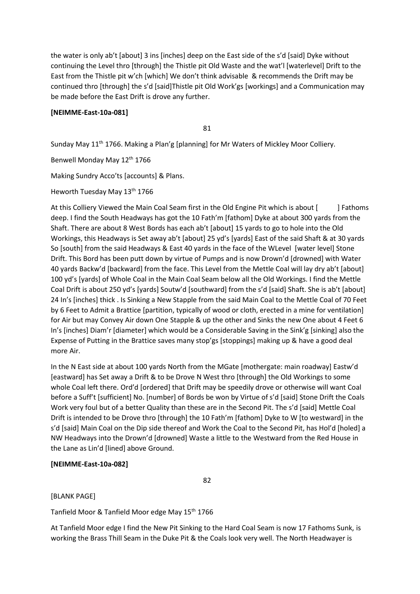the water is only ab't [about] 3 ins [inches] deep on the East side of the s'd [said] Dyke without continuing the Level thro [through] the Thistle pit Old Waste and the wat'l [waterlevel] Drift to the East from the Thistle pit w'ch [which] We don't think advisable & recommends the Drift may be continued thro [through] the s'd [said]Thistle pit Old Work'gs [workings] and a Communication may be made before the East Drift is drove any further.

### **[NEIMME-East-10a-081]**

81

Sunday May 11th 1766. Making a Plan'g [planning] for Mr Waters of Mickley Moor Colliery.

Benwell Monday May 12th 1766

Making Sundry Acco'ts [accounts] & Plans.

Heworth Tuesday May 13<sup>th</sup> 1766

At this Colliery Viewed the Main Coal Seam first in the Old Engine Pit which is about [ ] Fathoms deep. I find the South Headways has got the 10 Fath'm [fathom] Dyke at about 300 yards from the Shaft. There are about 8 West Bords has each ab't [about] 15 yards to go to hole into the Old Workings, this Headways is Set away ab't [about] 25 yd's [yards] East of the said Shaft & at 30 yards So [south] from the said Headways & East 40 yards in the face of the WLevel [water level] Stone Drift. This Bord has been putt down by virtue of Pumps and is now Drown'd [drowned] with Water 40 yards Backw'd [backward] from the face. This Level from the Mettle Coal will lay dry ab't [about] 100 yd's [yards] of Whole Coal in the Main Coal Seam below all the Old Workings. I find the Mettle Coal Drift is about 250 yd's [yards] Soutw'd [southward] from the s'd [said] Shaft. She is ab't [about] 24 In's [inches] thick . Is Sinking a New Stapple from the said Main Coal to the Mettle Coal of 70 Feet by 6 Feet to Admit a Brattice [partition, typically of wood or cloth, erected in a mine for ventilation] for Air but may Convey Air down One Stapple & up the other and Sinks the new One about 4 Feet 6 In's [inches] Diam'r [diameter] which would be a Considerable Saving in the Sink'g [sinking] also the Expense of Putting in the Brattice saves many stop'gs [stoppings] making up & have a good deal more Air.

In the N East side at about 100 yards North from the MGate [mothergate: main roadway] Eastw'd [eastward] has Set away a Drift & to be Drove N West thro [through] the Old Workings to some whole Coal left there. Ord'd [ordered] that Drift may be speedily drove or otherwise will want Coal before a Suff't [sufficient] No. [number] of Bords be won by Virtue of s'd [said] Stone Drift the Coals Work very foul but of a better Quality than these are in the Second Pit. The s'd [said] Mettle Coal Drift is intended to be Drove thro [through] the 10 Fath'm [fathom] Dyke to W [to westward] in the s'd [said] Main Coal on the Dip side thereof and Work the Coal to the Second Pit, has Hol'd [holed] a NW Headways into the Drown'd [drowned] Waste a little to the Westward from the Red House in the Lane as Lin'd [lined] above Ground.

#### **[NEIMME-East-10a-082]**

82

#### [BLANK PAGE]

Tanfield Moor & Tanfield Moor edge May 15<sup>th</sup> 1766

At Tanfield Moor edge I find the New Pit Sinking to the Hard Coal Seam is now 17 Fathoms Sunk, is working the Brass Thill Seam in the Duke Pit & the Coals look very well. The North Headwayer is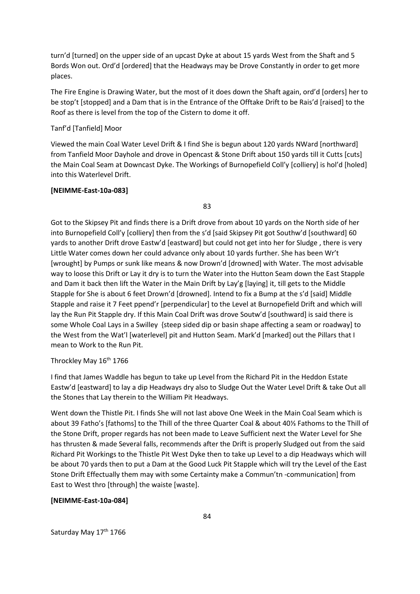turn'd [turned] on the upper side of an upcast Dyke at about 15 yards West from the Shaft and 5 Bords Won out. Ord'd [ordered] that the Headways may be Drove Constantly in order to get more places.

The Fire Engine is Drawing Water, but the most of it does down the Shaft again, ord'd [orders] her to be stop't [stopped] and a Dam that is in the Entrance of the Offtake Drift to be Rais'd [raised] to the Roof as there is level from the top of the Cistern to dome it off.

#### Tanf'd [Tanfield] Moor

Viewed the main Coal Water Level Drift & I find She is begun about 120 yards NWard [northward] from Tanfield Moor Dayhole and drove in Opencast & Stone Drift about 150 yards till it Cutts [cuts] the Main Coal Seam at Downcast Dyke. The Workings of Burnopefield Coll'y [colliery] is hol'd [holed] into this Waterlevel Drift.

#### **[NEIMME-East-10a-083]**

83

Got to the Skipsey Pit and finds there is a Drift drove from about 10 yards on the North side of her into Burnopefield Coll'y [colliery] then from the s'd [said Skipsey Pit got Southw'd [southward] 60 yards to another Drift drove Eastw'd [eastward] but could not get into her for Sludge , there is very Little Water comes down her could advance only about 10 yards further. She has been Wr't [wrought] by Pumps or sunk like means & now Drown'd [drowned] with Water. The most advisable way to loose this Drift or Lay it dry is to turn the Water into the Hutton Seam down the East Stapple and Dam it back then lift the Water in the Main Drift by Lay'g [laying] it, till gets to the Middle Stapple for She is about 6 feet Drown'd [drowned]. Intend to fix a Bump at the s'd [said] Middle Stapple and raise it 7 Feet ppend'r [perpendicular] to the Level at Burnopefield Drift and which will lay the Run Pit Stapple dry. If this Main Coal Drift was drove Soutw'd [southward] is said there is some Whole Coal Lays in a Swilley {steep sided dip or basin shape affecting a seam or roadway] to the West from the Wat'l [waterlevel] pit and Hutton Seam. Mark'd [marked] out the Pillars that I mean to Work to the Run Pit.

#### Throckley May 16<sup>th</sup> 1766

I find that James Waddle has begun to take up Level from the Richard Pit in the Heddon Estate Eastw'd [eastward] to lay a dip Headways dry also to Sludge Out the Water Level Drift & take Out all the Stones that Lay therein to the William Pit Headways.

Went down the Thistle Pit. I finds She will not last above One Week in the Main Coal Seam which is about 39 Fatho's [fathoms] to the Thill of the three Quarter Coal & about 40⅓ Fathoms to the Thill of the Stone Drift, proper regards has not been made to Leave Sufficient next the Water Level for She has thrusten & made Several falls, recommends after the Drift is properly Sludged out from the said Richard Pit Workings to the Thistle Pit West Dyke then to take up Level to a dip Headways which will be about 70 yards then to put a Dam at the Good Luck Pit Stapple which will try the Level of the East Stone Drift Effectually them may with some Certainty make a Commun'tn -communication] from East to West thro [through] the waiste [waste].

#### **[NEIMME-East-10a-084]**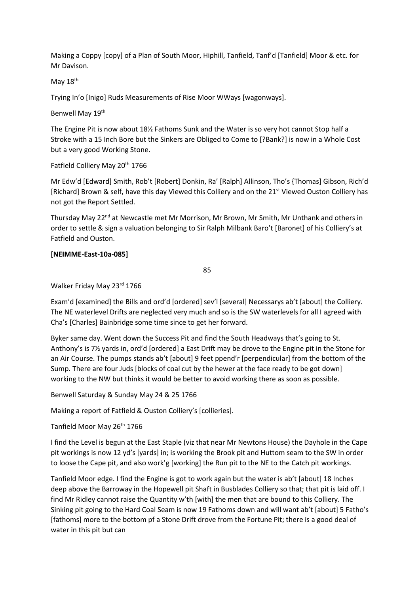Making a Coppy [copy] of a Plan of South Moor, Hiphill, Tanfield, Tanf'd [Tanfield] Moor & etc. for Mr Davison.

May 18<sup>th</sup>

Trying In'o [Inigo] Ruds Measurements of Rise Moor WWays [wagonways].

Benwell May 19<sup>th</sup>

The Engine Pit is now about 18½ Fathoms Sunk and the Water is so very hot cannot Stop half a Stroke with a 15 Inch Bore but the Sinkers are Obliged to Come to [?Bank?] is now in a Whole Cost but a very good Working Stone.

Fatfield Colliery May 20<sup>th</sup> 1766

Mr Edw'd [Edward] Smith, Rob't [Robert] Donkin, Ra' [Ralph] Allinson, Tho's {Thomas] Gibson, Rich'd [Richard] Brown & self, have this day Viewed this Colliery and on the 21<sup>st</sup> Viewed Ouston Colliery has not got the Report Settled.

Thursday May 22<sup>nd</sup> at Newcastle met Mr Morrison, Mr Brown, Mr Smith, Mr Unthank and others in order to settle & sign a valuation belonging to Sir Ralph Milbank Baro't [Baronet] of his Colliery's at Fatfield and Ouston.

### **[NEIMME-East-10a-085]**

85

Walker Friday May 23rd 1766

Exam'd [examined] the Bills and ord'd [ordered] sev'l [several] Necessarys ab't [about] the Colliery. The NE waterlevel Drifts are neglected very much and so is the SW waterlevels for all I agreed with Cha's [Charles] Bainbridge some time since to get her forward.

Byker same day. Went down the Success Pit and find the South Headways that's going to St. Anthony's is 7½ yards in, ord'd [ordered] a East Drift may be drove to the Engine pit in the Stone for an Air Course. The pumps stands ab't [about] 9 feet ppend'r [perpendicular] from the bottom of the Sump. There are four Juds [blocks of coal cut by the hewer at the face ready to be got down] working to the NW but thinks it would be better to avoid working there as soon as possible.

Benwell Saturday & Sunday May 24 & 25 1766

Making a report of Fatfield & Ouston Colliery's [collieries].

Tanfield Moor May 26<sup>th</sup> 1766

I find the Level is begun at the East Staple (viz that near Mr Newtons House) the Dayhole in the Cape pit workings is now 12 yd's [yards] in; is working the Brook pit and Huttom seam to the SW in order to loose the Cape pit, and also work'g [working] the Run pit to the NE to the Catch pit workings.

Tanfield Moor edge. I find the Engine is got to work again but the water is ab't [about] 18 Inches deep above the Barroway in the Hopewell pit Shaft in Busblades Colliery so that; that pit is laid off. I find Mr Ridley cannot raise the Quantity w'th [with] the men that are bound to this Colliery. The Sinking pit going to the Hard Coal Seam is now 19 Fathoms down and will want ab't [about] 5 Fatho's [fathoms] more to the bottom pf a Stone Drift drove from the Fortune Pit; there is a good deal of water in this pit but can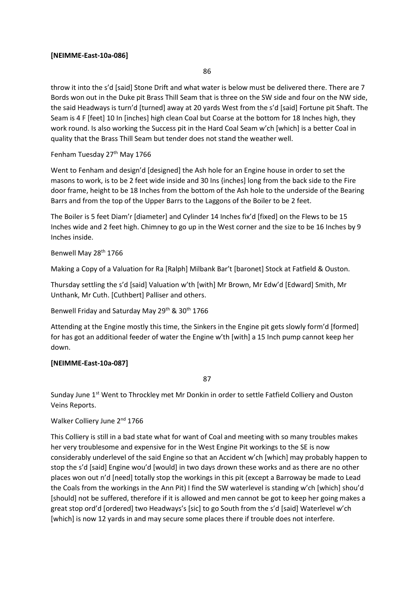### **[NEIMME-East-10a-086]**

86

throw it into the s'd [said] Stone Drift and what water is below must be delivered there. There are 7 Bords won out in the Duke pit Brass Thill Seam that is three on the SW side and four on the NW side, the said Headways is turn'd [turned] away at 20 yards West from the s'd [said] Fortune pit Shaft. The Seam is 4 F [feet] 10 In [inches] high clean Coal but Coarse at the bottom for 18 Inches high, they work round. Is also working the Success pit in the Hard Coal Seam w'ch [which] is a better Coal in quality that the Brass Thill Seam but tender does not stand the weather well.

### Fenham Tuesday 27<sup>th</sup> May 1766

Went to Fenham and design'd [designed] the Ash hole for an Engine house in order to set the masons to work, is to be 2 feet wide inside and 30 Ins {inches] long from the back side to the Fire door frame, height to be 18 Inches from the bottom of the Ash hole to the underside of the Bearing Barrs and from the top of the Upper Barrs to the Laggons of the Boiler to be 2 feet.

The Boiler is 5 feet Diam'r [diameter] and Cylinder 14 Inches fix'd [fixed] on the Flews to be 15 Inches wide and 2 feet high. Chimney to go up in the West corner and the size to be 16 Inches by 9 Inches inside.

#### Benwell May 28<sup>th</sup> 1766

Making a Copy of a Valuation for Ra [Ralph] Milbank Bar't [baronet] Stock at Fatfield & Ouston.

Thursday settling the s'd [said] Valuation w'th [with] Mr Brown, Mr Edw'd [Edward] Smith, Mr Unthank, Mr Cuth. [Cuthbert] Palliser and others.

Benwell Friday and Saturday May 29<sup>th</sup> & 30<sup>th</sup> 1766

Attending at the Engine mostly this time, the Sinkers in the Engine pit gets slowly form'd [formed] for has got an additional feeder of water the Engine w'th [with] a 15 Inch pump cannot keep her down.

### **[NEIMME-East-10a-087]**

87

Sunday June 1<sup>st</sup> Went to Throckley met Mr Donkin in order to settle Fatfield Colliery and Ouston Veins Reports.

### Walker Colliery June 2<sup>nd</sup> 1766

This Colliery is still in a bad state what for want of Coal and meeting with so many troubles makes her very troublesome and expensive for in the West Engine Pit workings to the SE is now considerably underlevel of the said Engine so that an Accident w'ch [which] may probably happen to stop the s'd [said] Engine wou'd [would] in two days drown these works and as there are no other places won out n'd [need] totally stop the workings in this pit (except a Barroway be made to Lead the Coals from the workings in the Ann Pit) I find the SW waterlevel is standing w'ch [which] shou'd [should] not be suffered, therefore if it is allowed and men cannot be got to keep her going makes a great stop ord'd [ordered] two Headways's [sic] to go South from the s'd [said] Waterlevel w'ch [which] is now 12 yards in and may secure some places there if trouble does not interfere.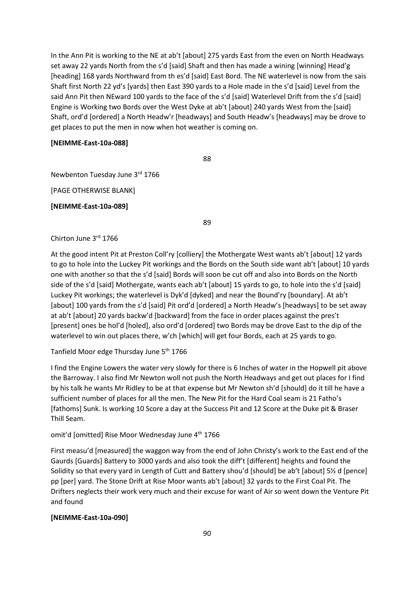In the Ann Pit is working to the NE at ab't [about] 275 yards East from the even on North Headways set away 22 yards North from the s'd [said] Shaft and then has made a wining [winning] Head'g [heading] 168 yards Northward from th es'd [said] East Bord. The NE waterlevel is now from the sais Shaft first North 22 yd's [yards] then East 390 yards to a Hole made in the s'd [said] Level from the said Ann Pit then NEward 100 yards to the face of the s'd [said] Waterlevel Drift from the s'd [said] Engine is Working two Bords over the West Dyke at ab't [about] 240 yards West from the [said] Shaft, ord'd [ordered] a North Headw'r [headways] and South Headw's [headways] may be drove to get places to put the men in now when hot weather is coming on.

#### **[NEIMME-East-10a-088]**

88

Newbenton Tuesday June 3rd 1766

[PAGE OTHERWISE BLANK]

**[NEIMME-East-10a-089]**

89

#### Chirton June 3rd 1766

At the good intent Pit at Preston Coll'ry [colliery] the Mothergate West wants ab't [about] 12 yards to go to hole into the Luckey Pit workings and the Bords on the South side want ab't [about] 10 yards one with another so that the s'd [said] Bords will soon be cut off and also into Bords on the North side of the s'd [said] Mothergate, wants each ab't [about] 15 yards to go, to hole into the s'd [said] Luckey Pit workings; the waterlevel is Dyk'd [dyked] and near the Bound'ry [boundary]. At ab't [about] 100 yards from the s'd [said] Pit ord'd [ordered] a North Headw's [headways] to be set away at ab't [about] 20 yards backw'd [backward] from the face in order places against the pres't [present] ones be hol'd [holed], also ord'd [ordered] two Bords may be drove East to the dip of the waterlevel to win out places there, w'ch [which] will get four Bords, each at 25 yards to go.

Tanfield Moor edge Thursday June 5<sup>th</sup> 1766

I find the Engine Lowers the water very slowly for there is 6 Inches of water in the Hopwell pit above the Barroway. I also find Mr Newton woll not push the North Headways and get out places for I find by his talk he wants Mr Ridley to be at that expense but Mr Newton sh'd [should] do it till he have a sufficient number of places for all the men. The New Pit for the Hard Coal seam is 21 Fatho's [fathoms] Sunk. Is working 10 Score a day at the Success Pit and 12 Score at the Duke pit & Braser Thill Seam.

omit'd [omitted] Rise Moor Wednesday June 4<sup>th</sup> 1766

First measu'd [measured] the waggon way from the end of John Christy's work to the East end of the Gaurds [Guards] Battery to 3000 yards and also took the diff't [different] heights and found the Solidity so that every yard in Length of Cutt and Battery shou'd [should] be ab't [about] 5½ d [pence] pp [per] yard. The Stone Drift at Rise Moor wants ab't [about] 32 yards to the First Coal Pit. The Drifters neglects their work very much and their excuse for want of Air so went down the Venture Pit and found

#### **[NEIMME-East-10a-090]**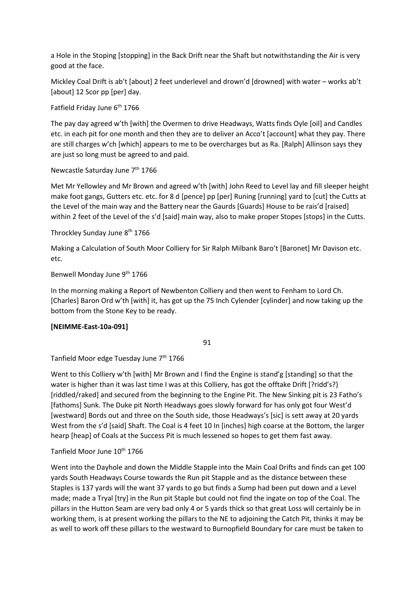a Hole in the Stoping [stopping] in the Back Drift near the Shaft but notwithstanding the Air is very good at the face.

Mickley Coal Drift is ab't [about] 2 feet underlevel and drown'd [drowned] with water – works ab't [about] 12 Scor pp [per] day.

Fatfield Friday June 6<sup>th</sup> 1766

The pay day agreed w'th [with] the Overmen to drive Headways, Watts finds Oyle [oil] and Candles etc. in each pit for one month and then they are to deliver an Acco't [account] what they pay. There are still charges w'ch [which] appears to me to be overcharges but as Ra. [Ralph] Allinson says they are just so long must be agreed to and paid.

### Newcastle Saturday June 7<sup>th</sup> 1766

Met Mr Yellowley and Mr Brown and agreed w'th [with] John Reed to Level lay and fill sleeper height make foot gangs, Gutters etc. etc. for 8 d [pence] pp [per] Runing [running] yard to [cut] the Cutts at the Level of the main way and the Battery near the Gaurds [Guards] House to be rais'd [raised] within 2 feet of the Level of the s'd [said] main way, also to make proper Stopes [stops] in the Cutts.

Throckley Sunday June 8th 1766

Making a Calculation of South Moor Colliery for Sir Ralph Milbank Baro't [Baronet] Mr Davison etc. etc.

Benwell Monday June 9<sup>th</sup> 1766

In the morning making a Report of Newbenton Colliery and then went to Fenham to Lord Ch. [Charles] Baron Ord w'th [with] it, has got up the 75 Inch Cylender [cylinder] and now taking up the bottom from the Stone Key to be ready.

### **[NEIMME-East-10a-091]**

91

Tanfield Moor edge Tuesday June 7<sup>th</sup> 1766

Went to this Colliery w'th [with] Mr Brown and I find the Engine is stand'g [standing] so that the water is higher than it was last time I was at this Colliery, has got the offtake Drift [?ridd's?] [riddled/raked] and secured from the beginning to the Engine Pit. The New Sinking pit is 23 Fatho's [fathoms] Sunk. The Duke pit North Headways goes slowly forward for has only got four West'd [westward] Bords out and three on the South side, those Headways's [sic] is sett away at 20 yards West from the s'd [said] Shaft. The Coal is 4 feet 10 In [inches] high coarse at the Bottom, the larger hearp [heap] of Coals at the Success Pit is much lessened so hopes to get them fast away.

### Tanfield Moor June 10<sup>th</sup> 1766

Went into the Dayhole and down the Middle Stapple into the Main Coal Drifts and finds can get 100 yards South Headways Course towards the Run pit Stapple and as the distance between these Staples is 137 yards will the want 37 yards to go but finds a Sump had been put down and a Level made; made a Tryal [try] in the Run pit Staple but could not find the ingate on top of the Coal. The pillars in the Hutton Seam are very bad only 4 or 5 yards thick so that great Loss will certainly be in working them, is at present working the pillars to the NE to adjoining the Catch Pit, thinks it may be as well to work off these pillars to the westward to Burnopfield Boundary for care must be taken to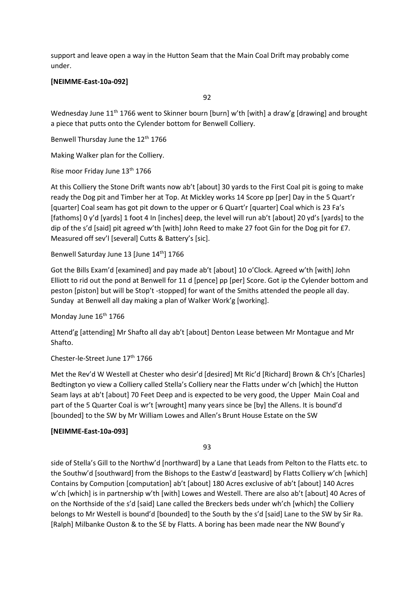support and leave open a way in the Hutton Seam that the Main Coal Drift may probably come under.

### **[NEIMME-East-10a-092]**

92

Wednesday June 11<sup>th</sup> 1766 went to Skinner bourn [burn] w'th [with] a draw'g [drawing] and brought a piece that putts onto the Cylender bottom for Benwell Colliery.

Benwell Thursday June the 12<sup>th</sup> 1766

Making Walker plan for the Colliery.

Rise moor Friday June 13<sup>th</sup> 1766

At this Colliery the Stone Drift wants now ab't [about] 30 yards to the First Coal pit is going to make ready the Dog pit and Timber her at Top. At Mickley works 14 Score pp [per] Day in the 5 Quart'r [quarter] Coal seam has got pit down to the upper or 6 Quart'r [quarter] Coal which is 23 Fa's [fathoms] 0 y'd [yards] 1 foot 4 In [inches] deep, the level will run ab't [about] 20 yd's [yards] to the dip of the s'd [said] pit agreed w'th [with] John Reed to make 27 foot Gin for the Dog pit for £7. Measured off sev'l [several] Cutts & Battery's [sic].

Benwell Saturday June 13 [June 14<sup>th</sup>] 1766

Got the Bills Exam'd [examined] and pay made ab't [about] 10 o'Clock. Agreed w'th [with] John Elliott to rid out the pond at Benwell for 11 d [pence] pp [per] Score. Got ip the Cylender bottom and peston [piston] but will be Stop't -stopped] for want of the Smiths attended the people all day. Sunday at Benwell all day making a plan of Walker Work'g [working].

Monday June 16<sup>th</sup> 1766

Attend'g [attending] Mr Shafto all day ab't [about] Denton Lease between Mr Montague and Mr Shafto.

### Chester-le-Street June 17th 1766

Met the Rev'd W Westell at Chester who desir'd [desired] Mt Ric'd [Richard] Brown & Ch's [Charles] Bedtington yo view a Colliery called Stella's Colliery near the Flatts under w'ch [which] the Hutton Seam lays at ab't [about] 70 Feet Deep and is expected to be very good, the Upper Main Coal and part of the 5 Quarter Coal is wr't [wrought] many years since be [by] the Allens. It is bound'd [bounded] to the SW by Mr William Lowes and Allen's Brunt House Estate on the SW

#### **[NEIMME-East-10a-093]**

93

side of Stella's Gill to the Northw'd [northward] by a Lane that Leads from Pelton to the Flatts etc. to the Southw'd [southward] from the Bishops to the Eastw'd [eastward] by Flatts Colliery w'ch [which] Contains by Compution [computation] ab't [about] 180 Acres exclusive of ab't [about] 140 Acres w'ch [which] is in partnership w'th [with] Lowes and Westell. There are also ab't [about] 40 Acres of on the Northside of the s'd [said] Lane called the Breckers beds under wh'ch [which] the Colliery belongs to Mr Westell is bound'd [bounded] to the South by the s'd [said] Lane to the SW by Sir Ra. [Ralph] Milbanke Ouston & to the SE by Flatts. A boring has been made near the NW Bound'y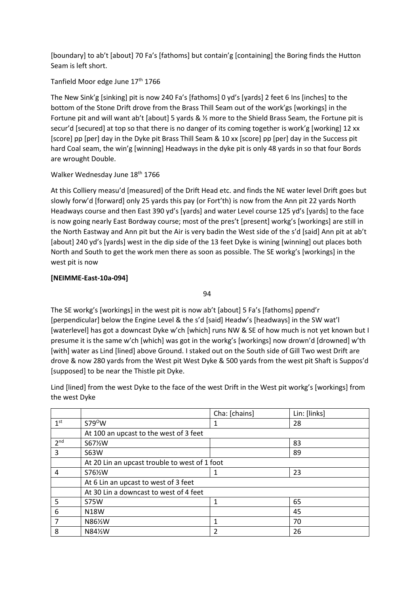[boundary] to ab't [about] 70 Fa's [fathoms] but contain'g [containing] the Boring finds the Hutton Seam is left short.

## Tanfield Moor edge June 17<sup>th</sup> 1766

The New Sink'g [sinking] pit is now 240 Fa's [fathoms] 0 yd's [yards] 2 feet 6 Ins [inches] to the bottom of the Stone Drift drove from the Brass Thill Seam out of the work'gs [workings] in the Fortune pit and will want ab't [about] 5 yards & ½ more to the Shield Brass Seam, the Fortune pit is secur'd [secured] at top so that there is no danger of its coming together is work'g [working] 12 xx [score] pp [per] day in the Dyke pit Brass Thill Seam & 10 xx [score] pp [per] day in the Success pit hard Coal seam, the win'g [winning] Headways in the dyke pit is only 48 yards in so that four Bords are wrought Double.

# Walker Wednesday June 18<sup>th</sup> 1766

At this Colliery measu'd [measured] of the Drift Head etc. and finds the NE water level Drift goes but slowly forw'd [forward] only 25 yards this pay (or Fort'th) is now from the Ann pit 22 yards North Headways course and then East 390 yd's [yards] and water Level course 125 yd's [yards] to the face is now going nearly East Bordway course; most of the pres't [present] workg's [workings] are still in the North Eastway and Ann pit but the Air is very badin the West side of the s'd [said] Ann pit at ab't [about] 240 yd's [yards] west in the dip side of the 13 feet Dyke is wining [winning] out places both North and South to get the work men there as soon as possible. The SE workg's [workings] in the west pit is now

# **[NEIMME-East-10a-094]**

94

The SE workg's [workings] in the west pit is now ab't [about] 5 Fa's [fathoms] ppend'r [perpendicular] below the Engine Level & the s'd [said] Headw's [headways] in the SW wat'l [waterlevel] has got a downcast Dyke w'ch [which] runs NW & SE of how much is not yet known but I presume it is the same w'ch [which] was got in the workg's [workings] now drown'd [drowned] w'th [with] water as Lind [lined] above Ground. I staked out on the South side of Gill Two west Drift are drove & now 280 yards from the West pit West Dyke & 500 yards from the west pit Shaft is Suppos'd [supposed] to be near the Thistle pit Dyke.

Lind [lined] from the west Dyke to the face of the west Drift in the West pit workg's [workings] from the west Dyke

|                 |                                               | Cha: [chains] | Lin: [links] |
|-----------------|-----------------------------------------------|---------------|--------------|
| 1 <sup>st</sup> | $S79^{\circ}W$                                |               | 28           |
|                 | At 100 an upcast to the west of 3 feet        |               |              |
| 2 <sup>nd</sup> | S67½W                                         |               | 83           |
| 3               | <b>S63W</b>                                   |               | 89           |
|                 | At 20 Lin an upcast trouble to west of 1 foot |               |              |
| 4               | S76%W                                         |               | 23           |
|                 | At 6 Lin an upcast to west of 3 feet          |               |              |
|                 | At 30 Lin a downcast to west of 4 feet        |               |              |
| 5               | <b>S75W</b>                                   | 1             | 65           |
| 6               | N18W                                          |               | 45           |
| 7               | N86½W                                         | 1             | 70           |
| 8               | N84½W                                         | 2             | 26           |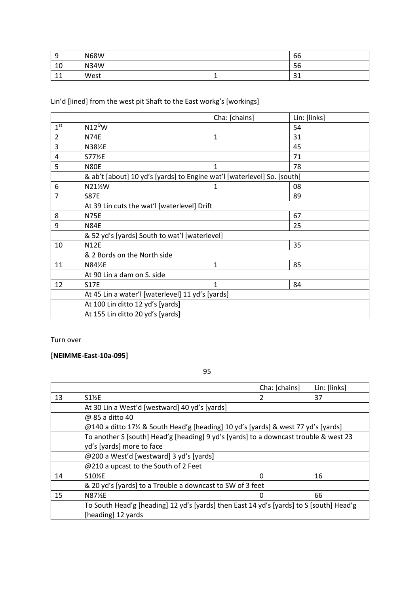| a<br>ے                      | <b>N68W</b> |   | $\sim$<br>bb |
|-----------------------------|-------------|---|--------------|
| 10                          | <b>N34W</b> |   | 56           |
| $\overline{A}$<br><b>TT</b> | West        | - | $\sim$<br>ັ  |

Lin'd [lined] from the west pit Shaft to the East workg's [workings]

|                 |                                                                         | Cha: [chains] | Lin: [links] |
|-----------------|-------------------------------------------------------------------------|---------------|--------------|
| 1 <sup>st</sup> | $N12^{\circ}$ W                                                         |               | 54           |
| 2               | <b>N74E</b>                                                             | $\mathbf{1}$  | 31           |
| 3               | N381%E                                                                  |               | 45           |
| 4               | S771/2E                                                                 |               | 71           |
| 5               | <b>N80E</b>                                                             | 1             | 78           |
|                 | & ab't [about] 10 yd's [yards] to Engine wat'l [waterlevel] So. [south] |               |              |
| 6               | N21½W                                                                   | $\mathbf{1}$  | 08           |
| $\overline{7}$  | <b>S87E</b>                                                             |               | 89           |
|                 | At 39 Lin cuts the wat'l [waterlevel] Drift                             |               |              |
| 8               | <b>N75E</b>                                                             |               | 67           |
| 9               | <b>N84E</b>                                                             |               | 25           |
|                 | & 52 yd's [yards] South to wat'l [waterlevel]                           |               |              |
| 10              | <b>N12E</b>                                                             |               | 35           |
|                 | & 2 Bords on the North side                                             |               |              |
| 11              | N84½E                                                                   | 1             | 85           |
|                 | At 90 Lin a dam on S. side                                              |               |              |
| 12              | <b>S17E</b>                                                             | $\mathbf{1}$  | 84           |
|                 | At 45 Lin a water'l [waterlevel] 11 yd's [yards]                        |               |              |
|                 | At 100 Lin ditto 12 yd's [yards]                                        |               |              |
|                 | At 155 Lin ditto 20 yd's [yards]                                        |               |              |

### Turn over

# **[NEIMME-East-10a-095]**

95

|    |                                                                                         | Cha: [chains] | Lin: [links] |  |
|----|-----------------------------------------------------------------------------------------|---------------|--------------|--|
| 13 | $S1\%E$                                                                                 | 2             | 37           |  |
|    | At 30 Lin a West'd [westward] 40 yd's [yards]                                           |               |              |  |
|    | @ 85 a ditto 40                                                                         |               |              |  |
|    | @140 a ditto 17½ & South Head'g [heading] 10 yd's [yards] & west 77 yd's [yards]        |               |              |  |
|    | To another S [south] Head'g [heading] 9 yd's [yards] to a downcast trouble & west 23    |               |              |  |
|    | yd's [yards] more to face                                                               |               |              |  |
|    | @200 a West'd [westward] 3 yd's [yards]                                                 |               |              |  |
|    | @210 a upcast to the South of 2 Feet                                                    |               |              |  |
| 14 | S10 <sup>%E</sup>                                                                       | $\Omega$      | 16           |  |
|    | & 20 yd's [yards] to a Trouble a downcast to SW of 3 feet                               |               |              |  |
| 15 | <b>N87½E</b>                                                                            | Ω             | 66           |  |
|    | To South Head'g [heading] 12 yd's [yards] then East 14 yd's [yards] to S [south] Head'g |               |              |  |
|    | [heading] 12 yards                                                                      |               |              |  |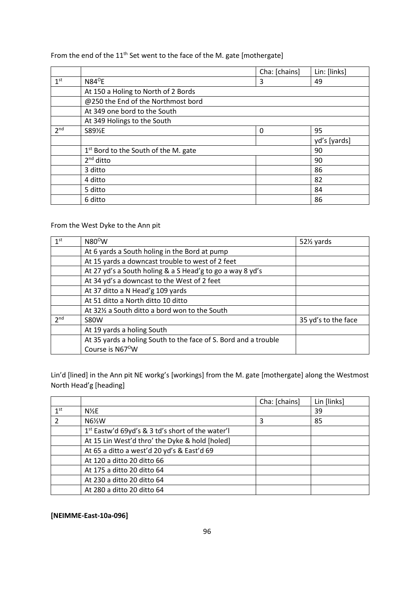# From the end of the 11<sup>th</sup> Set went to the face of the M. gate [mothergate]

|                 |                                                  | Cha: [chains] | Lin: [links] |
|-----------------|--------------------------------------------------|---------------|--------------|
| 1 <sup>st</sup> | $N84^{\circ}E$                                   | 3             | 49           |
|                 | At 150 a Holing to North of 2 Bords              |               |              |
|                 | @250 the End of the Northmost bord               |               |              |
|                 | At 349 one bord to the South                     |               |              |
|                 | At 349 Holings to the South                      |               |              |
| 2 <sub>nd</sub> | S891%E                                           | 0             | 95           |
|                 |                                                  |               | yd's [yards] |
|                 | 1 <sup>st</sup> Bord to the South of the M. gate |               | 90           |
|                 | $2nd$ ditto                                      |               | 90           |
|                 | 3 ditto                                          |               | 86           |
|                 | 4 ditto                                          |               | 82           |
|                 | 5 ditto                                          |               | 84           |
|                 | 6 ditto                                          |               | 86           |

# From the West Dyke to the Ann pit

| 1 <sup>st</sup> | $N80^{\circ}$ W                                                 | 52½ yards           |
|-----------------|-----------------------------------------------------------------|---------------------|
|                 | At 6 yards a South holing in the Bord at pump                   |                     |
|                 | At 15 yards a downcast trouble to west of 2 feet                |                     |
|                 | At 27 yd's a South holing & a S Head'g to go a way 8 yd's       |                     |
|                 | At 34 yd's a downcast to the West of 2 feet                     |                     |
|                 | At 37 ditto a N Head'g 109 yards                                |                     |
|                 | At 51 ditto a North ditto 10 ditto                              |                     |
|                 | At 32% a South ditto a bord won to the South                    |                     |
| 2 <sub>nd</sub> | <b>S80W</b>                                                     | 35 yd's to the face |
|                 | At 19 yards a holing South                                      |                     |
|                 | At 35 yards a holing South to the face of S. Bord and a trouble |                     |
|                 | Course is N67 <sup>o</sup> W                                    |                     |

Lin'd [lined] in the Ann pit NE workg's [workings] from the M. gate [mothergate] along the Westmost North Head'g [heading]

|                 |                                                              | Cha: [chains] | Lin [links] |
|-----------------|--------------------------------------------------------------|---------------|-------------|
| 1 <sup>st</sup> | $N\frac{1}{2}E$                                              |               | 39          |
| $\mathcal{P}$   | N6½W                                                         | 3             | 85          |
|                 | 1 <sup>st</sup> Eastw'd 69yd's & 3 td's short of the water'l |               |             |
|                 | At 15 Lin West'd thro' the Dyke & hold [holed]               |               |             |
|                 | At 65 a ditto a west'd 20 yd's & East'd 69                   |               |             |
|                 | At 120 a ditto 20 ditto 66                                   |               |             |
|                 | At 175 a ditto 20 ditto 64                                   |               |             |
|                 | At 230 a ditto 20 ditto 64                                   |               |             |
|                 | At 280 a ditto 20 ditto 64                                   |               |             |

### **[NEIMME-East-10a-096]**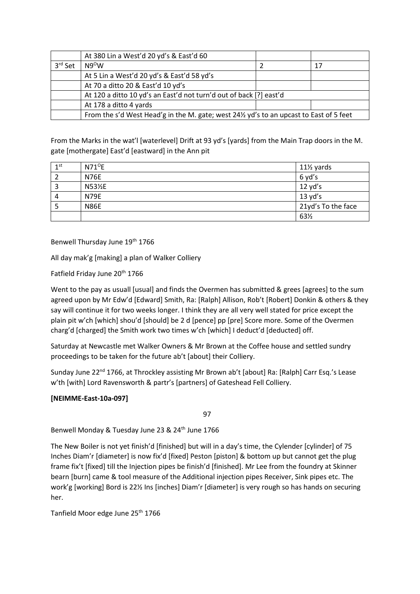|         | At 380 Lin a West'd 20 yd's & East'd 60                                                 |  |    |
|---------|-----------------------------------------------------------------------------------------|--|----|
| 3rd Set | $N9^{\circ}$ W                                                                          |  | 17 |
|         | At 5 Lin a West'd 20 yd's & East'd 58 yd's                                              |  |    |
|         | At 70 a ditto 20 & East'd 10 yd's                                                       |  |    |
|         | At 120 a ditto 10 yd's an East'd not turn'd out of back [?] east'd                      |  |    |
|         | At 178 a ditto 4 yards                                                                  |  |    |
|         | From the s'd West Head'g in the M. gate; west 241/2 yd's to an upcast to East of 5 feet |  |    |

From the Marks in the wat'l [waterlevel] Drift at 93 yd's [yards] from the Main Trap doors in the M. gate [mothergate] East'd [eastward] in the Ann pit

| 1 <sup>st</sup> | $N71^{\circ}E$ | $11\frac{1}{2}$ yards |
|-----------------|----------------|-----------------------|
| $\overline{2}$  | <b>N76E</b>    | 6 yd's                |
| 3               | N53½E          | $12$ yd's             |
| 4               | <b>N79E</b>    | 13 yd's               |
| 5               | <b>N86E</b>    | 21yd's To the face    |
|                 |                | 63½                   |

Benwell Thursday June 19th 1766

All day mak'g [making] a plan of Walker Colliery

Fatfield Friday June 20<sup>th</sup> 1766

Went to the pay as usuall [usual] and finds the Overmen has submitted & grees [agrees] to the sum agreed upon by Mr Edw'd [Edward] Smith, Ra: [Ralph] Allison, Rob't [Robert] Donkin & others & they say will continue it for two weeks longer. I think they are all very well stated for price except the plain pit w'ch [which] shou'd [should] be 2 d [pence] pp [pre] Score more. Some of the Overmen charg'd [charged] the Smith work two times w'ch [which] I deduct'd [deducted] off.

Saturday at Newcastle met Walker Owners & Mr Brown at the Coffee house and settled sundry proceedings to be taken for the future ab't [about] their Colliery.

Sunday June 22<sup>nd</sup> 1766, at Throckley assisting Mr Brown ab't [about] Ra: [Ralph] Carr Esq.'s Lease w'th [with] Lord Ravensworth & partr's [partners] of Gateshead Fell Colliery.

### **[NEIMME-East-10a-097]**

97

Benwell Monday & Tuesday June 23 & 24<sup>th</sup> June 1766

The New Boiler is not yet finish'd [finished] but will in a day's time, the Cylender [cylinder] of 75 Inches Diam'r [diameter] is now fix'd [fixed] Peston [piston] & bottom up but cannot get the plug frame fix't [fixed] till the Injection pipes be finish'd [finished]. Mr Lee from the foundry at Skinner bearn [burn] came & tool measure of the Additional injection pipes Receiver, Sink pipes etc. The work'g [working] Bord is 22½ Ins [inches] Diam'r [diameter] is very rough so has hands on securing her.

Tanfield Moor edge June 25<sup>th</sup> 1766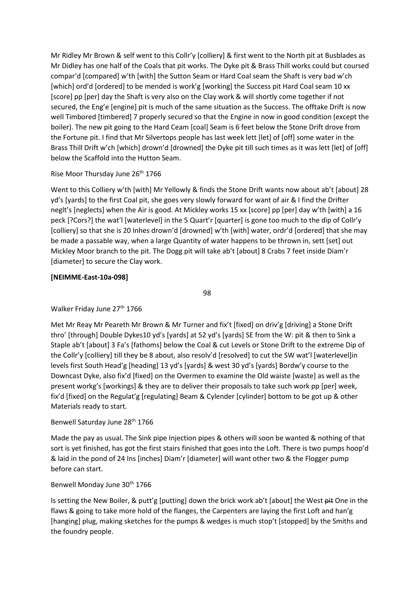Mr Ridley Mr Brown & self went to this Collr'y [colliery] & first went to the North pit at Busblades as Mr Didley has one half of the Coals that pit works. The Dyke pit & Brass Thill works could but coursed compar'd [compared] w'th [with] the Sutton Seam or Hard Coal seam the Shaft is very bad w'ch [which] ord'd [ordered] to be mended is work'g [working] the Success pit Hard Coal seam 10 xx [score] pp [per] day the Shaft is very also on the Clay work & will shortly come together if not secured, the Eng'e [engine] pit is much of the same situation as the Success. The offtake Drift is now well Timbored [timbered] 7 properly secured so that the Engine in now in good condition (except the boiler). The new pit going to the Hard Ceam [coal] Seam is 6 feet below the Stone Drift drove from the Fortune pit. I find that Mr Silvertops people has last week lett [let] of [off] some water in the Brass Thill Drift w'ch [which] drown'd [drowned] the Dyke pit till such times as it was lett [let] of [off] below the Scaffold into the Hutton Seam.

### Rise Moor Thursday June 26<sup>th</sup> 1766

Went to this Colliery w'th [with] Mr Yellowly & finds the Stone Drift wants now about ab't [about] 28 yd's [yards] to the first Coal pit, she goes very slowly forward for want of air & I find the Drifter neglt's [neglects] when the Air is good. At Mickley works 15 xx [score] pp [per] day w'th [with] a 16 peck [?Cors?] the wat'l [waterlevel] in the 5 Quart'r [quarter] is gone too much to the dip of Collr'y [colliery] so that she is 20 Inhes drown'd [drowned] w'th [with] water, ordr'd [ordered] that she may be made a passable way, when a large Quantity of water happens to be thrown in, sett [set] out Mickley Moor branch to the pit. The Dogg pit will take ab't [about] 8 Crabs 7 feet inside Diam'r [diameter] to secure the Clay work.

# **[NEIMME-East-10a-098]**

98

# Walker Friday June 27<sup>th</sup> 1766

Met Mr Reay Mr Peareth Mr Brown & Mr Turner and fix't [fixed] on driv'g [driving] a Stone Drift thro' [through] Double Dykes10 yd's [yards] at 52 yd's [yards] SE from the W: pit & then to Sink a Staple ab't [about] 3 Fa's [fathoms] below the Coal & cut Levels or Stone Drift to the extreme Dip of the Collr'y [colliery] till they be 8 about, also resolv'd [resolved] to cut the SW wat'l [waterlevel]in levels first South Head'g [heading] 13 yd's [yards] & west 30 yd's [yards] Bordw'y course to the Downcast Dyke, also fix'd [fixed] on the Overmen to examine the Old waiste [waste] as well as the present workg's [workings] & they are to deliver their proposals to take such work pp [per] week, fix'd [fixed] on the Regulat'g [regulating] Beam & Cylender [cylinder] bottom to be got up & other Materials ready to start.

### Benwell Saturday June 28<sup>th</sup> 1766

Made the pay as usual. The Sink pipe Injection pipes & others will soon be wanted & nothing of that sort is yet finished, has got the first stairs finished that goes into the Loft. There is two pumps hoop'd & laid in the pond of 24 Ins [inches] Diam'r [diameter] will want other two & the Flogger pump before can start.

### Benwell Monday June 30<sup>th</sup> 1766

Is setting the New Boiler, & putt'g [putting] down the brick work ab't [about] the West pit One in the flaws & going to take more hold of the flanges, the Carpenters are laying the first Loft and han'g [hanging] plug, making sketches for the pumps & wedges is much stop't [stopped] by the Smiths and the foundry people.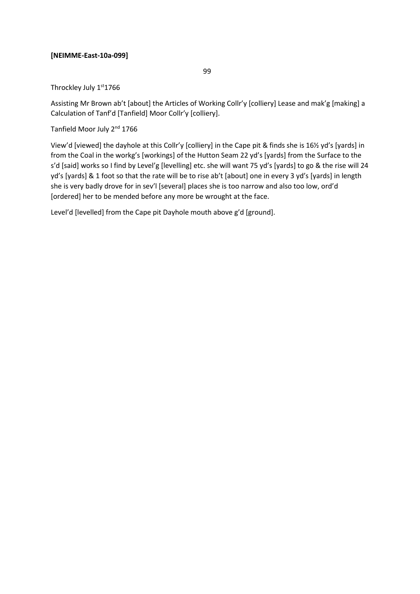### **[NEIMME-East-10a-099]**

99

### Throckley July 1st 1766

Assisting Mr Brown ab't [about] the Articles of Working Collr'y [colliery] Lease and mak'g [making] a Calculation of Tanf'd [Tanfield] Moor Collr'y [colliery].

Tanfield Moor July 2<sup>nd</sup> 1766

View'd [viewed] the dayhole at this Collr'y [colliery] in the Cape pit & finds she is 16½ yd's [yards] in from the Coal in the workg's [workings] of the Hutton Seam 22 yd's [yards] from the Surface to the s'd [said] works so I find by Level'g [levelling] etc. she will want 75 yd's [yards] to go & the rise will 24 yd's [yards] & 1 foot so that the rate will be to rise ab't [about] one in every 3 yd's [yards] in length she is very badly drove for in sev'l [several] places she is too narrow and also too low, ord'd [ordered] her to be mended before any more be wrought at the face.

Level'd [levelled] from the Cape pit Dayhole mouth above g'd [ground].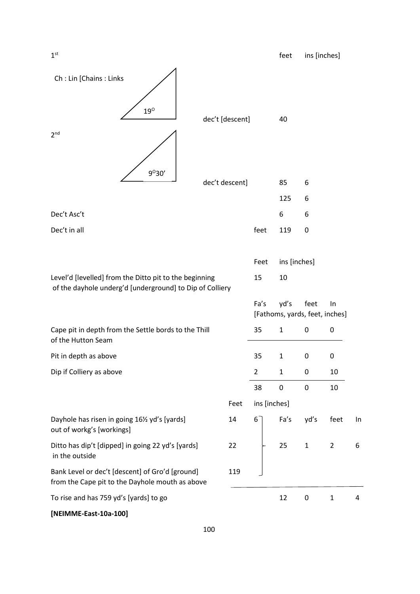| Ch: Lin [Chains: Links                                                                             |                 |                |              |                                        |                |    |
|----------------------------------------------------------------------------------------------------|-----------------|----------------|--------------|----------------------------------------|----------------|----|
| $19^{\circ}$                                                                                       | dec't [descent] |                | 40           |                                        |                |    |
| 2 <sup>nd</sup><br>9°30'                                                                           |                 |                |              |                                        |                |    |
|                                                                                                    | dec't descent]  |                | 85           | 6                                      |                |    |
|                                                                                                    |                 |                | 125          | 6                                      |                |    |
| Dec't Asc't                                                                                        |                 |                | 6            | 6                                      |                |    |
| Dec't in all                                                                                       |                 | feet           | 119          | 0                                      |                |    |
|                                                                                                    |                 | Feet           | ins [inches] |                                        |                |    |
| Level'd [levelled] from the Ditto pit to the beginning                                             |                 | 15             | 10           |                                        |                |    |
|                                                                                                    |                 |                |              |                                        |                |    |
| of the dayhole underg'd [underground] to Dip of Colliery                                           |                 | Fa's           | yd's         | feet<br>[Fathoms, yards, feet, inches] | ln             |    |
| Cape pit in depth from the Settle bords to the Thill<br>of the Hutton Seam                         |                 | 35             | $\mathbf{1}$ | 0                                      | 0              |    |
| Pit in depth as above                                                                              |                 | 35             | $\mathbf{1}$ | 0                                      | 0              |    |
| Dip if Colliery as above                                                                           |                 | $\overline{2}$ | $\mathbf{1}$ | 0                                      | 10             |    |
|                                                                                                    |                 | 38             | 0            | 0                                      | 10             |    |
|                                                                                                    | Feet            | ins [inches]   |              |                                        |                |    |
| Dayhole has risen in going 161/2 yd's [yards]<br>out of workg's [workings]                         | 14              | 6              | Fa's         | yd's                                   | feet           | In |
| Ditto has dip't [dipped] in going 22 yd's [yards]<br>in the outside                                | 22              |                | 25           | $\mathbf{1}$                           | $\overline{2}$ | 6  |
| Bank Level or dec't [descent] of Gro'd [ground]<br>from the Cape pit to the Dayhole mouth as above | 119             |                |              |                                        |                |    |

**[NEIMME-East-10a-100]**

 $1<sup>st</sup>$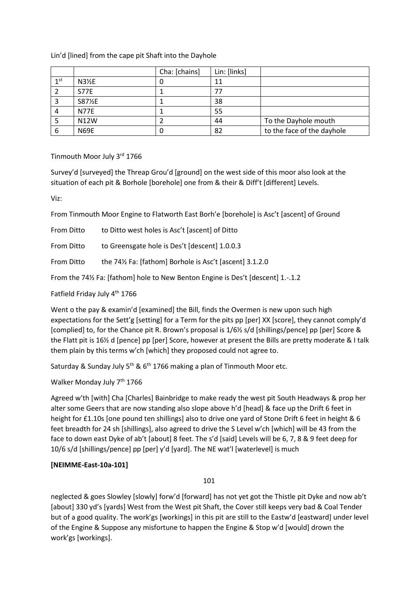### Lin'd [lined] from the cape pit Shaft into the Dayhole

|                 |             | Cha: [chains] | Lin: [links] |                            |
|-----------------|-------------|---------------|--------------|----------------------------|
| 1 <sup>st</sup> | $N3\%E$     | u             | 11           |                            |
|                 | <b>S77E</b> |               |              |                            |
|                 | S871%E      |               | 38           |                            |
|                 | <b>N77E</b> |               | 55           |                            |
|                 | N12W        |               | 44           | To the Dayhole mouth       |
| 6               | <b>N69E</b> |               | 82           | to the face of the dayhole |

Tinmouth Moor July 3rd 1766

Survey'd [surveyed] the Threap Grou'd [ground] on the west side of this moor also look at the situation of each pit & Borhole [borehole] one from & their & Diff't [different] Levels.

Viz:

From Tinmouth Moor Engine to Flatworth East Borh'e [borehole] is Asc't [ascent] of Ground

| <b>From Ditto</b> | to Ditto west holes is Asc't [ascent] of Ditto         |
|-------------------|--------------------------------------------------------|
| From Ditto        | to Greensgate hole is Des't [descent] 1.0.0.3          |
| <b>From Ditto</b> | the 74½ Fa: [fathom] Borhole is Asc't [ascent] 3.1.2.0 |
|                   |                                                        |

From the 74½ Fa: [fathom] hole to New Benton Engine is Des't [descent] 1.-.1.2

Fatfield Friday July 4th 1766

Went o the pay & examin'd [examined] the Bill, finds the Overmen is new upon such high expectations for the Sett'g [setting] for a Term for the pits pp [per] XX [score], they cannot comply'd [complied] to, for the Chance pit R. Brown's proposal is 1/6½ s/d [shillings/pence] pp [per] Score & the Flatt pit is 16½ d [pence] pp [per] Score, however at present the Bills are pretty moderate & I talk them plain by this terms w'ch [which] they proposed could not agree to.

Saturday & Sunday July  $5<sup>th</sup>$  &  $6<sup>th</sup>$  1766 making a plan of Tinmouth Moor etc.

Walker Monday July 7<sup>th</sup> 1766

Agreed w'th [with] Cha [Charles] Bainbridge to make ready the west pit South Headways & prop her alter some Geers that are now standing also slope above h'd [head] & face up the Drift 6 feet in height for £1.10s [one pound ten shillings] also to drive one yard of Stone Drift 6 feet in height & 6 feet breadth for 24 sh [shillings], also agreed to drive the S Level w'ch [which] will be 43 from the face to down east Dyke of ab't [about] 8 feet. The s'd [said] Levels will be 6, 7, 8 & 9 feet deep for 10/6 s/d [shillings/pence] pp [per] y'd [yard]. The NE wat'l [waterlevel] is much

# **[NEIMME-East-10a-101]**

101

neglected & goes Slowley [slowly] forw'd [forward] has not yet got the Thistle pit Dyke and now ab't [about] 330 yd's [yards] West from the West pit Shaft, the Cover still keeps very bad & Coal Tender but of a good quality. The work'gs [workings] in this pit are still to the Eastw'd [eastward] under level of the Engine & Suppose any misfortune to happen the Engine & Stop w'd [would] drown the work'gs [workings].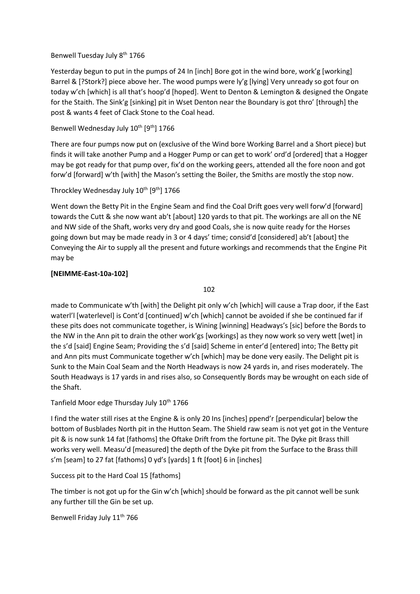### Benwell Tuesday July 8<sup>th</sup> 1766

Yesterday begun to put in the pumps of 24 In [inch] Bore got in the wind bore, work'g [working] Barrel & [?Stork?] piece above her. The wood pumps were ly'g [lying] Very unready so got four on today w'ch [which] is all that's hoop'd [hoped]. Went to Denton & Lemington & designed the Ongate for the Staith. The Sink'g [sinking] pit in Wset Denton near the Boundary is got thro' [through] the post & wants 4 feet of Clack Stone to the Coal head.

### Benwell Wednesday July 10<sup>th</sup> [9<sup>th</sup>] 1766

There are four pumps now put on (exclusive of the Wind bore Working Barrel and a Short piece) but finds it will take another Pump and a Hogger Pump or can get to work' ord'd [ordered] that a Hogger may be got ready for that pump over, fix'd on the working geers, attended all the fore noon and got forw'd [forward] w'th [with] the Mason's setting the Boiler, the Smiths are mostly the stop now.

### Throckley Wednesday July 10<sup>th</sup> [9<sup>th</sup>] 1766

Went down the Betty Pit in the Engine Seam and find the Coal Drift goes very well forw'd [forward] towards the Cutt & she now want ab't [about] 120 yards to that pit. The workings are all on the NE and NW side of the Shaft, works very dry and good Coals, she is now quite ready for the Horses going down but may be made ready in 3 or 4 days' time; consid'd [considered] ab't [about] the Conveying the Air to supply all the present and future workings and recommends that the Engine Pit may be

### **[NEIMME-East-10a-102]**

102

made to Communicate w'th [with] the Delight pit only w'ch [which] will cause a Trap door, if the East waterl'l [waterlevel] is Cont'd [continued] w'ch [which] cannot be avoided if she be continued far if these pits does not communicate together, is Wining [winning] Headways's [sic] before the Bords to the NW in the Ann pit to drain the other work'gs [workings] as they now work so very wett [wet] in the s'd [said] Engine Seam; Providing the s'd [said] Scheme in enter'd [entered] into; The Betty pit and Ann pits must Communicate together w'ch [which] may be done very easily. The Delight pit is Sunk to the Main Coal Seam and the North Headways is now 24 yards in, and rises moderately. The South Headways is 17 yards in and rises also, so Consequently Bords may be wrought on each side of the Shaft.

Tanfield Moor edge Thursday July 10<sup>th</sup> 1766

I find the water still rises at the Engine & is only 20 Ins [inches] ppend'r [perpendicular] below the bottom of Busblades North pit in the Hutton Seam. The Shield raw seam is not yet got in the Venture pit & is now sunk 14 fat [fathoms] the Oftake Drift from the fortune pit. The Dyke pit Brass thill works very well. Measu'd [measured] the depth of the Dyke pit from the Surface to the Brass thill s'm [seam] to 27 fat [fathoms] 0 yd's [yards] 1 ft [foot] 6 in [inches]

Success pit to the Hard Coal 15 [fathoms]

The timber is not got up for the Gin w'ch [which] should be forward as the pit cannot well be sunk any further till the Gin be set up.

Benwell Friday July 11<sup>th</sup> 766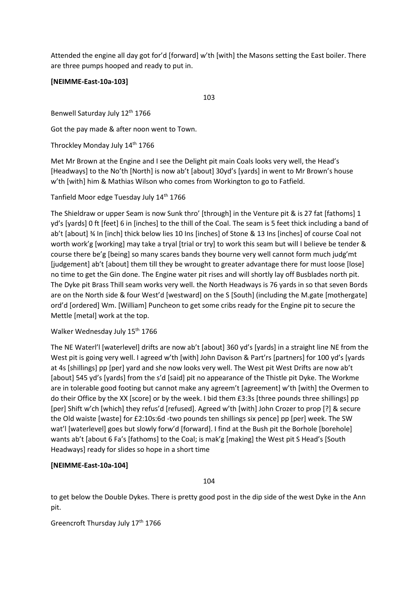Attended the engine all day got for'd [forward] w'th [with] the Masons setting the East boiler. There are three pumps hooped and ready to put in.

### **[NEIMME-East-10a-103]**

103

Benwell Saturday July 12<sup>th</sup> 1766

Got the pay made & after noon went to Town.

Throckley Monday July 14th 1766

Met Mr Brown at the Engine and I see the Delight pit main Coals looks very well, the Head's [Headways] to the No'th [North] is now ab't [about] 30yd's [yards] in went to Mr Brown's house w'th [with] him & Mathias Wilson who comes from Workington to go to Fatfield.

Tanfield Moor edge Tuesday July 14<sup>th</sup> 1766

The Shieldraw or upper Seam is now Sunk thro' [through] in the Venture pit & is 27 fat [fathoms] 1 yd's [yards] 0 ft [feet] 6 in [inches] to the thill of the Coal. The seam is 5 feet thick including a band of ab't [about] ¾ In [inch] thick below lies 10 Ins [inches] of Stone & 13 Ins [inches] of course Coal not worth work'g [working] may take a tryal [trial or try] to work this seam but will I believe be tender & course there be'g [being] so many scares bands they bourne very well cannot form much judg'mt [judgement] ab't [about] them till they be wrought to greater advantage there for must loose [lose] no time to get the Gin done. The Engine water pit rises and will shortly lay off Busblades north pit. The Dyke pit Brass Thill seam works very well. the North Headways is 76 yards in so that seven Bords are on the North side & four West'd [westward] on the S [South] (including the M.gate [mothergate] ord'd [ordered] Wm. [William] Puncheon to get some cribs ready for the Engine pit to secure the Mettle [metal] work at the top.

#### Walker Wednesday July 15<sup>th</sup> 1766

The NE Waterl'l [waterlevel] drifts are now ab't [about] 360 yd's [yards] in a straight line NE from the West pit is going very well. I agreed w'th [with] John Davison & Part'rs [partners] for 100 yd's [yards at 4s [shillings] pp [per] yard and she now looks very well. The West pit West Drifts are now ab't [about] 545 yd's [yards] from the s'd [said] pit no appearance of the Thistle pit Dyke. The Workme are in tolerable good footing but cannot make any agreem't [agreement] w'th [with] the Overmen to do their Office by the XX [score] or by the week. I bid them £3:3s [three pounds three shillings] pp [per] Shift w'ch [which] they refus'd [refused]. Agreed w'th [with] John Crozer to prop [?] & secure the Old waiste [waste] for £2:10s:6d -two pounds ten shillings six pence] pp [per] week. The SW wat'l [waterlevel] goes but slowly forw'd [forward]. I find at the Bush pit the Borhole [borehole] wants ab't [about 6 Fa's [fathoms] to the Coal; is mak'g [making] the West pit S Head's [South Headways] ready for slides so hope in a short time

### **[NEIMME-East-10a-104]**

104

to get below the Double Dykes. There is pretty good post in the dip side of the west Dyke in the Ann pit.

Greencroft Thursday July 17<sup>th</sup> 1766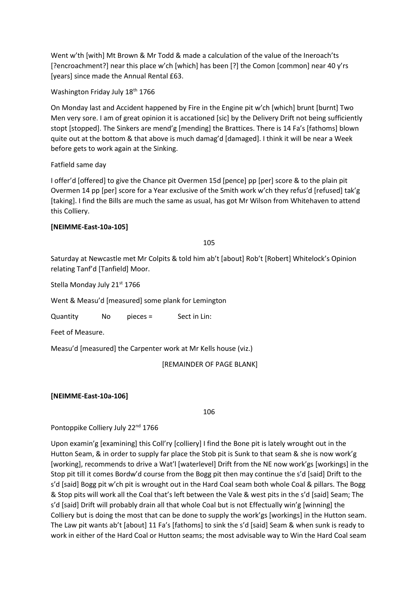Went w'th [with] Mt Brown & Mr Todd & made a calculation of the value of the Ineroach'ts [?encroachment?] near this place w'ch [which] has been [?] the Comon [common] near 40 y'rs [years] since made the Annual Rental £63.

Washington Friday July 18th 1766

On Monday last and Accident happened by Fire in the Engine pit w'ch [which] brunt [burnt] Two Men very sore. I am of great opinion it is accationed [sic] by the Delivery Drift not being sufficiently stopt [stopped]. The Sinkers are mend'g [mending] the Brattices. There is 14 Fa's [fathoms] blown quite out at the bottom & that above is much damag'd [damaged]. I think it will be near a Week before gets to work again at the Sinking.

Fatfield same day

I offer'd [offered] to give the Chance pit Overmen 15d [pence] pp [per] score & to the plain pit Overmen 14 pp [per] score for a Year exclusive of the Smith work w'ch they refus'd [refused] tak'g [taking]. I find the Bills are much the same as usual, has got Mr Wilson from Whitehaven to attend this Colliery.

### **[NEIMME-East-10a-105]**

105

Saturday at Newcastle met Mr Colpits & told him ab't [about] Rob't [Robert] Whitelock's Opinion relating Tanf'd [Tanfield] Moor.

Stella Monday July 21st 1766

Went & Measu'd [measured] some plank for Lemington

Quantity No pieces = Sect in Lin:

Feet of Measure.

Measu'd [measured] the Carpenter work at Mr Kells house (viz.)

[REMAINDER OF PAGE BLANK]

### **[NEIMME-East-10a-106]**

106

Pontoppike Colliery July 22<sup>nd</sup> 1766

Upon examin'g [examining] this Coll'ry [colliery] I find the Bone pit is lately wrought out in the Hutton Seam, & in order to supply far place the Stob pit is Sunk to that seam & she is now work'g [working], recommends to drive a Wat'l [waterlevel] Drift from the NE now work'gs [workings] in the Stop pit till it comes Bordw'd course from the Bogg pit then may continue the s'd [said] Drift to the s'd [said] Bogg pit w'ch pit is wrought out in the Hard Coal seam both whole Coal & pillars. The Bogg & Stop pits will work all the Coal that's left between the Vale & west pits in the s'd [said] Seam; The s'd [said] Drift will probably drain all that whole Coal but is not Effectually win'g [winning] the Colliery but is doing the most that can be done to supply the work'gs [workings] in the Hutton seam. The Law pit wants ab't [about] 11 Fa's [fathoms] to sink the s'd [said] Seam & when sunk is ready to work in either of the Hard Coal or Hutton seams; the most advisable way to Win the Hard Coal seam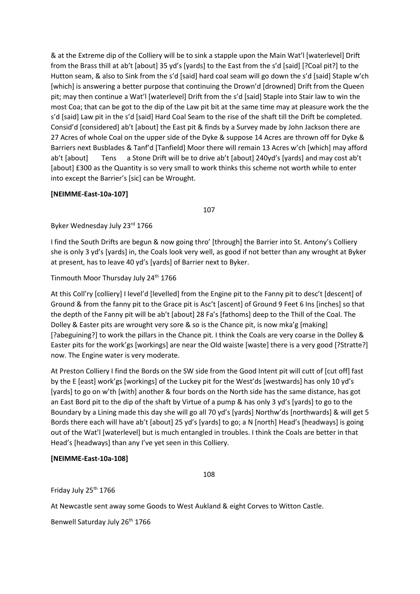& at the Extreme dip of the Colliery will be to sink a stapple upon the Main Wat'l [waterlevel] Drift from the Brass thill at ab't [about] 35 yd's [yards] to the East from the s'd [said] [?Coal pit?] to the Hutton seam, & also to Sink from the s'd [said] hard coal seam will go down the s'd [said] Staple w'ch [which] is answering a better purpose that continuing the Drown'd [drowned] Drift from the Queen pit; may then continue a Wat'l [waterlevel] Drift from the s'd [said] Staple into Stair law to win the most Coa; that can be got to the dip of the Law pit bit at the same time may at pleasure work the the s'd [said] Law pit in the s'd [said] Hard Coal Seam to the rise of the shaft till the Drift be completed. Consid'd [considered] ab't [about] the East pit & finds by a Survey made by John Jackson there are 27 Acres of whole Coal on the upper side of the Dyke & suppose 14 Acres are thrown off for Dyke & Barriers next Busblades & Tanf'd [Tanfield] Moor there will remain 13 Acres w'ch [which] may afford ab't [about] Tens a Stone Drift will be to drive ab't [about] 240yd's [yards] and may cost ab't [about] £300 as the Quantity is so very small to work thinks this scheme not worth while to enter into except the Barrier's [sic] can be Wrought.

### **[NEIMME-East-10a-107]**

107

Byker Wednesday July 23rd 1766

I find the South Drifts are begun & now going thro' [through] the Barrier into St. Antony's Colliery she is only 3 yd's [yards] in, the Coals look very well, as good if not better than any wrought at Byker at present, has to leave 40 yd's [yards] of Barrier next to Byker.

Tinmouth Moor Thursday July 24<sup>th</sup> 1766

At this Coll'ry [colliery] I level'd [levelled] from the Engine pit to the Fanny pit to desc't [descent] of Ground & from the fanny pit to the Grace pit is Asc't [ascent] of Ground 9 Feet 6 Ins [inches] so that the depth of the Fanny pit will be ab't [about] 28 Fa's [fathoms] deep to the Thill of the Coal. The Dolley & Easter pits are wrought very sore & so is the Chance pit, is now mka'g [making] [?abeguining?] to work the pillars in the Chance pit. I think the Coals are very coarse in the Dolley & Easter pits for the work'gs [workings] are near the Old waiste [waste] there is a very good [?Stratte?] now. The Engine water is very moderate.

At Preston Colliery I find the Bords on the SW side from the Good Intent pit will cutt of [cut off] fast by the E [east] work'gs [workings] of the Luckey pit for the West'ds [westwards] has only 10 yd's [yards] to go on w'th [with] another & four bords on the North side has the same distance, has got an East Bord pit to the dip of the shaft by Virtue of a pump & has only 3 yd's [yards] to go to the Boundary by a Lining made this day she will go all 70 yd's [yards] Northw'ds [northwards] & will get 5 Bords there each will have ab't [about] 25 yd's [yards] to go; a N [north] Head's [headways] is going out of the Wat'l [waterlevel] but is much entangled in troubles. I think the Coals are better in that Head's [headways] than any I've yet seen in this Colliery.

### **[NEIMME-East-10a-108]**

108

Friday July 25<sup>th</sup> 1766

At Newcastle sent away some Goods to West Aukland & eight Corves to Witton Castle.

Benwell Saturday July 26<sup>th</sup> 1766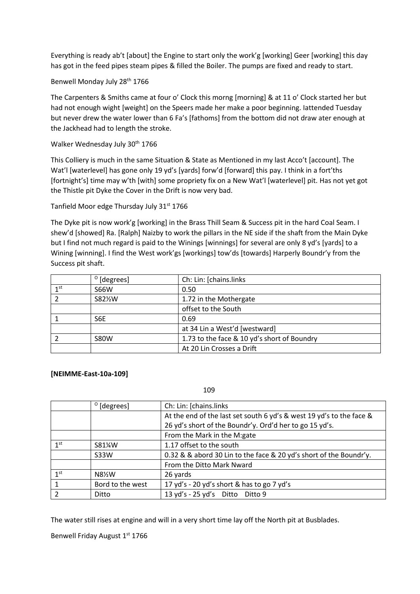Everything is ready ab't [about] the Engine to start only the work'g [working] Geer [working] this day has got in the feed pipes steam pipes & filled the Boiler. The pumps are fixed and ready to start.

Benwell Monday July 28th 1766

The Carpenters & Smiths came at four o' Clock this morng [morning] & at 11 o' Clock started her but had not enough wight [weight] on the Speers made her make a poor beginning. Iattended Tuesday but never drew the water lower than 6 Fa's [fathoms] from the bottom did not draw ater enough at the Jackhead had to length the stroke.

Walker Wednesday July 30<sup>th</sup> 1766

This Colliery is much in the same Situation & State as Mentioned in my last Acco't [account]. The Wat'l [waterlevel] has gone only 19 yd's [yards] forw'd [forward] this pay. I think in a fort'ths [fortnight's] time may w'th [with] some propriety fix on a New Wat'l [waterlevel] pit. Has not yet got the Thistle pit Dyke the Cover in the Drift is now very bad.

Tanfield Moor edge Thursday July 31<sup>st</sup> 1766

The Dyke pit is now work'g [working] in the Brass Thill Seam & Success pit in the hard Coal Seam. I shew'd [showed] Ra. [Ralph] Naizby to work the pillars in the NE side if the shaft from the Main Dyke but I find not much regard is paid to the Winings [winnings] for several are only 8 yd's [yards] to a Wining [winning]. I find the West work'gs [workings] tow'ds [towards] Harperly Boundr'y from the Success pit shaft.

|                 | $^{\circ}$ [degrees] | Ch: Lin: [chains.links                      |
|-----------------|----------------------|---------------------------------------------|
| 1 <sup>st</sup> | <b>S66W</b>          | 0.50                                        |
|                 | S82½W                | 1.72 in the Mothergate                      |
|                 |                      | offset to the South                         |
|                 | S6E                  | 0.69                                        |
|                 |                      | at 34 Lin a West'd [westward]               |
|                 | <b>S80W</b>          | 1.73 to the face & 10 yd's short of Boundry |
|                 |                      | At 20 Lin Crosses a Drift                   |

#### **[NEIMME-East-10a-109]**

109

|                 | $^{\circ}$ [degrees] | Ch: Lin: [chains.links                                               |
|-----------------|----------------------|----------------------------------------------------------------------|
|                 |                      | At the end of the last set south 6 yd's & west 19 yd's to the face & |
|                 |                      | 26 yd's short of the Boundr'y. Ord'd her to go 15 yd's.              |
|                 |                      | From the Mark in the M:gate                                          |
| 1 <sup>st</sup> | S81%W                | 1.17 offset to the south                                             |
|                 | <b>S33W</b>          | 0.32 & & abord 30 Lin to the face & 20 yd's short of the Boundr'y.   |
|                 |                      | From the Ditto Mark Nward                                            |
| 1 <sup>st</sup> | N8½W                 | 26 yards                                                             |
|                 | Bord to the west     | 17 yd's - 20 yd's short & has to go 7 yd's                           |
|                 | Ditto                | 13 yd's - 25 yd's Ditto Ditto 9                                      |

The water still rises at engine and will in a very short time lay off the North pit at Busblades.

Benwell Friday August 1<sup>st</sup> 1766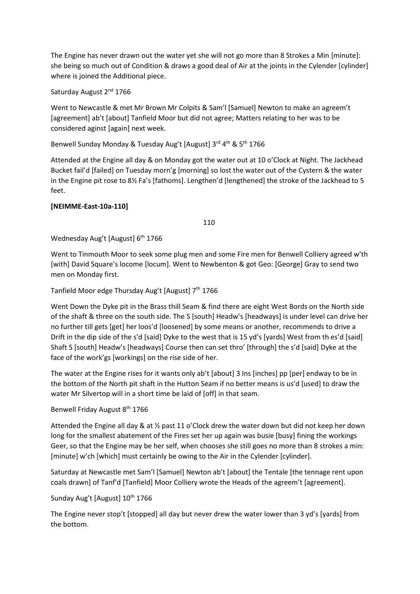The Engine has never drawn out the water yet she will not go more than 8 Strokes a Min [minute]: she being so much out of Condition & draws a good deal of Air at the joints in the Cylender [cylinder] where is joined the Additional piece.

Saturday August 2<sup>nd</sup> 1766

Went to Newcastle & met Mr Brown Mr Colpits & Sam'l [Samuel] Newton to make an agreem't [agreement] ab't [about] Tanfield Moor but did not agree; Matters relating to her was to be considered aginst [again] next week.

# Benwell Sunday Monday & Tuesday Aug't [August] 3rd 4<sup>th</sup> & 5<sup>th</sup> 1766

Attended at the Engine all day & on Monday got the water out at 10 o'Clock at Night. The Jackhead Bucket fail'd [failed] on Tuesday morn'g [morning] so lost the water out of the Cystern & the water in the Engine pit rose to 8½ Fa's [fathoms]. Lengthen'd [lengthened] the stroke of the Jackhead to 5 feet.

### **[NEIMME-East-10a-110]**

110

Wednesday Aug't [August] 6<sup>th</sup> 1766

Went to Tinmouth Moor to seek some plug men and some Fire men for Benwell Colliery agreed w'th [with] David Square's locome [locum]. Went to Newbenton & got Geo: [George] Gray to send two men on Monday first.

Tanfield Moor edge Thursday Aug't [August] 7<sup>th</sup> 1766

Went Down the Dyke pit in the Brass thill Seam & find there are eight West Bords on the North side of the shaft & three on the south side. The S [south] Headw's [headways] is under level can drive her no further till gets [get] her loos'd [loosened] by some means or another, recommends to drive a Drift in the dip side of the s'd [said] Dyke to the west that is 15 yd's [yards] West from th es'd [said] Shaft S [south] Headw's [headways] Course then can set thro' [through] the s'd [said] Dyke at the face of the work'gs [workings] on the rise side of her.

The water at the Engine rises for it wants only ab't [about] 3 Ins [inches] pp [per] endway to be in the bottom of the North pit shaft in the Hutton Seam if no better means is us'd [used] to draw the water Mr Silvertop will in a short time be laid of [off] in that seam.

Benwell Friday August 8<sup>th</sup> 1766

Attended the Engine all day & at ½ past 11 o'Clock drew the water down but did not keep her down long for the smallest abatement of the Fires set her up again was busie [busy] fining the workings Geer, so that the Engine may be her self, when chooses she still goes no more than 8 strokes a min: [minute] w'ch [which] must certainly be owing to the Air in the Cylender [cylinder].

Saturday at Newcastle met Sam'l [Samuel] Newton ab't [about] the Tentale [the tennage rent upon coals drawn] of Tanf'd [Tanfield] Moor Colliery wrote the Heads of the agreem't [agreement].

# Sunday Aug't [August] 10<sup>th</sup> 1766

The Engine never stop't [stopped] all day but never drew the water lower than 3 yd's [yards] from the bottom.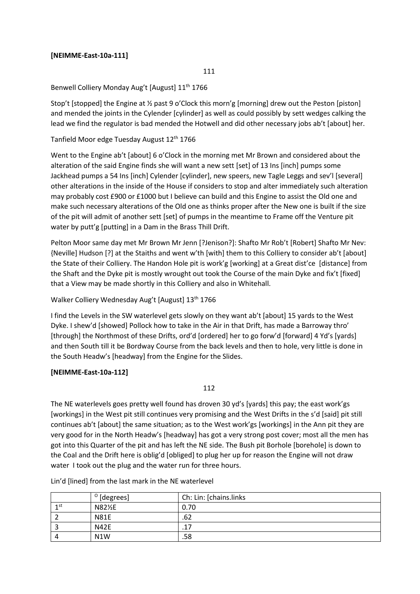### **[NEIMME-East-10a-111]**

111

### Benwell Colliery Monday Aug't [August] 11<sup>th</sup> 1766

Stop't [stopped] the Engine at ½ past 9 o'Clock this morn'g [morning] drew out the Peston [piston] and mended the joints in the Cylender [cylinder] as well as could possibly by sett wedges calking the lead we find the regulator is bad mended the Hotwell and did other necessary jobs ab't [about] her.

# Tanfield Moor edge Tuesday August 12<sup>th</sup> 1766

Went to the Engine ab't [about] 6 o'Clock in the morning met Mr Brown and considered about the alteration of the said Engine finds she will want a new sett [set] of 13 Ins [inch] pumps some Jackhead pumps a 54 Ins [inch] Cylender [cylinder], new speers, new Tagle Leggs and sev'l [several] other alterations in the inside of the House if considers to stop and alter immediately such alteration may probably cost £900 or £1000 but I believe can build and this Engine to assist the Old one and make such necessary alterations of the Old one as thinks proper after the New one is built if the size of the pit will admit of another sett [set] of pumps in the meantime to Frame off the Venture pit water by putt'g [putting] in a Dam in the Brass Thill Drift.

Pelton Moor same day met Mr Brown Mr Jenn [?Jenison?]: Shafto Mr Rob't [Robert] Shafto Mr Nev: {Neville] Hudson [?] at the Staiths and went w'th [with] them to this Colliery to consider ab't [about] the State of their Colliery. The Handon Hole pit is work'g [working] at a Great dist'ce [distance] from the Shaft and the Dyke pit is mostly wrought out took the Course of the main Dyke and fix't [fixed] that a View may be made shortly in this Colliery and also in Whitehall.

# Walker Colliery Wednesday Aug't [August] 13<sup>th</sup> 1766

I find the Levels in the SW waterlevel gets slowly on they want ab't [about] 15 yards to the West Dyke. I shew'd [showed] Pollock how to take in the Air in that Drift, has made a Barroway thro' [through] the Northmost of these Drifts, ord'd [ordered] her to go forw'd [forward] 4 Yd's [yards] and then South till it be Bordway Course from the back levels and then to hole, very little is done in the South Headw's [headway] from the Engine for the Slides.

### **[NEIMME-East-10a-112]**

112

The NE waterlevels goes pretty well found has droven 30 yd's [yards] this pay; the east work'gs [workings] in the West pit still continues very promising and the West Drifts in the s'd [said] pit still continues ab't [about] the same situation; as to the West work'gs [workings] in the Ann pit they are very good for in the North Headw's [headway] has got a very strong post cover; most all the men has got into this Quarter of the pit and has left the NE side. The Bush pit Borhole [borehole] is down to the Coal and the Drift here is oblig'd [obliged] to plug her up for reason the Engine will not draw water I took out the plug and the water run for three hours.

|      | $^{\circ}$ [degrees] | Ch: Lin: [chains.links |
|------|----------------------|------------------------|
| 1 st | N82½E                | 0.70                   |
|      | <b>N81E</b>          | .62                    |
|      | <b>N42E</b>          | .17                    |
|      | N1W                  | .58                    |

Lin'd [lined] from the last mark in the NE waterlevel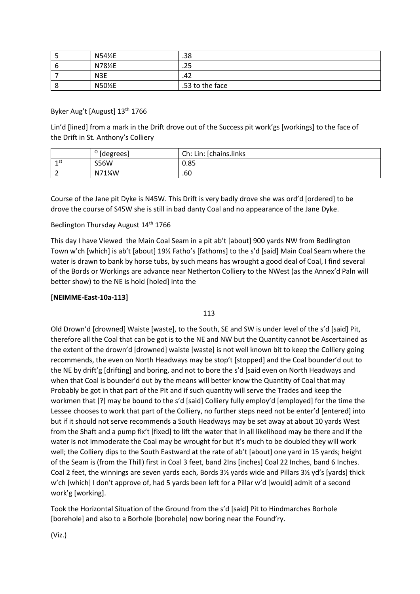|   | N54½E            | .38             |
|---|------------------|-----------------|
|   | N78½E            | .25             |
|   | N <sub>3</sub> E | .42             |
| O | N50%E            | .53 to the face |

#### Byker Aug't [August] 13<sup>th</sup> 1766

Lin'd [lined] from a mark in the Drift drove out of the Success pit work'gs [workings] to the face of the Drift in St. Anthony's Colliery

|     | $^{\circ}$ [degrees] | Ch: Lin: [chains.links |
|-----|----------------------|------------------------|
| 1st | <b>S56W</b>          | 0.85                   |
|     | N71%W                | .60                    |

Course of the Jane pit Dyke is N45W. This Drift is very badly drove she was ord'd [ordered] to be drove the course of S45W she is still in bad danty Coal and no appearance of the Jane Dyke.

#### Bedlington Thursday August 14<sup>th</sup> 1766

This day I have Viewed the Main Coal Seam in a pit ab't [about] 900 yards NW from Bedlington Town w'ch [which] is ab't [about] 19½ Fatho's [fathoms] to the s'd [said] Main Coal Seam where the water is drawn to bank by horse tubs, by such means has wrought a good deal of Coal, I find several of the Bords or Workings are advance near Netherton Colliery to the NWest (as the Annex'd Paln will better show) to the NE is hold [holed] into the

### **[NEIMME-East-10a-113]**

#### 113

Old Drown'd [drowned] Waiste [waste], to the South, SE and SW is under level of the s'd [said] Pit, therefore all the Coal that can be got is to the NE and NW but the Quantity cannot be Ascertained as the extent of the drown'd [drowned] waiste [waste] is not well known bit to keep the Colliery going recommends, the even on North Headways may be stop't [stopped] and the Coal bounder'd out to the NE by drift'g [drifting] and boring, and not to bore the s'd [said even on North Headways and when that Coal is bounder'd out by the means will better know the Quantity of Coal that may Probably be got in that part of the Pit and if such quantity will serve the Trades and keep the workmen that [?] may be bound to the s'd [said] Colliery fully employ'd [employed] for the time the Lessee chooses to work that part of the Colliery, no further steps need not be enter'd [entered] into but if it should not serve recommends a South Headways may be set away at about 10 yards West from the Shaft and a pump fix't [fixed] to lift the water that in all likelihood may be there and if the water is not immoderate the Coal may be wrought for but it's much to be doubled they will work well; the Colliery dips to the South Eastward at the rate of ab't [about] one yard in 15 yards; height of the Seam is (from the Thill) first in Coal 3 feet, band 2Ins [inches] Coal 22 Inches, band 6 Inches. Coal 2 feet, the winnings are seven yards each, Bords 3½ yards wide and Pillars 3½ yd's [yards] thick w'ch [which] I don't approve of, had 5 yards been left for a Pillar w'd [would] admit of a second work'g [working].

Took the Horizontal Situation of the Ground from the s'd [said] Pit to Hindmarches Borhole [borehole] and also to a Borhole [borehole] now boring near the Found'ry.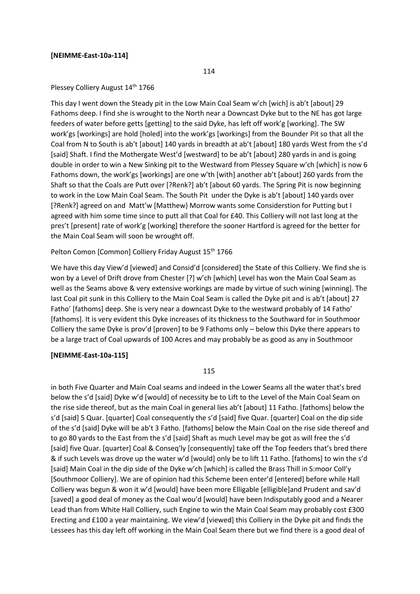#### **[NEIMME-East-10a-114]**

114

#### Plessey Colliery August 14<sup>th</sup> 1766

This day I went down the Steady pit in the Low Main Coal Seam w'ch [wich] is ab't [about] 29 Fathoms deep. I find she is wrought to the North near a Downcast Dyke but to the NE has got large feeders of water before getts [getting] to the said Dyke, has left off work'g [working]. The SW work'gs [workings] are hold [holed] into the work'gs [workings] from the Bounder Pit so that all the Coal from N to South is ab't [about] 140 yards in breadth at ab't [about] 180 yards West from the s'd [said] Shaft. I find the Mothergate West'd [westward] to be ab't [about] 280 yards in and is going double in order to win a New Sinking pit to the Westward from Plessey Square w'ch [which] is now 6 Fathoms down, the work'gs [workings] are one w'th [with] another ab't [about] 260 yards from the Shaft so that the Coals are Putt over [?Renk?] ab't [about 60 yards. The Spring Pit is now beginning to work in the Low Main Coal Seam. The South Pit under the Dyke is ab't [about] 140 yards over [?Renk?] agreed on and Matt'w [Matthew} Morrow wants some Considerstion for Putting but I agreed with him some time since to putt all that Coal for £40. This Colliery will not last long at the pres't [present] rate of work'g [working] therefore the sooner Hartford is agreed for the better for the Main Coal Seam will soon be wrought off.

#### Pelton Comon [Common] Colliery Friday August 15<sup>th</sup> 1766

We have this day View'd [viewed] and Consid'd [considered] the State of this Colliery. We find she is won by a Level of Drift drove from Chester [?] w'ch [which] Level has won the Main Coal Seam as well as the Seams above & very extensive workings are made by virtue of such wining [winning]. The last Coal pit sunk in this Colliery to the Main Coal Seam is called the Dyke pit and is ab't [about] 27 Fatho' [fathoms] deep. She is very near a downcast Dyke to the westward probably of 14 Fatho' [fathoms]. It is very evident this Dyke increases of its thickness to the Southward for in Southmoor Colliery the same Dyke is prov'd [proven] to be 9 Fathoms only – below this Dyke there appears to be a large tract of Coal upwards of 100 Acres and may probably be as good as any in Southmoor

#### **[NEIMME-East-10a-115]**

115

in both Five Quarter and Main Coal seams and indeed in the Lower Seams all the water that's bred below the s'd [said] Dyke w'd [would] of necessity be to Lift to the Level of the Main Coal Seam on the rise side thereof, but as the main Coal in general lies ab't [about] 11 Fatho. [fathoms] below the s'd [said] 5 Quar. [quarter] Coal consequently the s'd [said] five Quar. [quarter] Coal on the dip side of the s'd [said] Dyke will be ab't 3 Fatho. [fathoms] below the Main Coal on the rise side thereof and to go 80 yards to the East from the s'd [said] Shaft as much Level may be got as will free the s'd [said] five Quar. [quarter] Coal & Conseq'ly [consequently] take off the Top feeders that's bred there & if such Levels was drove up the water w'd [would] only be to lift 11 Fatho. [fathoms] to win the s'd [said] Main Coal in the dip side of the Dyke w'ch [which] is called the Brass Thill in S:moor Coll'y [Southmoor Colliery]. We are of opinion had this Scheme been enter'd [entered] before while Hall Colliery was begun & won it w'd [would] have been more Elligable [elligible]and Prudent and sav'd [saved] a good deal of money as the Coal wou'd [would] have been Indisputably good and a Nearer Lead than from White Hall Colliery, such Engine to win the Main Coal Seam may probably cost £300 Erecting and £100 a year maintaining. We view'd [viewed] this Colliery in the Dyke pit and finds the Lessees has this day left off working in the Main Coal Seam there but we find there is a good deal of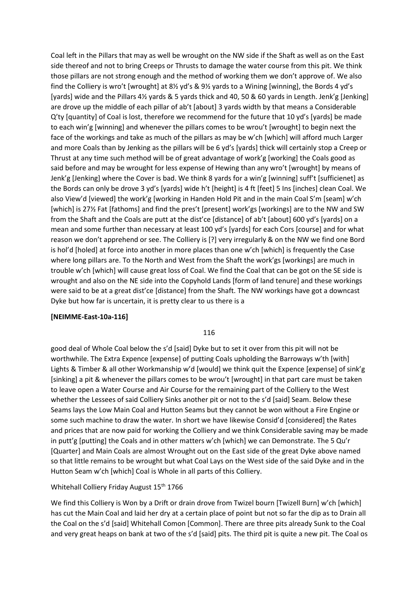Coal left in the Pillars that may as well be wrought on the NW side if the Shaft as well as on the East side thereof and not to bring Creeps or Thrusts to damage the water course from this pit. We think those pillars are not strong enough and the method of working them we don't approve of. We also find the Colliery is wro't [wrought] at 8½ yd's & 9½ yards to a Wining [winning], the Bords 4 yd's [yards] wide and the Pillars 4½ yards & 5 yards thick and 40, 50 & 60 yards in Length. Jenk'g [Jenking] are drove up the middle of each pillar of ab't [about] 3 yards width by that means a Considerable Q'ty [quantity] of Coal is lost, therefore we recommend for the future that 10 yd's [yards] be made to each win'g [winning] and whenever the pillars comes to be wrou't [wrought] to begin next the face of the workings and take as much of the pillars as may be w'ch [which] will afford much Larger and more Coals than by Jenking as the pillars will be 6 yd's [yards] thick will certainly stop a Creep or Thrust at any time such method will be of great advantage of work'g [working] the Coals good as said before and may be wrought for less expense of Hewing than any wro't [wrought] by means of Jenk'g [Jenking] where the Cover is bad. We think 8 yards for a win'g [winning] suff't [sufficienet] as the Bords can only be drove 3 yd's [yards] wide h't [height] is 4 ft [feet] 5 Ins [inches] clean Coal. We also View'd [viewed] the work'g [working in Handen Hold Pit and in the main Coal S'm [seam] w'ch [which] is 27½ Fat [fathoms] and find the pres't [present] work'gs [workings] are to the NW and SW from the Shaft and the Coals are putt at the dist'ce [distance] of ab't [about] 600 yd's [yards] on a mean and some further than necessary at least 100 yd's [yards] for each Cors [course] and for what reason we don't apprehend or see. The Colliery is [?] very irregularly & on the NW we find one Bord is hol'd [holed] at force into another in more places than one w'ch [which] is frequently the Case where long pillars are. To the North and West from the Shaft the work'gs [workings] are much in trouble w'ch [which] will cause great loss of Coal. We find the Coal that can be got on the SE side is wrought and also on the NE side into the Copyhold Lands [form of land tenure] and these workings were said to be at a great dist'ce [distance] from the Shaft. The NW workings have got a downcast Dyke but how far is uncertain, it is pretty clear to us there is a

#### **[NEIMME-East-10a-116]**

#### 116

good deal of Whole Coal below the s'd [said] Dyke but to set it over from this pit will not be worthwhile. The Extra Expence [expense] of putting Coals upholding the Barroways w'th [with] Lights & Timber & all other Workmanship w'd [would] we think quit the Expence [expense] of sink'g [sinking] a pit & whenever the pillars comes to be wrou't [wrought] in that part care must be taken to leave open a Water Course and Air Course for the remaining part of the Colliery to the West whether the Lessees of said Colliery Sinks another pit or not to the s'd [said] Seam. Below these Seams lays the Low Main Coal and Hutton Seams but they cannot be won without a Fire Engine or some such machine to draw the water. In short we have likewise Consid'd [considered] the Rates and prices that are now paid for working the Colliery and we think Considerable saving may be made in putt'g [putting] the Coals and in other matters w'ch [which] we can Demonstrate. The 5 Qu'r [Quarter] and Main Coals are almost Wrought out on the East side of the great Dyke above named so that little remains to be wrought but what Coal Lays on the West side of the said Dyke and in the Hutton Seam w'ch [which] Coal is Whole in all parts of this Colliery.

#### Whitehall Colliery Friday August 15<sup>th</sup> 1766

We find this Colliery is Won by a Drift or drain drove from Twizel bourn [Twizell Burn] w'ch [which] has cut the Main Coal and laid her dry at a certain place of point but not so far the dip as to Drain all the Coal on the s'd [said] Whitehall Comon [Common]. There are three pits already Sunk to the Coal and very great heaps on bank at two of the s'd [said] pits. The third pit is quite a new pit. The Coal os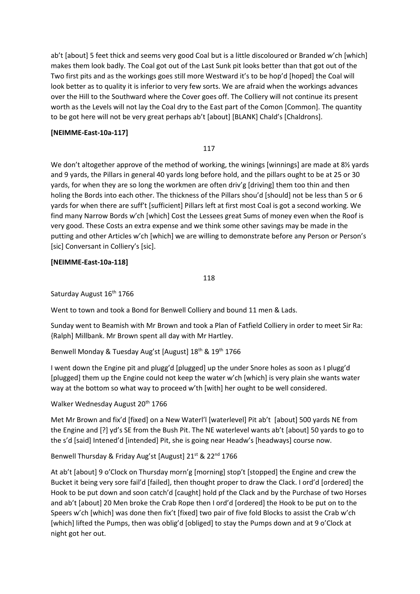ab't [about] 5 feet thick and seems very good Coal but is a little discoloured or Branded w'ch [which] makes them look badly. The Coal got out of the Last Sunk pit looks better than that got out of the Two first pits and as the workings goes still more Westward it's to be hop'd [hoped] the Coal will look better as to quality it is inferior to very few sorts. We are afraid when the workings advances over the Hill to the Southward where the Cover goes off. The Colliery will not continue its present worth as the Levels will not lay the Coal dry to the East part of the Comon [Common]. The quantity to be got here will not be very great perhaps ab't [about] [BLANK] Chald's [Chaldrons].

### **[NEIMME-East-10a-117]**

117

We don't altogether approve of the method of working, the winings [winnings] are made at 8½ yards and 9 yards, the Pillars in general 40 yards long before hold, and the pillars ought to be at 25 or 30 yards, for when they are so long the workmen are often driv'g [driving] them too thin and then holing the Bords into each other. The thickness of the Pillars shou'd [should] not be less than 5 or 6 yards for when there are suff't [sufficient] Pillars left at first most Coal is got a second working. We find many Narrow Bords w'ch [which] Cost the Lessees great Sums of money even when the Roof is very good. These Costs an extra expense and we think some other savings may be made in the putting and other Articles w'ch [which] we are willing to demonstrate before any Person or Person's [sic] Conversant in Colliery's [sic].

#### **[NEIMME-East-10a-118]**

118

Saturday August 16<sup>th</sup> 1766

Went to town and took a Bond for Benwell Colliery and bound 11 men & Lads.

Sunday went to Beamish with Mr Brown and took a Plan of Fatfield Colliery in order to meet Sir Ra: {Ralph] Millbank. Mr Brown spent all day with Mr Hartley.

Benwell Monday & Tuesday Aug'st [August] 18<sup>th</sup> & 19<sup>th</sup> 1766

I went down the Engine pit and plugg'd [plugged] up the under Snore holes as soon as I plugg'd [plugged] them up the Engine could not keep the water w'ch [which] is very plain she wants water way at the bottom so what way to proceed w'th [with] her ought to be well considered.

Walker Wednesday August 20<sup>th</sup> 1766

Met Mr Brown and fix'd [fixed] on a New Waterl'l [waterlevel] Pit ab't [about] 500 yards NE from the Engine and [?] yd's SE from the Bush Pit. The NE waterlevel wants ab't [about] 50 yards to go to the s'd [said] Intened'd [intended] Pit, she is going near Headw's [headways] course now.

#### Benwell Thursday & Friday Aug'st [August] 21st & 22<sup>nd</sup> 1766

At ab't [about] 9 o'Clock on Thursday morn'g [morning] stop't [stopped] the Engine and crew the Bucket it being very sore fail'd [failed], then thought proper to draw the Clack. I ord'd [ordered] the Hook to be put down and soon catch'd [caught] hold pf the Clack and by the Purchase of two Horses and ab't [about] 20 Men broke the Crab Rope then I ord'd [ordered] the Hook to be put on to the Speers w'ch [which] was done then fix't [fixed] two pair of five fold Blocks to assist the Crab w'ch [which] lifted the Pumps, then was oblig'd [obliged] to stay the Pumps down and at 9 o'Clock at night got her out.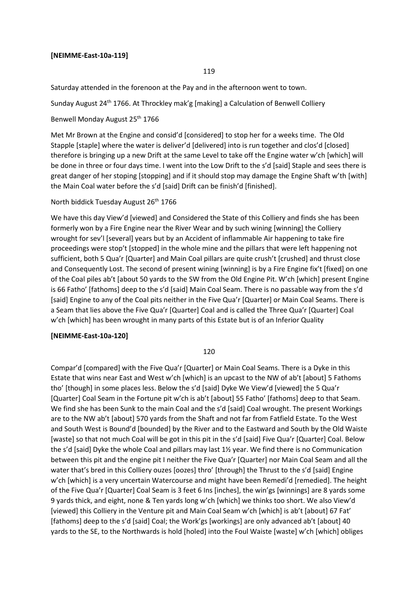#### **[NEIMME-East-10a-119]**

#### 119

Saturday attended in the forenoon at the Pay and in the afternoon went to town.

Sunday August 24<sup>th</sup> 1766. At Throckley mak'g [making] a Calculation of Benwell Colliery

Benwell Monday August 25<sup>th</sup> 1766

Met Mr Brown at the Engine and consid'd [considered] to stop her for a weeks time. The Old Stapple [staple] where the water is deliver'd [delivered] into is run together and clos'd [closed] therefore is bringing up a new Drift at the same Level to take off the Engine water w'ch [which] will be done in three or four days time. I went into the Low Drift to the s'd [said] Staple and sees there is great danger of her stoping [stopping] and if it should stop may damage the Engine Shaft w'th [with] the Main Coal water before the s'd [said] Drift can be finish'd [finished].

#### North biddick Tuesday August 26<sup>th</sup> 1766

We have this day View'd [viewed] and Considered the State of this Colliery and finds she has been formerly won by a Fire Engine near the River Wear and by such wining [winning] the Colliery wrought for sev'l [several] years but by an Accident of inflammable Air happening to take fire proceedings were stop't [stopped] in the whole mine and the pillars that were left happening not sufficient, both 5 Qua'r [Quarter] and Main Coal pillars are quite crush't [crushed] and thrust close and Consequently Lost. The second of present wining [winning] is by a Fire Engine fix't [fixed] on one of the Coal piles ab't [about 50 yards to the SW from the Old Engine Pit. W'ch [which] present Engine is 66 Fatho' [fathoms] deep to the s'd [said] Main Coal Seam. There is no passable way from the s'd [said] Engine to any of the Coal pits neither in the Five Qua'r [Quarter] or Main Coal Seams. There is a Seam that lies above the Five Qua'r [Quarter] Coal and is called the Three Qua'r [Quarter] Coal w'ch [which] has been wrought in many parts of this Estate but is of an Inferior Quality

#### **[NEIMME-East-10a-120]**

#### 120

Compar'd [compared] with the Five Qua'r [Quarter] or Main Coal Seams. There is a Dyke in this Estate that wins near East and West w'ch [which] is an upcast to the NW of ab't [about] 5 Fathoms tho' [though] in some places less. Below the s'd [said] Dyke We View'd [viewed] the 5 Qua'r [Quarter] Coal Seam in the Fortune pit w'ch is ab't [about] 55 Fatho' [fathoms] deep to that Seam. We find she has been Sunk to the main Coal and the s'd [said] Coal wrought. The present Workings are to the NW ab't [about] 570 yards from the Shaft and not far from Fatfield Estate. To the West and South West is Bound'd [bounded] by the River and to the Eastward and South by the Old Waiste [waste] so that not much Coal will be got in this pit in the s'd [said] Five Qua'r [Quarter] Coal. Below the s'd [said] Dyke the whole Coal and pillars may last 1½ year. We find there is no Communication between this pit and the engine pit I neither the Five Qua'r [Quarter] nor Main Coal Seam and all the water that's bred in this Colliery ouzes [oozes] thro' [through] the Thrust to the s'd [said] Engine w'ch [which] is a very uncertain Watercourse and might have been Remedi'd [remedied]. The height of the Five Qua'r [Quarter] Coal Seam is 3 feet 6 Ins [inches], the win'gs [winnings] are 8 yards some 9 yards thick, and eight, none & Ten yards long w'ch [which] we thinks too short. We also View'd [viewed] this Colliery in the Venture pit and Main Coal Seam w'ch [which] is ab't [about] 67 Fat' [fathoms] deep to the s'd [said] Coal; the Work'gs [workings] are only advanced ab't [about] 40 yards to the SE, to the Northwards is hold [holed] into the Foul Waiste [waste] w'ch [which] obliges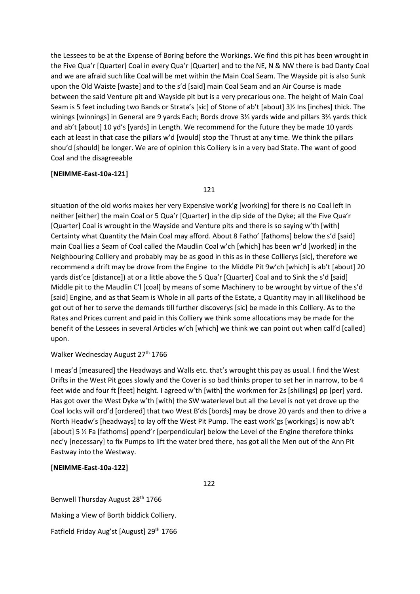the Lessees to be at the Expense of Boring before the Workings. We find this pit has been wrought in the Five Qua'r [Quarter] Coal in every Qua'r [Quarter] and to the NE, N & NW there is bad Danty Coal and we are afraid such like Coal will be met within the Main Coal Seam. The Wayside pit is also Sunk upon the Old Waiste [waste] and to the s'd [said] main Coal Seam and an Air Course is made between the said Venture pit and Wayside pit but is a very precarious one. The height of Main Coal Seam is 5 feet including two Bands or Strata's [sic] of Stone of ab't [about] 3½ Ins [inches] thick. The winings [winnings] in General are 9 yards Each; Bords drove 3⅓ yards wide and pillars 3⅔ yards thick and ab't [about] 10 yd's [yards] in Length. We recommend for the future they be made 10 yards each at least in that case the pillars w'd [would] stop the Thrust at any time. We think the pillars shou'd [should] be longer. We are of opinion this Colliery is in a very bad State. The want of good Coal and the disagreeable

#### **[NEIMME-East-10a-121]**

121

situation of the old works makes her very Expensive work'g [working] for there is no Coal left in neither [either] the main Coal or 5 Qua'r [Quarter] in the dip side of the Dyke; all the Five Qua'r [Quarter] Coal is wrought in the Wayside and Venture pits and there is so saying w'th [with] Certainty what Quantity the Main Coal may afford. About 8 Fatho' [fathoms] below the s'd [said] main Coal lies a Seam of Coal called the Maudlin Coal w'ch [which] has been wr'd [worked] in the Neighbouring Colliery and probably may be as good in this as in these Collierys [sic], therefore we recommend a drift may be drove from the Engine to the Middle Pit 9w'ch [which] is ab't [about] 20 yards dist'ce [distance]) at or a little above the 5 Qua'r [Quarter] Coal and to Sink the s'd [said] Middle pit to the Maudlin C'l [coal] by means of some Machinery to be wrought by virtue of the s'd [said] Engine, and as that Seam is Whole in all parts of the Estate, a Quantity may in all likelihood be got out of her to serve the demands till further discoverys [sic] be made in this Colliery. As to the Rates and Prices current and paid in this Colliery we think some allocations may be made for the benefit of the Lessees in several Articles w'ch [which] we think we can point out when call'd [called] upon.

### Walker Wednesday August 27<sup>th</sup> 1766

I meas'd [measured] the Headways and Walls etc. that's wrought this pay as usual. I find the West Drifts in the West Pit goes slowly and the Cover is so bad thinks proper to set her in narrow, to be 4 feet wide and four ft [feet] height. I agreed w'th [with] the workmen for 2s [shillings] pp [per] yard. Has got over the West Dyke w'th [with] the SW waterlevel but all the Level is not yet drove up the Coal locks will ord'd [ordered] that two West B'ds [bords] may be drove 20 yards and then to drive a North Headw's [headways] to lay off the West Pit Pump. The east work'gs [workings] is now ab't [about] 5 ½ Fa [fathoms] ppend'r [perpendicular] below the Level of the Engine therefore thinks nec'y [necessary] to fix Pumps to lift the water bred there, has got all the Men out of the Ann Pit Eastway into the Westway.

#### **[NEIMME-East-10a-122]**

122

Benwell Thursday August 28<sup>th</sup> 1766 Making a View of Borth biddick Colliery. Fatfield Friday Aug'st [August] 29<sup>th</sup> 1766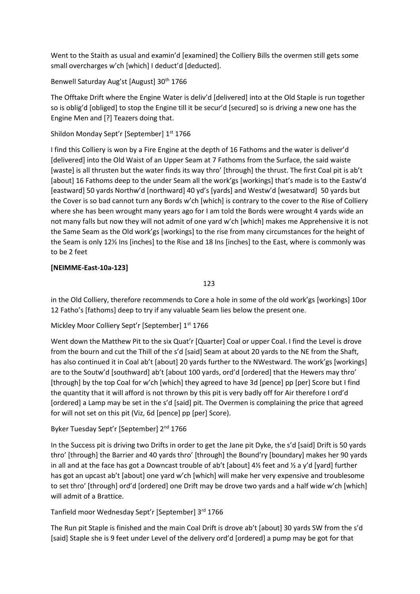Went to the Staith as usual and examin'd [examined] the Colliery Bills the overmen still gets some small overcharges w'ch [which] I deduct'd [deducted].

# Benwell Saturday Aug'st [August] 30<sup>th</sup> 1766

The Offtake Drift where the Engine Water is deliv'd [delivered] into at the Old Staple is run together so is oblig'd [obliged] to stop the Engine till it be secur'd [secured] so is driving a new one has the Engine Men and [?] Teazers doing that.

# Shildon Monday Sept'r [September] 1st 1766

I find this Colliery is won by a Fire Engine at the depth of 16 Fathoms and the water is deliver'd [delivered] into the Old Waist of an Upper Seam at 7 Fathoms from the Surface, the said waiste [waste] is all thrusten but the water finds its way thro' [through] the thrust. The first Coal pit is ab't [about] 16 Fathoms deep to the under Seam all the work'gs [workings] that's made is to the Eastw'd [eastward] 50 yards Northw'd [northward] 40 yd's [yards] and Westw'd [wesatward] 50 yards but the Cover is so bad cannot turn any Bords w'ch [which] is contrary to the cover to the Rise of Colliery where she has been wrought many years ago for I am told the Bords were wrought 4 yards wide an not many falls but now they will not admit of one yard w'ch [which] makes me Apprehensive it is not the Same Seam as the Old work'gs [workings] to the rise from many circumstances for the height of the Seam is only 12½ Ins [inches] to the Rise and 18 Ins [inches] to the East, where is commonly was to be 2 feet

# **[NEIMME-East-10a-123]**

123

in the Old Colliery, therefore recommends to Core a hole in some of the old work'gs [workings] 10or 12 Fatho's [fathoms] deep to try if any valuable Seam lies below the present one.

Mickley Moor Colliery Sept'r [September] 1st 1766

Went down the Matthew Pit to the six Quat'r [Quarter] Coal or upper Coal. I find the Level is drove from the bourn and cut the Thill of the s'd [said] Seam at about 20 yards to the NE from the Shaft, has also continued it in Coal ab't [about] 20 yards further to the NWestward. The work'gs [workings] are to the Soutw'd [southward] ab't [about 100 yards, ord'd [ordered] that the Hewers may thro' [through] by the top Coal for w'ch [which] they agreed to have 3d [pence] pp [per] Score but I find the quantity that it will afford is not thrown by this pit is very badly off for Air therefore I ord'd [ordered] a Lamp may be set in the s'd [said] pit. The Overmen is complaining the price that agreed for will not set on this pit (Viz, 6d [pence] pp [per] Score).

# Byker Tuesday Sept'r [September] 2<sup>nd</sup> 1766

In the Success pit is driving two Drifts in order to get the Jane pit Dyke, the s'd [said] Drift is 50 yards thro' [through] the Barrier and 40 yards thro' [through] the Bound'ry [boundary] makes her 90 yards in all and at the face has got a Downcast trouble of ab't [about]  $4\frac{1}{2}$  feet and  $\frac{1}{2}$  a y'd [yard] further has got an upcast ab't [about] one yard w'ch [which] will make her very expensive and troublesome to set thro' [through] ord'd [ordered] one Drift may be drove two yards and a half wide w'ch [which] will admit of a Brattice.

# Tanfield moor Wednesday Sept'r [September] 3rd 1766

The Run pit Staple is finished and the main Coal Drift is drove ab't [about] 30 yards SW from the s'd [said] Staple she is 9 feet under Level of the delivery ord'd [ordered] a pump may be got for that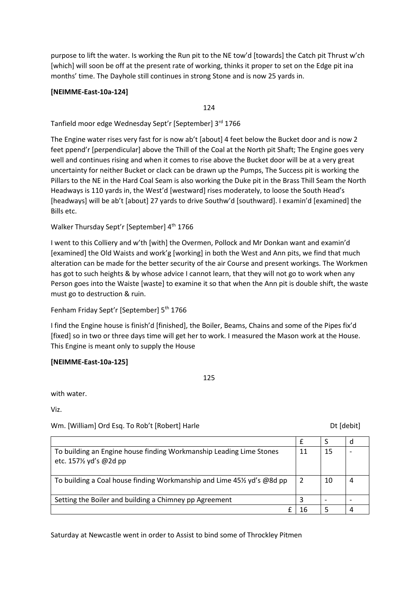purpose to lift the water. Is working the Run pit to the NE tow'd [towards] the Catch pit Thrust w'ch [which] will soon be off at the present rate of working, thinks it proper to set on the Edge pit ina months' time. The Dayhole still continues in strong Stone and is now 25 yards in.

### **[NEIMME-East-10a-124]**

124

Tanfield moor edge Wednesday Sept'r [September] 3rd 1766

The Engine water rises very fast for is now ab't [about] 4 feet below the Bucket door and is now 2 feet ppend'r [perpendicular] above the Thill of the Coal at the North pit Shaft; The Engine goes very well and continues rising and when it comes to rise above the Bucket door will be at a very great uncertainty for neither Bucket or clack can be drawn up the Pumps, The Success pit is working the Pillars to the NE in the Hard Coal Seam is also working the Duke pit in the Brass Thill Seam the North Headways is 110 yards in, the West'd [westward] rises moderately, to loose the South Head's [headways] will be ab't [about] 27 yards to drive Southw'd [southward]. I examin'd [examined] the Bills etc.

Walker Thursday Sept'r [September] 4<sup>th</sup> 1766

I went to this Colliery and w'th [with] the Overmen, Pollock and Mr Donkan want and examin'd [examined] the Old Waists and work'g [working] in both the West and Ann pits, we find that much alteration can be made for the better security of the air Course and present workings. The Workmen has got to such heights & by whose advice I cannot learn, that they will not go to work when any Person goes into the Waiste [waste] to examine it so that when the Ann pit is double shift, the waste must go to destruction & ruin.

Fenham Friday Sept'r [September] 5<sup>th</sup> 1766

I find the Engine house is finish'd [finished], the Boiler, Beams, Chains and some of the Pipes fix'd [fixed] so in two or three days time will get her to work. I measured the Mason work at the House. This Engine is meant only to supply the House

#### **[NEIMME-East-10a-125]**

125

with water.

Viz.

Wm. [William] Ord Esq. To Rob't [Robert] Harle Dt [Carell] Harle Dt [debit]

| To building an Engine house finding Workmanship Leading Lime Stones<br>etc. 157½ yd's @2d pp | 15 |  |
|----------------------------------------------------------------------------------------------|----|--|
| To building a Coal house finding Workmanship and Lime 451/2 yd's @8d pp                      | 10 |  |
| Setting the Boiler and building a Chimney pp Agreement                                       |    |  |
|                                                                                              |    |  |

Saturday at Newcastle went in order to Assist to bind some of Throckley Pitmen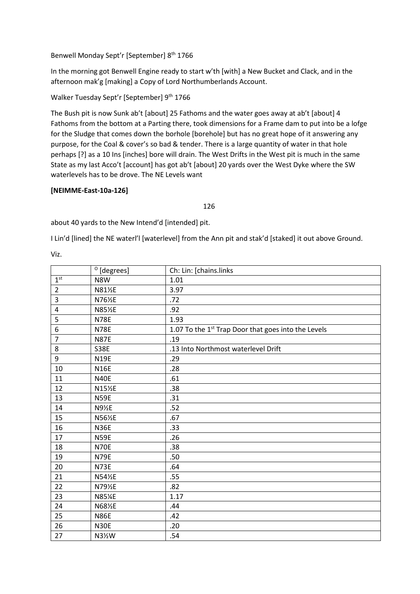Benwell Monday Sept'r [September] 8<sup>th</sup> 1766

In the morning got Benwell Engine ready to start w'th [with] a New Bucket and Clack, and in the afternoon mak'g [making] a Copy of Lord Northumberlands Account.

Walker Tuesday Sept'r [September] 9<sup>th</sup> 1766

The Bush pit is now Sunk ab't [about] 25 Fathoms and the water goes away at ab't [about] 4 Fathoms from the bottom at a Parting there, took dimensions for a Frame dam to put into be a lofge for the Sludge that comes down the borhole [borehole] but has no great hope of it answering any purpose, for the Coal & cover's so bad & tender. There is a large quantity of water in that hole perhaps [?] as a 10 Ins [inches] bore will drain. The West Drifts in the West pit is much in the same State as my last Acco't [account] has got ab't [about] 20 yards over the West Dyke where the SW waterlevels has to be drove. The NE Levels want

## **[NEIMME-East-10a-126]**

#### 

about 40 yards to the New Intend'd [intended] pit.

I Lin'd [lined] the NE waterl'l [waterlevel] from the Ann pit and stak'd [staked] it out above Ground.

Viz.

|                 | $^{\circ}$ [degrees] | Ch: Lin: [chains.links                                          |
|-----------------|----------------------|-----------------------------------------------------------------|
| 1 <sup>st</sup> | N8W                  | 1.01                                                            |
| $\overline{2}$  | N81½E                | 3.97                                                            |
| 3               | N76½E                | .72                                                             |
| 4               | N85½E                | .92                                                             |
| 5               | <b>N78E</b>          | 1.93                                                            |
| 6               | <b>N78E</b>          | 1.07 To the 1 <sup>st</sup> Trap Door that goes into the Levels |
| $\overline{7}$  | <b>N87E</b>          | .19                                                             |
| 8               | <b>S38E</b>          | .13 Into Northmost waterlevel Drift                             |
| 9               | <b>N19E</b>          | .29                                                             |
| 10              | <b>N16E</b>          | .28                                                             |
| 11              | <b>N40E</b>          | .61                                                             |
| 12              | N15½E                | .38                                                             |
| 13              | <b>N59E</b>          | .31                                                             |
| 14              | N9½E                 | .52                                                             |
| 15              | N56½E                | .67                                                             |
| 16              | <b>N36E</b>          | .33                                                             |
| 17              | <b>N59E</b>          | .26                                                             |
| 18              | <b>N70E</b>          | .38                                                             |
| 19              | <b>N79E</b>          | .50                                                             |
| 20              | <b>N73E</b>          | .64                                                             |
| 21              | N54½E                | .55                                                             |
| 22              | N79½E                | .82                                                             |
| 23              | N85%E                | 1.17                                                            |
| 24              | N68½E                | .44                                                             |
| 25              | <b>N86E</b>          | .42                                                             |
| 26              | <b>N30E</b>          | .20                                                             |
| 27              | N31/2W               | .54                                                             |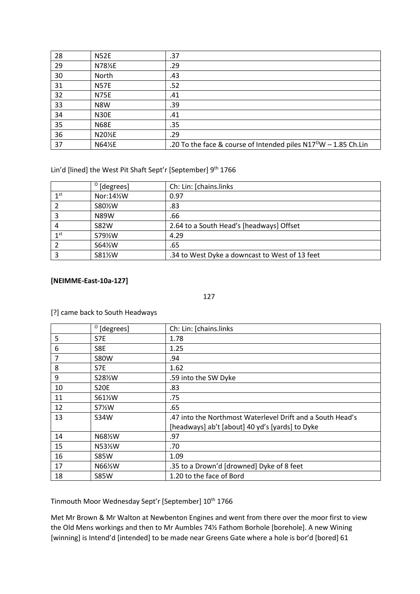| 28 | <b>N52E</b> | .37                                                                         |
|----|-------------|-----------------------------------------------------------------------------|
| 29 | N781/2E     | .29                                                                         |
| 30 | North       | .43                                                                         |
| 31 | <b>N57E</b> | .52                                                                         |
| 32 | <b>N75E</b> | .41                                                                         |
| 33 | N8W         | .39                                                                         |
| 34 | <b>N30E</b> | .41                                                                         |
| 35 | <b>N68E</b> | .35                                                                         |
| 36 | N20½E       | .29                                                                         |
| 37 | N64½E       | .20 To the face & course of Intended piles N17 <sup>0</sup> W - 1.85 Ch.Lin |

Lin'd [lined] the West Pit Shaft Sept'r [September] 9<sup>th</sup> 1766

|                 | $^{\circ}$ [degrees]              | Ch: Lin: [chains.links                         |
|-----------------|-----------------------------------|------------------------------------------------|
| 1 <sup>st</sup> | Nor:141/2W                        | 0.97                                           |
|                 | S80 <sup>%</sup> W                | .83                                            |
|                 | <b>N89W</b>                       | .66                                            |
| 4               | <b>S82W</b>                       | 2.64 to a South Head's [headways] Offset       |
| 1 <sup>st</sup> | S79 <sup>%</sup> W                | 4.29                                           |
|                 | S64 <sup>1</sup> / <sub>2</sub> W | .65                                            |
|                 | S81½W                             | .34 to West Dyke a downcast to West of 13 feet |

### **[NEIMME-East-10a-127]**

#### 

[?] came back to South Headways

|    | $^{\circ}$ [degrees] | Ch: Lin: [chains.links                                    |
|----|----------------------|-----------------------------------------------------------|
| 5  | S7E                  | 1.78                                                      |
| 6  | S8E                  | 1.25                                                      |
| 7  | <b>S80W</b>          | .94                                                       |
| 8  | S7E                  | 1.62                                                      |
| 9  | S28 <sup>%</sup> W   | .59 into the SW Dyke                                      |
| 10 | <b>S20E</b>          | .83                                                       |
| 11 | S61 <sup>/2</sup> W  | .75                                                       |
| 12 | $S7\frac{1}{2}W$     | .65                                                       |
| 13 | S34W                 | 47 into the Northmost Waterlevel Drift and a South Head's |
|    |                      | [headways] ab't [about] 40 yd's [yards] to Dyke           |
| 14 | N68½W                | .97                                                       |
| 15 | N53½W                | .70                                                       |
| 16 | <b>S85W</b>          | 1.09                                                      |
| 17 | N66½W                | .35 to a Drown'd [drowned] Dyke of 8 feet                 |
| 18 | <b>S85W</b>          | 1.20 to the face of Bord                                  |

Tinmouth Moor Wednesday Sept'r [September] 10<sup>th</sup> 1766

Met Mr Brown & Mr Walton at Newbenton Engines and went from there over the moor first to view the Old Mens workings and then to Mr Aumbles 74½ Fathom Borhole [borehole]. A new Wining [winning] is Intend'd [intended] to be made near Greens Gate where a hole is bor'd [bored] 61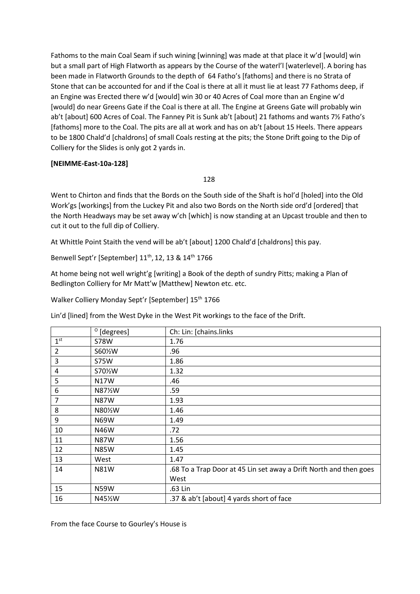Fathoms to the main Coal Seam if such wining [winning] was made at that place it w'd [would] win but a small part of High Flatworth as appears by the Course of the waterl'l [waterlevel]. A boring has been made in Flatworth Grounds to the depth of 64 Fatho's [fathoms] and there is no Strata of Stone that can be accounted for and if the Coal is there at all it must lie at least 77 Fathoms deep, if an Engine was Erected there w'd [would] win 30 or 40 Acres of Coal more than an Engine w'd [would] do near Greens Gate if the Coal is there at all. The Engine at Greens Gate will probably win ab't [about] 600 Acres of Coal. The Fanney Pit is Sunk ab't [about] 21 fathoms and wants 7½ Fatho's [fathoms] more to the Coal. The pits are all at work and has on ab't [about 15 Heels. There appears to be 1800 Chald'd [chaldrons] of small Coals resting at the pits; the Stone Drift going to the Dip of Colliery for the Slides is only got 2 yards in.

### **[NEIMME-East-10a-128]**

#### 128

Went to Chirton and finds that the Bords on the South side of the Shaft is hol'd [holed] into the Old Work'gs [workings] from the Luckey Pit and also two Bords on the North side ord'd [ordered] that the North Headways may be set away w'ch [which] is now standing at an Upcast trouble and then to cut it out to the full dip of Colliery.

At Whittle Point Staith the vend will be ab't [about] 1200 Chald'd [chaldrons] this pay.

Benwell Sept'r [September] 11<sup>th</sup>, 12, 13 & 14<sup>th</sup> 1766

At home being not well wright'g [writing] a Book of the depth of sundry Pitts; making a Plan of Bedlington Colliery for Mr Matt'w [Matthew] Newton etc. etc.

Walker Colliery Monday Sept'r [September] 15<sup>th</sup> 1766

Lin'd [lined] from the West Dyke in the West Pit workings to the face of the Drift.

|                 | $^{\circ}$ [degrees] | Ch: Lin: [chains.links                                            |
|-----------------|----------------------|-------------------------------------------------------------------|
| 1 <sup>st</sup> | <b>S78W</b>          | 1.76                                                              |
| $\overline{2}$  | S60%W                | .96                                                               |
| 3               | <b>S75W</b>          | 1.86                                                              |
| 4               | S70%W                | 1.32                                                              |
| 5               | N17W                 | .46                                                               |
| 6               | N87½W                | .59                                                               |
| $\overline{7}$  | <b>N87W</b>          | 1.93                                                              |
| 8               | N80%W                | 1.46                                                              |
| 9               | N69W                 | 1.49                                                              |
| 10              | N46W                 | .72                                                               |
| 11              | <b>N87W</b>          | 1.56                                                              |
| 12              | <b>N85W</b>          | 1.45                                                              |
| 13              | West                 | 1.47                                                              |
| 14              | <b>N81W</b>          | .68 To a Trap Door at 45 Lin set away a Drift North and then goes |
|                 |                      | West                                                              |
| 15              | <b>N59W</b>          | .63 Lin                                                           |
| 16              | N45½W                | .37 & ab't [about] 4 yards short of face                          |

From the face Course to Gourley's House is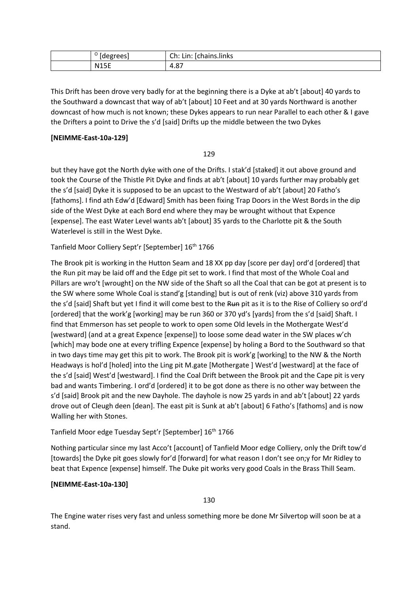| aearoehl<br>ີ               | Ch:<br><br>ichains.links<br>ın<br>$\sim$<br>.<br>. |
|-----------------------------|----------------------------------------------------|
| <b>N15F</b><br>.<br>_______ | $\circ$<br>4.8,                                    |

This Drift has been drove very badly for at the beginning there is a Dyke at ab't [about] 40 yards to the Southward a downcast that way of ab't [about] 10 Feet and at 30 yards Northward is another downcast of how much is not known; these Dykes appears to run near Parallel to each other & I gave the Drifters a point to Drive the s'd [said] Drifts up the middle between the two Dykes

## **[NEIMME-East-10a-129]**

### 129

but they have got the North dyke with one of the Drifts. I stak'd [staked] it out above ground and took the Course of the Thistle Pit Dyke and finds at ab't [about] 10 yards further may probably get the s'd [said] Dyke it is supposed to be an upcast to the Westward of ab't [about] 20 Fatho's [fathoms]. I find ath Edw'd [Edward] Smith has been fixing Trap Doors in the West Bords in the dip side of the West Dyke at each Bord end where they may be wrought without that Expence [expense]. The east Water Level wants ab't [about] 35 yards to the Charlotte pit & the South Waterlevel is still in the West Dyke.

Tanfield Moor Colliery Sept'r [September] 16<sup>th</sup> 1766

The Brook pit is working in the Hutton Seam and 18 XX pp day [score per day] ord'd [ordered] that the Run pit may be laid off and the Edge pit set to work. I find that most of the Whole Coal and Pillars are wro't [wrought] on the NW side of the Shaft so all the Coal that can be got at present is to the SW where some Whole Coal is stand'g [standing] but is out of renk (viz) above 310 yards from the s'd [said] Shaft but yet I find it will come best to the Run pit as it is to the Rise of Colliery so ord'd [ordered] that the work'g [working] may be run 360 or 370 yd's [yards] from the s'd [said] Shaft. I find that Emmerson has set people to work to open some Old levels in the Mothergate West'd [westward] (and at a great Expence [expense]) to loose some dead water in the SW places w'ch [which] may bode one at every trifling Expence [expense] by holing a Bord to the Southward so that in two days time may get this pit to work. The Brook pit is work'g [working] to the NW & the North Headways is hol'd [holed] into the Ling pit M.gate [Mothergate ] West'd [westward] at the face of the s'd [said] West'd [westward]. I find the Coal Drift between the Brook pit and the Cape pit is very bad and wants Timbering. I ord'd [ordered] it to be got done as there is no other way between the s'd [said] Brook pit and the new Dayhole. The dayhole is now 25 yards in and ab't [about] 22 yards drove out of Cleugh deen [dean]. The east pit is Sunk at ab't [about] 6 Fatho's [fathoms] and is now Walling her with Stones.

## Tanfield Moor edge Tuesday Sept'r [September] 16<sup>th</sup> 1766

Nothing particular since my last Acco't [account] of Tanfield Moor edge Colliery, only the Drift tow'd [towards] the Dyke pit goes slowly for'd [forward] for what reason I don't see on;y for Mr Ridley to beat that Expence [expense] himself. The Duke pit works very good Coals in the Brass Thill Seam.

## **[NEIMME-East-10a-130]**

130

The Engine water rises very fast and unless something more be done Mr Silvertop will soon be at a stand.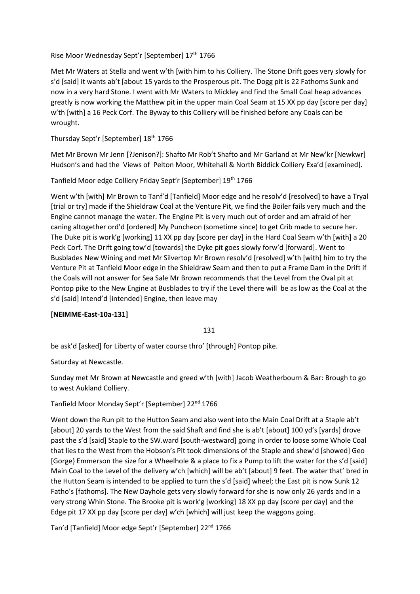Rise Moor Wednesday Sept'r [September] 17th 1766

Met Mr Waters at Stella and went w'th [with him to his Colliery. The Stone Drift goes very slowly for s'd [said] it wants ab't [about 15 yards to the Prosperous pit. The Dogg pit is 22 Fathoms Sunk and now in a very hard Stone. I went with Mr Waters to Mickley and find the Small Coal heap advances greatly is now working the Matthew pit in the upper main Coal Seam at 15 XX pp day [score per day] w'th [with] a 16 Peck Corf. The Byway to this Colliery will be finished before any Coals can be wrought.

Thursday Sept'r [September] 18<sup>th</sup> 1766

Met Mr Brown Mr Jenn [?Jenison?]: Shafto Mr Rob't Shafto and Mr Garland at Mr New'kr [Newkwr] Hudson's and had the Views of Pelton Moor, Whitehall & North Biddick Colliery Exa'd [examined].

Tanfield Moor edge Colliery Friday Sept'r [September] 19th 1766

Went w'th [with] Mr Brown to Tanf'd [Tanfield] Moor edge and he resolv'd [resolved] to have a Tryal [trial or try] made if the Shieldraw Coal at the Venture Pit, we find the Boiler fails very much and the Engine cannot manage the water. The Engine Pit is very much out of order and am afraid of her caning altogether ord'd [ordered] My Puncheon (sometime since) to get Crib made to secure her. The Duke pit is work'g [working] 11 XX pp day [score per day] in the Hard Coal Seam w'th [with] a 20 Peck Corf. The Drift going tow'd [towards] the Dyke pit goes slowly forw'd [forward]. Went to Busblades New Wining and met Mr Silvertop Mr Brown resolv'd [resolved] w'th [with] him to try the Venture Pit at Tanfield Moor edge in the Shieldraw Seam and then to put a Frame Dam in the Drift if the Coals will not answer for Sea Sale Mr Brown recommends that the Level from the Oval pit at Pontop pike to the New Engine at Busblades to try if the Level there will be as low as the Coal at the s'd [said] Intend'd [intended] Engine, then leave may

## **[NEIMME-East-10a-131]**

131

be ask'd [asked] for Liberty of water course thro' [through] Pontop pike.

Saturday at Newcastle.

Sunday met Mr Brown at Newcastle and greed w'th [with] Jacob Weatherbourn & Bar: Brough to go to west Aukland Colliery.

## Tanfield Moor Monday Sept'r [September] 22<sup>nd</sup> 1766

Went down the Run pit to the Hutton Seam and also went into the Main Coal Drift at a Staple ab't [about] 20 yards to the West from the said Shaft and find she is ab't [about] 100 yd's [yards] drove past the s'd [said] Staple to the SW.ward [south-westward] going in order to loose some Whole Coal that lies to the West from the Hobson's Pit took dimensions of the Staple and shew'd [showed] Geo [Gorge} Emmerson the size for a Wheelhole & a place to fix a Pump to lift the water for the s'd [said] Main Coal to the Level of the delivery w'ch [which] will be ab't [about] 9 feet. The water that' bred in the Hutton Seam is intended to be applied to turn the s'd [said] wheel; the East pit is now Sunk 12 Fatho's [fathoms]. The New Dayhole gets very slowly forward for she is now only 26 yards and in a very strong Whin Stone. The Brooke pit is work'g [working] 18 XX pp day [score per day] and the Edge pit 17 XX pp day [score per day] w'ch [which] will just keep the waggons going.

Tan'd [Tanfield] Moor edge Sept'r [September] 22<sup>nd</sup> 1766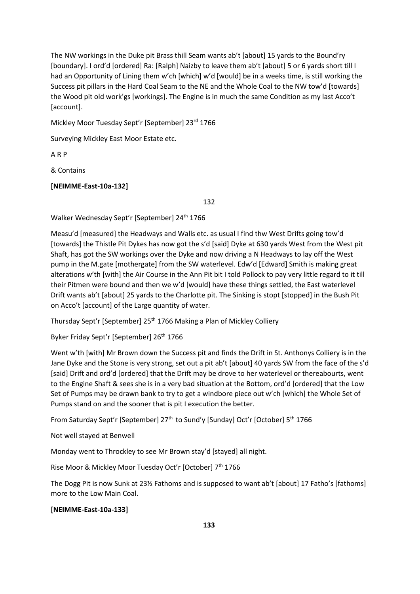The NW workings in the Duke pit Brass thill Seam wants ab't [about] 15 yards to the Bound'ry [boundary]. I ord'd [ordered] Ra: [Ralph] Naizby to leave them ab't [about] 5 or 6 yards short till I had an Opportunity of Lining them w'ch [which] w'd [would] be in a weeks time, is still working the Success pit pillars in the Hard Coal Seam to the NE and the Whole Coal to the NW tow'd [towards] the Wood pit old work'gs [workings]. The Engine is in much the same Condition as my last Acco't [account].

Mickley Moor Tuesday Sept'r [September] 23rd 1766

Surveying Mickley East Moor Estate etc.

A R P

& Contains

**[NEIMME-East-10a-132]**

132

Walker Wednesday Sept'r [September] 24<sup>th</sup> 1766

Measu'd [measured] the Headways and Walls etc. as usual I find thw West Drifts going tow'd [towards] the Thistle Pit Dykes has now got the s'd [said] Dyke at 630 yards West from the West pit Shaft, has got the SW workings over the Dyke and now driving a N Headways to lay off the West pump in the M.gate [mothergate] from the SW waterlevel. Edw'd [Edward] Smith is making great alterations w'th [with] the Air Course in the Ann Pit bit I told Pollock to pay very little regard to it till their Pitmen were bound and then we w'd [would] have these things settled, the East waterlevel Drift wants ab't [about] 25 yards to the Charlotte pit. The Sinking is stopt [stopped] in the Bush Pit on Acco't [account] of the Large quantity of water.

Thursday Sept'r [September] 25<sup>th</sup> 1766 Making a Plan of Mickley Colliery

Byker Friday Sept'r [September] 26<sup>th</sup> 1766

Went w'th [with] Mr Brown down the Success pit and finds the Drift in St. Anthonys Colliery is in the Jane Dyke and the Stone is very strong, set out a pit ab't [about] 40 yards SW from the face of the s'd [said] Drift and ord'd [ordered] that the Drift may be drove to her waterlevel or thereabourts, went to the Engine Shaft & sees she is in a very bad situation at the Bottom, ord'd [ordered] that the Low Set of Pumps may be drawn bank to try to get a windbore piece out w'ch [which] the Whole Set of Pumps stand on and the sooner that is pit I execution the better.

From Saturday Sept'r [September] 27<sup>th</sup> to Sund'y [Sunday] Oct'r [October] 5<sup>th</sup> 1766

Not well stayed at Benwell

Monday went to Throckley to see Mr Brown stay'd [stayed] all night.

Rise Moor & Mickley Moor Tuesday Oct'r [October] 7th 1766

The Dogg Pit is now Sunk at 23½ Fathoms and is supposed to want ab't [about] 17 Fatho's [fathoms] more to the Low Main Coal.

### **[NEIMME-East-10a-133]**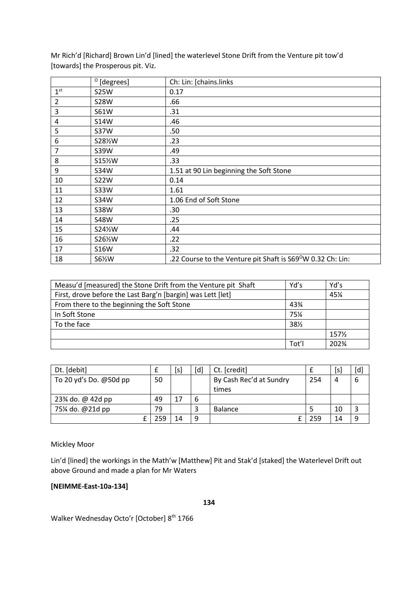|                 | $^{\circ}$ [degrees] | Ch: Lin: [chains.links                                                  |
|-----------------|----------------------|-------------------------------------------------------------------------|
| 1 <sup>st</sup> | <b>S25W</b>          | 0.17                                                                    |
| $\overline{2}$  | <b>S28W</b>          | .66                                                                     |
| $\overline{3}$  | <b>S61W</b>          | .31                                                                     |
| 4               | <b>S14W</b>          | .46                                                                     |
| 5               | <b>S37W</b>          | .50                                                                     |
| 6               | S281/2W              | .23                                                                     |
| 7               | S39W                 | .49                                                                     |
| 8               | S15%W                | .33                                                                     |
| 9               | <b>S34W</b>          | 1.51 at 90 Lin beginning the Soft Stone                                 |
| 10              | <b>S22W</b>          | 0.14                                                                    |
| 11              | <b>S33W</b>          | 1.61                                                                    |
| 12              | S34W                 | 1.06 End of Soft Stone                                                  |
| 13              | <b>S38W</b>          | .30                                                                     |
| 14              | <b>S48W</b>          | .25                                                                     |
| 15              | S24 <sup>/2</sup> W  | .44                                                                     |
| 16              | S26 <sup>/2</sup> W  | .22                                                                     |
| 17              | <b>S16W</b>          | .32                                                                     |
| 18              | S61/2W               | .22 Course to the Venture pit Shaft is S69 <sup>o</sup> W 0.32 Ch: Lin: |

Mr Rich'd [Richard] Brown Lin'd [lined] the waterlevel Stone Drift from the Venture pit tow'd [towards] the Prosperous pit. Viz.

| Measu'd [measured] the Stone Drift from the Venture pit Shaft | Yd's            | Yd's    |
|---------------------------------------------------------------|-----------------|---------|
| First, drove before the Last Barg'n [bargin] was Lett [let]   |                 | 45%     |
| From there to the beginning the Soft Stone                    | 43%             |         |
| In Soft Stone                                                 | 75%             |         |
| To the face                                                   | $38\frac{1}{2}$ |         |
|                                                               |                 | 157½    |
|                                                               | Tot'l           | $202\%$ |

| Dt. [debit]              |     | [s] | [d] | Ct. [credit]            |     | [s] | [d] |
|--------------------------|-----|-----|-----|-------------------------|-----|-----|-----|
| To 20 yd's Do. $@50d$ pp | 50  |     |     | By Cash Rec'd at Sundry | 254 |     |     |
|                          |     |     |     | times                   |     |     |     |
| 23% do. @ 42d pp         | 49  | 17  | 6   |                         |     |     |     |
| 75¼ do. @21d pp          | 79  |     |     | <b>Balance</b>          |     | 10  |     |
|                          | 259 | 14  | 9   |                         | 259 | 14  |     |

Mickley Moor

Lin'd [lined] the workings in the Math'w [Matthew] Pit and Stak'd [staked] the Waterlevel Drift out above Ground and made a plan for Mr Waters

## **[NEIMME-East-10a-134]**

**134**

Walker Wednesday Octo'r [October] 8<sup>th</sup> 1766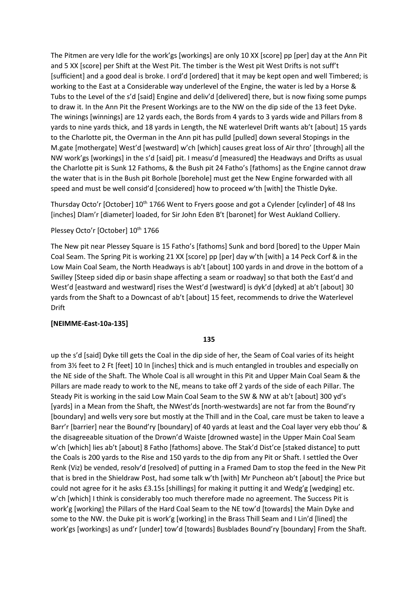The Pitmen are very Idle for the work'gs [workings] are only 10 XX [score] pp [per] day at the Ann Pit and 5 XX [score] per Shift at the West Pit. The timber is the West pit West Drifts is not suff't [sufficient] and a good deal is broke. I ord'd [ordered] that it may be kept open and well Timbered; is working to the East at a Considerable way underlevel of the Engine, the water is led by a Horse & Tubs to the Level of the s'd [said] Engine and deliv'd [delivered] there, but is now fixing some pumps to draw it. In the Ann Pit the Present Workings are to the NW on the dip side of the 13 feet Dyke. The winings [winnings] are 12 yards each, the Bords from 4 yards to 3 yards wide and Pillars from 8 yards to nine yards thick, and 18 yards in Length, the NE waterlevel Drift wants ab't [about] 15 yards to the Charlotte pit, the Overman in the Ann pit has pulld [pulled] down several Stopings in the M.gate [mothergate] West'd [westward] w'ch [which] causes great loss of Air thro' [through] all the NW work'gs [workings] in the s'd [said] pit. I measu'd [measured] the Headways and Drifts as usual the Charlotte pit is Sunk 12 Fathoms, & the Bush pit 24 Fatho's [fathoms] as the Engine cannot draw the water that is in the Bush pit Borhole [borehole] must get the New Engine forwarded with all speed and must be well consid'd [considered] how to proceed w'th [with] the Thistle Dyke.

Thursday Octo'r [October] 10<sup>th</sup> 1766 Went to Fryers goose and got a Cylender [cylinder] of 48 Ins [inches] DIam'r [diameter] loaded, for Sir John Eden B't [baronet] for West Aukland Colliery.

## Plessey Octo'r [October] 10<sup>th</sup> 1766

The New pit near Plessey Square is 15 Fatho's [fathoms] Sunk and bord [bored] to the Upper Main Coal Seam. The Spring Pit is working 21 XX [score] pp [per] day w'th [with] a 14 Peck Corf & in the Low Main Coal Seam, the North Headways is ab't [about] 100 yards in and drove in the bottom of a Swilley [Steep sided dip or basin shape affecting a seam or roadway] so that both the East'd and West'd [eastward and westward] rises the West'd [westward] is dyk'd [dyked] at ab't [about] 30 yards from the Shaft to a Downcast of ab't [about] 15 feet, recommends to drive the Waterlevel Drift

#### **[NEIMME-East-10a-135]**

#### **135**

up the s'd [said] Dyke till gets the Coal in the dip side of her, the Seam of Coal varies of its height from 3½ feet to 2 Ft [feet] 10 In [inches] thick and is much entangled in troubles and especially on the NE side of the Shaft. The Whole Coal is all wrought in this Pit and Upper Main Coal Seam & the Pillars are made ready to work to the NE, means to take off 2 yards of the side of each Pillar. The Steady Pit is working in the said Low Main Coal Seam to the SW & NW at ab't [about] 300 yd's [yards] in a Mean from the Shaft, the NWest'ds [north-westwards] are not far from the Bound'ry [boundary] and wells very sore but mostly at the Thill and in the Coal, care must be taken to leave a Barr'r [barrier] near the Bound'ry [boundary] of 40 yards at least and the Coal layer very ebb thou' & the disagreeable situation of the Drown'd Waiste [drowned waste] in the Upper Main Coal Seam w'ch [which] lies ab't [about] 8 Fatho [fathoms] above. The Stak'd Dist'ce [staked distance] to putt the Coals is 200 yards to the Rise and 150 yards to the dip from any Pit or Shaft. I settled the Over Renk (Viz) be vended, resolv'd [resolved] of putting in a Framed Dam to stop the feed in the New Pit that is bred in the Shieldraw Post, had some talk w'th [with] Mr Puncheon ab't [about] the Price but could not agree for it he asks £3.15s [shillings] for making it putting it and Wedg'g [wedging] etc. w'ch [which] I think is considerably too much therefore made no agreement. The Success Pit is work'g [working] the Pillars of the Hard Coal Seam to the NE tow'd [towards] the Main Dyke and some to the NW. the Duke pit is work'g [working] in the Brass Thill Seam and I Lin'd [lined] the work'gs [workings] as und'r [under] tow'd [towards] Busblades Bound'ry [boundary] From the Shaft.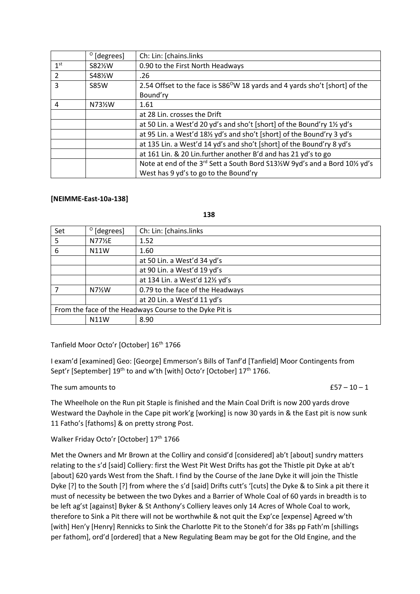|                 | $^{\circ}$ [degrees] | Ch: Lin: [chains.links                                                                   |
|-----------------|----------------------|------------------------------------------------------------------------------------------|
| 1 <sup>st</sup> | S82%W                | 0.90 to the First North Headways                                                         |
| $\overline{2}$  | S48%W                | .26                                                                                      |
| 3               | <b>S85W</b>          | 2.54 Offset to the face is S86 <sup>o</sup> W 18 yards and 4 yards sho't [short] of the  |
|                 |                      | Bound'ry                                                                                 |
| 4               | N73½W                | 1.61                                                                                     |
|                 |                      | at 28 Lin. crosses the Drift                                                             |
|                 |                      | at 50 Lin. a West'd 20 yd's and sho't [short] of the Bound'ry 11/2 yd's                  |
|                 |                      | at 95 Lin. a West'd 181/2 yd's and sho't [short] of the Bound'ry 3 yd's                  |
|                 |                      | at 135 Lin. a West'd 14 yd's and sho't [short] of the Bound'ry 8 yd's                    |
|                 |                      | at 161 Lin. & 20 Lin.further another B'd and has 21 yd's to go                           |
|                 |                      | Note at end of the 3 <sup>rd</sup> Sett a South Bord S131/2W 9yd's and a Bord 101/2 yd's |
|                 |                      | West has 9 yd's to go to the Bound'ry                                                    |

### **[NEIMME-East-10a-138]**

**138**

| Set                                                     | $^{\circ}$ [degrees] | Ch: Lin: [chains.links           |
|---------------------------------------------------------|----------------------|----------------------------------|
| 5                                                       | N77½E                | 1.52                             |
| 6                                                       | N11W                 | 1.60                             |
|                                                         |                      | at 50 Lin. a West'd 34 yd's      |
|                                                         |                      | at 90 Lin. a West'd 19 yd's      |
|                                                         |                      | at 134 Lin. a West'd 121/2 yd's  |
|                                                         | $N7\frac{1}{2}W$     | 0.79 to the face of the Headways |
|                                                         |                      | at 20 Lin. a West'd 11 yd's      |
| From the face of the Headways Course to the Dyke Pit is |                      |                                  |
|                                                         | <b>N11W</b>          | 8.90                             |

## Tanfield Moor Octo'r [October] 16th 1766

I exam'd [examined] Geo: [George] Emmerson's Bills of Tanf'd [Tanfield] Moor Contingents from Sept'r [September] 19<sup>th</sup> to and w'th [with] Octo'r [October] 17<sup>th</sup> 1766.

### The sum amounts to  $£57 - 10 - 1$

The Wheelhole on the Run pit Staple is finished and the Main Coal Drift is now 200 yards drove Westward the Dayhole in the Cape pit work'g [working] is now 30 yards in & the East pit is now sunk 11 Fatho's [fathoms] & on pretty strong Post.

Walker Friday Octo'r [October] 17<sup>th</sup> 1766

Met the Owners and Mr Brown at the Colliry and consid'd [considered] ab't [about] sundry matters relating to the s'd [said] Colliery: first the West Pit West Drifts has got the Thistle pit Dyke at ab't [about] 620 yards West from the Shaft. I find by the Course of the Jane Dyke it will join the Thistle Dyke [?] to the South [?] from where the s'd [said] Drifts cutt's '[cuts] the Dyke & to Sink a pit there it must of necessity be between the two Dykes and a Barrier of Whole Coal of 60 yards in breadth is to be left ag'st [against] Byker & St Anthony's Colliery leaves only 14 Acres of Whole Coal to work, therefore to Sink a Pit there will not be worthwhile & not quit the Exp'ce [expense] Agreed w'th [with] Hen'y [Henry] Rennicks to Sink the Charlotte Pit to the Stoneh'd for 38s pp Fath'm [shillings per fathom], ord'd [ordered] that a New Regulating Beam may be got for the Old Engine, and the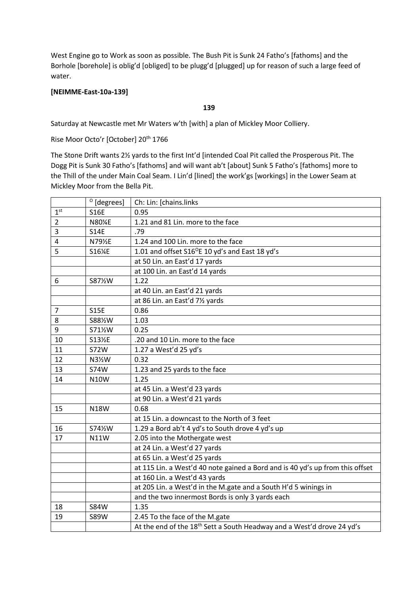West Engine go to Work as soon as possible. The Bush Pit is Sunk 24 Fatho's [fathoms] and the Borhole [borehole] is oblig'd [obliged] to be plugg'd [plugged] up for reason of such a large feed of water.

## **[NEIMME-East-10a-139]**

### **139**

Saturday at Newcastle met Mr Waters w'th [with] a plan of Mickley Moor Colliery.

Rise Moor Octo'r [October] 20<sup>th</sup> 1766

The Stone Drift wants 2½ yards to the first Int'd [intended Coal Pit called the Prosperous Pit. The Dogg Pit is Sunk 30 Fatho's [fathoms] and will want ab't [about] Sunk 5 Fatho's [fathoms] more to the Thill of the under Main Coal Seam. I Lin'd [lined] the work'gs [workings] in the Lower Seam at Mickley Moor from the Bella Pit.

|                 | $^{\circ}$ [degrees] | Ch: Lin: [chains.links                                                             |
|-----------------|----------------------|------------------------------------------------------------------------------------|
| 1 <sup>st</sup> | <b>S16E</b>          | 0.95                                                                               |
| $\overline{2}$  | N80%E                | 1.21 and 81 Lin. more to the face                                                  |
| 3               | <b>S14E</b>          | .79                                                                                |
| 4               | N79½E                | 1.24 and 100 Lin. more to the face                                                 |
| 5               | S16%E                | 1.01 and offset S16 <sup>o</sup> E 10 yd's and East 18 yd's                        |
|                 |                      | at 50 Lin. an East'd 17 yards                                                      |
|                 |                      | at 100 Lin. an East'd 14 yards                                                     |
| 6               | S87%W                | 1.22                                                                               |
|                 |                      | at 40 Lin. an East'd 21 yards                                                      |
|                 |                      | at 86 Lin. an East'd 71/2 yards                                                    |
| 7               | <b>S15E</b>          | 0.86                                                                               |
| 8               | S881%W               | 1.03                                                                               |
| 9               | S71%W                | 0.25                                                                               |
| 10              | S13½E                | .20 and 10 Lin. more to the face                                                   |
| 11              | <b>S72W</b>          | 1.27 a West'd 25 yd's                                                              |
| 12              | N31/2W               | 0.32                                                                               |
| 13              | <b>S74W</b>          | 1.23 and 25 yards to the face                                                      |
| 14              | <b>N10W</b>          | 1.25                                                                               |
|                 |                      | at 45 Lin. a West'd 23 yards                                                       |
|                 |                      | at 90 Lin. a West'd 21 yards                                                       |
| 15              | <b>N18W</b>          | 0.68                                                                               |
|                 |                      | at 15 Lin. a downcast to the North of 3 feet                                       |
| 16              | S741/2W              | 1.29 a Bord ab't 4 yd's to South drove 4 yd's up                                   |
| 17              | <b>N11W</b>          | 2.05 into the Mothergate west                                                      |
|                 |                      | at 24 Lin. a West'd 27 yards                                                       |
|                 |                      | at 65 Lin. a West'd 25 yards                                                       |
|                 |                      | at 115 Lin. a West'd 40 note gained a Bord and is 40 yd's up from this offset      |
|                 |                      | at 160 Lin. a West'd 43 yards                                                      |
|                 |                      | at 205 Lin. a West'd in the M.gate and a South H'd 5 winings in                    |
|                 |                      | and the two innermost Bords is only 3 yards each                                   |
| 18              | <b>S84W</b>          | 1.35                                                                               |
| 19              | <b>S89W</b>          | 2.45 To the face of the M.gate                                                     |
|                 |                      | At the end of the 18 <sup>th</sup> Sett a South Headway and a West'd drove 24 yd's |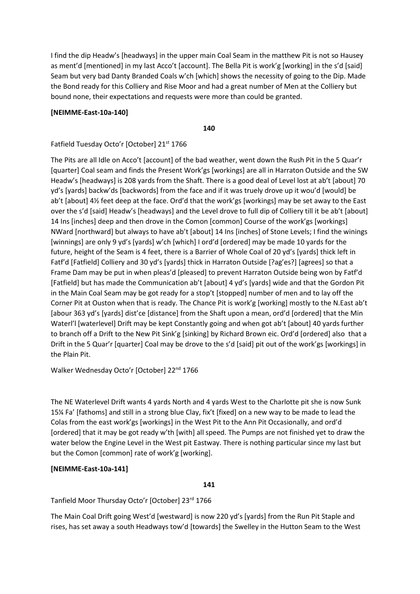I find the dip Headw's [headways] in the upper main Coal Seam in the matthew Pit is not so Hausey as ment'd [mentioned] in my last Acco't [account]. The Bella Pit is work'g [working] in the s'd [said] Seam but very bad Danty Branded Coals w'ch [which] shows the necessity of going to the Dip. Made the Bond ready for this Colliery and Rise Moor and had a great number of Men at the Colliery but bound none, their expectations and requests were more than could be granted.

### **[NEIMME-East-10a-140]**

**140**

Fatfield Tuesday Octo'r [October] 21st 1766

The Pits are all Idle on Acco't [account] of the bad weather, went down the Rush Pit in the 5 Quar'r [quarter] Coal seam and finds the Present Work'gs [workings] are all in Harraton Outside and the SW Headw's [headways] is 208 yards from the Shaft. There is a good deal of Level lost at ab't [about] 70 yd's [yards] backw'ds [backwords] from the face and if it was truely drove up it wou'd [would] be ab't [about] 4½ feet deep at the face. Ord'd that the work'gs [workings] may be set away to the East over the s'd [said] Headw's [headways] and the Level drove to full dip of Colliery till it be ab't [about] 14 Ins [inches] deep and then drove in the Comon [common] Course of the work'gs [workings] NWard [northward] but always to have ab't [about] 14 Ins [inches] of Stone Levels; I find the winings [winnings] are only 9 yd's [yards] w'ch [which] I ord'd [ordered] may be made 10 yards for the future, height of the Seam is 4 feet, there is a Barrier of Whole Coal of 20 yd's [yards] thick left in Fatf'd [Fatfield] Colliery and 30 yd's [yards] thick in Harraton Outside [?ag'es?] [agrees] so that a Frame Dam may be put in when pleas'd [pleased] to prevent Harraton Outside being won by Fatf'd [Fatfield] but has made the Communication ab't [about] 4 yd's [yards] wide and that the Gordon Pit in the Main Coal Seam may be got ready for a stop't [stopped] number of men and to lay off the Corner Pit at Ouston when that is ready. The Chance Pit is work'g [working] mostly to the N.East ab't [abour 363 yd's [yards] dist'ce [distance] from the Shaft upon a mean, ord'd [ordered] that the Min Waterl'l [waterlevel] Drift may be kept Constantly going and when got ab't [about] 40 yards further to branch off a Drift to the New Pit Sink'g [sinking] by Richard Brown eic. Ord'd [ordered] also that a Drift in the 5 Quar'r [quarter] Coal may be drove to the s'd [said] pit out of the work'gs [workings] in the Plain Pit.

Walker Wednesday Octo'r [October] 22<sup>nd</sup> 1766

The NE Waterlevel Drift wants 4 yards North and 4 yards West to the Charlotte pit she is now Sunk 15¼ Fa' [fathoms] and still in a strong blue Clay, fix't [fixed] on a new way to be made to lead the Colas from the east work'gs [workings] in the West Pit to the Ann Pit Occasionally, and ord'd [ordered] that it may be got ready w'th [with] all speed. The Pumps are not finished yet to draw the water below the Engine Level in the West pit Eastway. There is nothing particular since my last but but the Comon [common] rate of work'g [working].

## **[NEIMME-East-10a-141]**

### **141**

Tanfield Moor Thursday Octo'r [October] 23rd 1766

The Main Coal Drift going West'd [westward] is now 220 yd's [yards] from the Run Pit Staple and rises, has set away a south Headways tow'd [towards] the Swelley in the Hutton Seam to the West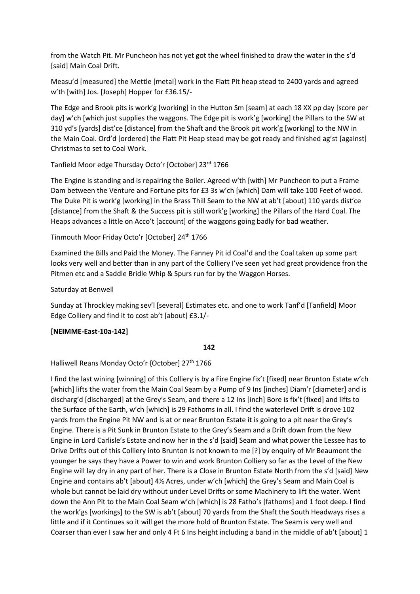from the Watch Pit. Mr Puncheon has not yet got the wheel finished to draw the water in the s'd [said] Main Coal Drift.

Measu'd [measured] the Mettle [metal] work in the Flatt Pit heap stead to 2400 yards and agreed w'th [with] Jos. [Joseph] Hopper for £36.15/-

The Edge and Brook pits is work'g [working] in the Hutton Sm [seam] at each 18 XX pp day [score per day] w'ch [which just supplies the waggons. The Edge pit is work'g [working] the Pillars to the SW at 310 yd's [yards] dist'ce [distance] from the Shaft and the Brook pit work'g [working] to the NW in the Main Coal. Ord'd [ordered] the Flatt Pit Heap stead may be got ready and finished ag'st [against] Christmas to set to Coal Work.

Tanfield Moor edge Thursday Octo'r [October] 23rd 1766

The Engine is standing and is repairing the Boiler. Agreed w'th [with] Mr Puncheon to put a Frame Dam between the Venture and Fortune pits for £3 3s w'ch [which] Dam will take 100 Feet of wood. The Duke Pit is work'g [working] in the Brass Thill Seam to the NW at ab't [about] 110 yards dist'ce [distance] from the Shaft & the Success pit is still work'g [working] the Pillars of the Hard Coal. The Heaps advances a little on Acco't [account] of the waggons going badly for bad weather.

Tinmouth Moor Friday Octo'r [October] 24<sup>th</sup> 1766

Examined the Bills and Paid the Money. The Fanney Pit id Coal'd and the Coal taken up some part looks very well and better than in any part of the Colliery I've seen yet had great providence fron the Pitmen etc and a Saddle Bridle Whip & Spurs run for by the Waggon Horses.

Saturday at Benwell

Sunday at Throckley making sev'l [several] Estimates etc. and one to work Tanf'd [Tanfield] Moor Edge Colliery and find it to cost ab't [about] £3.1/-

## **[NEIMME-East-10a-142]**

## **142**

Halliwell Reans Monday Octo'r {October] 27<sup>th</sup> 1766

I find the last wining [winning] of this Colliery is by a Fire Engine fix't [fixed] near Brunton Estate w'ch [which] lifts the water from the Main Coal Seam by a Pump of 9 Ins [inches] Diam'r [diameter] and is discharg'd [discharged] at the Grey's Seam, and there a 12 Ins [inch] Bore is fix't [fixed] and lifts to the Surface of the Earth, w'ch [which] is 29 Fathoms in all. I find the waterlevel Drift is drove 102 yards from the Engine Pit NW and is at or near Brunton Estate it is going to a pit near the Grey's Engine. There is a Pit Sunk in Brunton Estate to the Grey's Seam and a Drift down from the New Engine in Lord Carlisle's Estate and now her in the s'd [said] Seam and what power the Lessee has to Drive Drifts out of this Colliery into Brunton is not known to me [?] by enquiry of Mr Beaumont the younger he says they have a Power to win and work Brunton Colliery so far as the Level of the New Engine will lay dry in any part of her. There is a Close in Brunton Estate North from the s'd [said] New Engine and contains ab't [about] 4½ Acres, under w'ch [which] the Grey's Seam and Main Coal is whole but cannot be laid dry without under Level Drifts or some Machinery to lift the water. Went down the Ann Pit to the Main Coal Seam w'ch [which] is 28 Fatho's [fathoms] and 1 foot deep. I find the work'gs [workings] to the SW is ab't [about] 70 yards from the Shaft the South Headways rises a little and if it Continues so it will get the more hold of Brunton Estate. The Seam is very well and Coarser than ever I saw her and only 4 Ft 6 Ins height including a band in the middle of ab't [about] 1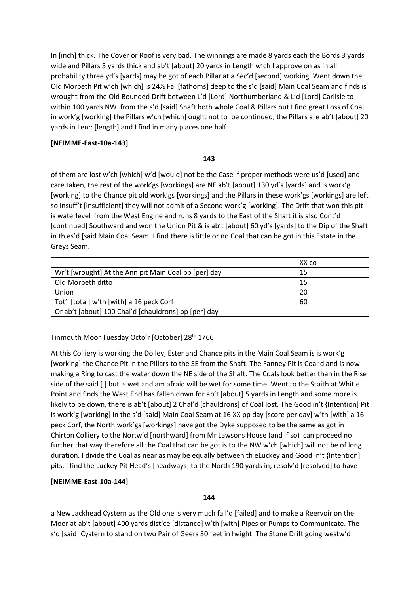In [inch] thick. The Cover or Roof is very bad. The winnings are made 8 yards each the Bords 3 yards wide and Pillars 5 yards thick and ab't [about] 20 yards in Length w'ch I approve on as in all probability three yd's [yards] may be got of each Pillar at a Sec'd [second] working. Went down the Old Morpeth Pit w'ch [which] is 24½ Fa. [fathoms] deep to the s'd [said] Main Coal Seam and finds is wrought from the Old Bounded Drift between L'd [Lord] Northumberland & L'd [Lord] Carlisle to within 100 yards NW from the s'd [said] Shaft both whole Coal & Pillars but I find great Loss of Coal in work'g [working] the Pillars w'ch [which] ought not to be continued, the Pillars are ab't [about] 20 yards in Len:: [length] and I find in many places one half

## **[NEIMME-East-10a-143]**

### **143**

of them are lost w'ch [which] w'd [would] not be the Case if proper methods were us'd [used] and care taken, the rest of the work'gs [workings] are NE ab't [about] 130 yd's [yards] and is work'g [working] to the Chance pit old work'gs [workings] and the Pillars in these work'gs [workings] are left so insuff't [insufficient] they will not admit of a Second work'g [working]. The Drift that won this pit is waterlevel from the West Engine and runs 8 yards to the East of the Shaft it is also Cont'd [continued] Southward and won the Union Pit & is ab't [about] 60 yd's [yards] to the Dip of the Shaft in th es'd [said Main Coal Seam. I find there is little or no Coal that can be got in this Estate in the Greys Seam.

|                                                      | XX co |
|------------------------------------------------------|-------|
| Wr't [wrought] At the Ann pit Main Coal pp [per] day | 15    |
| Old Morpeth ditto                                    | 15    |
| Union                                                | 20    |
| Tot'l [total] w'th [with] a 16 peck Corf             | 60    |
| Or ab't [about] 100 Chal'd [chauldrons] pp [per] day |       |

## Tinmouth Moor Tuesday Octo'r [October] 28th 1766

At this Colliery is working the Dolley, Ester and Chance pits in the Main Coal Seam is is work'g [working] the Chance Pit in the Pillars to the SE from the Shaft. The Fanney Pit is Coal'd and is now making a Ring to cast the water down the NE side of the Shaft. The Coals look better than in the Rise side of the said [ ] but is wet and am afraid will be wet for some time. Went to the Staith at Whitle Point and finds the West End has fallen down for ab't [about] 5 yards in Length and some more is likely to be down, there is ab't [about] 2 Chal'd [chauldrons] of Coal lost. The Good in't {Intention] Pit is work'g [working] in the s'd [said] Main Coal Seam at 16 XX pp day [score per day] w'th [with] a 16 peck Corf, the North work'gs [workings] have got the Dyke supposed to be the same as got in Chirton Colliery to the Nortw'd [northward] from Mr Lawsons House (and if so) can proceed no further that way therefore all the Coal that can be got is to the NW w'ch [which] will not be of long duration. I divide the Coal as near as may be equally between th eLuckey and Good in't {Intention] pits. I find the Luckey Pit Head's [headways] to the North 190 yards in; resolv'd [resolved] to have

## **[NEIMME-East-10a-144]**

### **144**

a New Jackhead Cystern as the Old one is very much fail'd [failed] and to make a Reervoir on the Moor at ab't [about] 400 yards dist'ce [distance] w'th [with] Pipes or Pumps to Communicate. The s'd [said] Cystern to stand on two Pair of Geers 30 feet in height. The Stone Drift going westw'd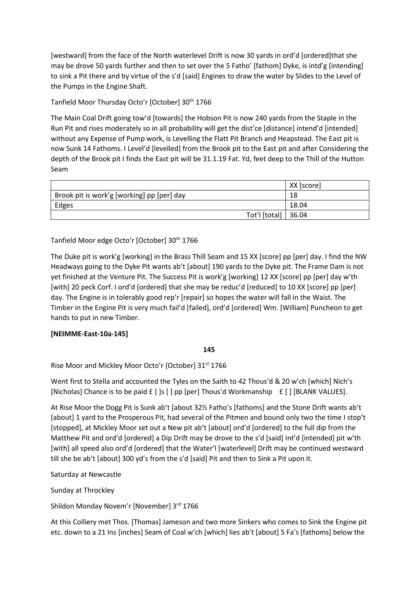[westward] from the face of the North waterlevel Drift is now 30 yards in ord'd [ordered]that she may be drove 50 yards further and then to set over the 5 Fatho' [fathom] Dyke, is intd'g [intending] to sink a Pit there and by virtue of the s'd [said] Engines to draw the water by Slides to the Level of the Pumps in the Engine Shaft.

Tanfield Moor Thursday Octo'r [October] 30<sup>th</sup> 1766

The Main Coal Drift going tow'd [towards] the Hobson Pit is now 240 yards from the Staple in the Run Pit and rises moderately so in all probability will get the dist'ce [distance] intend'd [intended] without any Expense of Pump work, is Levelling the Flatt Pit Branch and Heapstead. The East pit is now Sunk 14 Fathoms. I Level'd [levelled] from the Brook pit to the East pit and after Considering the depth of the Brook pit I finds the East pit will be 31.1.19 Fat. Yd, feet deep to the Thill of the Hutton Seam

|                                            | XX [score] |
|--------------------------------------------|------------|
| Brook pit is work'g [working] pp [per] day | 18         |
| Edges                                      | 18.04      |
| Tot'l [total] $ 36.04$                     |            |

Tanfield Moor edge Octo'r [October] 30th 1766

The Duke pit is work'g [working] in the Brass Thill Seam and 15 XX [score] pp [per] day. I find the NW Headways going to the Dyke Pit wants ab't [about] 190 yards to the Dyke pit. The Frame Dam is not yet finished at the Venture Pit. The Success Pit is work'g [working] 12 XX [score] pp [per] day w'th [with] 20 peck Corf. I ord'd [ordered] that she may be reduc'd [reduced] to 10 XX [score] pp [per] day. The Engine is in tolerably good rep'r [repair] so hopes the water will fall in the Waist. The Timber in the Engine Pit is very much fail'd [failed], ord'd [ordered] Wm. [William] Puncheon to get hands to put in new Timber.

## **[NEIMME-East-10a-145]**

## **145**

Rise Moor and Mickley Moor Octo'r {October] 31st 1766

Went first to Stella and accounted the Tyles on the Saith to 42 Thous'd & 20 w'ch [which] Nich's [Nicholas] Chance is to be paid  $f$  [ ]s [ ] pp [per] Thous'd Workmanship  $f$  [ ] [BLANK VALUES].

At Rise Moor the Dogg Pit is Sunk ab't [about 32½ Fatho's [fathoms] and the Stone Drift wants ab't [about] 1 yard to the Prosperous Pit, had several of the Pitmen and bound only two the time I stop't [stopped], at Mickley Moor set out a New pit ab't [about] ord'd [ordered] to the full dip from the Matthew Pit and ord'd [ordered] a Dip Drift may be drove to the s'd [said] Int'd [intended] pit w'th [with] all speed also ord'd [ordered] that the Water'l [waterlevel] Drift may be continued westward till she be ab't [about] 300 yd's from the s'd [said] Pit and then to Sink a Pit upon it.

Saturday at Newcastle

Sunday at Throckley

Shildon Monday Novem'r [November] 3rd 1766

At this Colliery met Thos. [Thomas] Jameson and two more Sinkers who comes to Sink the Engine pit etc. down to a 21 Ins [inches] Seam of Coal w'ch [which] lies ab't [about] 5 Fa's [fathoms] below the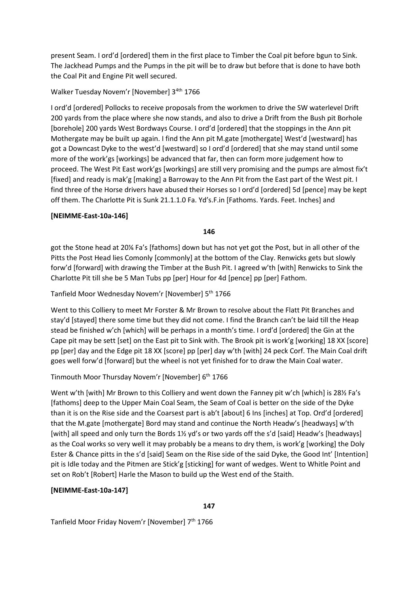present Seam. I ord'd [ordered] them in the first place to Timber the Coal pit before bgun to Sink. The Jackhead Pumps and the Pumps in the pit will be to draw but before that is done to have both the Coal Pit and Engine Pit well secured.

## Walker Tuesday Novem'r [November] 3<sup>4th</sup> 1766

I ord'd [ordered] Pollocks to receive proposals from the workmen to drive the SW waterlevel Drift 200 yards from the place where she now stands, and also to drive a Drift from the Bush pit Borhole [borehole] 200 yards West Bordways Course. I ord'd [ordered] that the stoppings in the Ann pit Mothergate may be built up again. I find the Ann pit M.gate [mothergate] West'd [westward] has got a Downcast Dyke to the west'd [westward] so I ord'd [ordered] that she may stand until some more of the work'gs [workings] be advanced that far, then can form more judgement how to proceed. The West Pit East work'gs [workings] are still very promising and the pumps are almost fix't [fixed] and ready is mak'g [making] a Barroway to the Ann Pit from the East part of the West pit. I find three of the Horse drivers have abused their Horses so I ord'd [ordered] 5d [pence] may be kept off them. The Charlotte Pit is Sunk 21.1.1.0 Fa. Yd's.F.in [Fathoms. Yards. Feet. Inches] and

## **[NEIMME-East-10a-146]**

**146**

got the Stone head at 20⅙ Fa's [fathoms] down but has not yet got the Post, but in all other of the Pitts the Post Head lies Comonly [commonly] at the bottom of the Clay. Renwicks gets but slowly forw'd [forward] with drawing the Timber at the Bush Pit. I agreed w'th [with] Renwicks to Sink the Charlotte Pit till she be 5 Man Tubs pp [per] Hour for 4d [pence] pp [per] Fathom.

Tanfield Moor Wednesday Novem'r [November] 5<sup>th</sup> 1766

Went to this Colliery to meet Mr Forster & Mr Brown to resolve about the Flatt Pit Branches and stay'd [stayed] there some time but they did not come. I find the Branch can't be laid till the Heap stead be finished w'ch [which] will be perhaps in a month's time. I ord'd [ordered] the Gin at the Cape pit may be sett [set] on the East pit to Sink with. The Brook pit is work'g [working] 18 XX [score] pp [per] day and the Edge pit 18 XX [score] pp [per] day w'th [with] 24 peck Corf. The Main Coal drift goes well forw'd [forward] but the wheel is not yet finished for to draw the Main Coal water.

Tinmouth Moor Thursday Novem'r [November] 6<sup>th</sup> 1766

Went w'th [with] Mr Brown to this Colliery and went down the Fanney pit w'ch [which] is 281/2 Fa's [fathoms] deep to the Upper Main Coal Seam, the Seam of Coal is better on the side of the Dyke than it is on the Rise side and the Coarsest part is ab't [about] 6 Ins [inches] at Top. Ord'd [ordered] that the M.gate [mothergate] Bord may stand and continue the North Headw's [headways] w'th [with] all speed and only turn the Bords 1½ yd's or two yards off the s'd [said] Headw's [headways] as the Coal works so very well it may probably be a means to dry them, is work'g [working] the Doly Ester & Chance pitts in the s'd [said] Seam on the Rise side of the said Dyke, the Good Int' [Intention] pit is Idle today and the Pitmen are Stick'g [sticking] for want of wedges. Went to Whitle Point and set on Rob't [Robert] Harle the Mason to build up the West end of the Staith.

## **[NEIMME-East-10a-147]**

**147**

Tanfield Moor Friday Novem'r [November] 7<sup>th</sup> 1766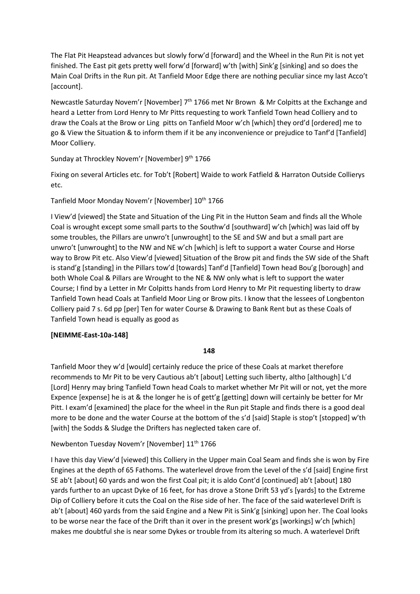The Flat Pit Heapstead advances but slowly forw'd [forward] and the Wheel in the Run Pit is not yet finished. The East pit gets pretty well forw'd [forward] w'th [with] Sink'g [sinking] and so does the Main Coal Drifts in the Run pit. At Tanfield Moor Edge there are nothing peculiar since my last Acco't [account].

Newcastle Saturday Novem'r [November] 7<sup>th</sup> 1766 met Nr Brown & Mr Colpitts at the Exchange and heard a Letter from Lord Henry to Mr Pitts requesting to work Tanfield Town head Colliery and to draw the Coals at the Brow or Ling pitts on Tanfield Moor w'ch [which] they ord'd [ordered] me to go & View the Situation & to inform them if it be any inconvenience or prejudice to Tanf'd [Tanfield] Moor Colliery.

Sunday at Throckley Novem'r [November] 9<sup>th</sup> 1766

Fixing on several Articles etc. for Tob't [Robert] Waide to work Fatfield & Harraton Outside Collierys etc.

Tanfield Moor Monday Novem'r [November] 10<sup>th</sup> 1766

I View'd [viewed] the State and Situation of the Ling Pit in the Hutton Seam and finds all the Whole Coal is wrought except some small parts to the Southw'd [southward] w'ch [which] was laid off by some troubles, the Pillars are unwro't [unwrought] to the SE and SW and but a small part are unwro't [unwrought] to the NW and NE w'ch [which] is left to support a water Course and Horse way to Brow Pit etc. Also View'd [viewed] Situation of the Brow pit and finds the SW side of the Shaft is stand'g [standing] in the Pillars tow'd [towards] Tanf'd [Tanfield] Town head Bou'g [borough] and both Whole Coal & Pillars are Wrought to the NE & NW only what is left to support the water Course; I find by a Letter in Mr Colpitts hands from Lord Henry to Mr Pit requesting liberty to draw Tanfield Town head Coals at Tanfield Moor Ling or Brow pits. I know that the lessees of Longbenton Colliery paid 7 s. 6d pp [per] Ten for water Course & Drawing to Bank Rent but as these Coals of Tanfield Town head is equally as good as

## **[NEIMME-East-10a-148]**

### **148**

Tanfield Moor they w'd [would] certainly reduce the price of these Coals at market therefore recommends to Mr Pit to be very Cautious ab't [about] Letting such liberty, altho [although] L'd [Lord] Henry may bring Tanfield Town head Coals to market whether Mr Pit will or not, yet the more Expence [expense] he is at & the longer he is of gett'g [getting] down will certainly be better for Mr Pitt. I exam'd [examined] the place for the wheel in the Run pit Staple and finds there is a good deal more to be done and the water Course at the bottom of the s'd [said] Staple is stop't [stopped] w'th [with] the Sodds & Sludge the Drifters has neglected taken care of.

Newbenton Tuesday Novem'r [November] 11<sup>th</sup> 1766

I have this day View'd [viewed] this Colliery in the Upper main Coal Seam and finds she is won by Fire Engines at the depth of 65 Fathoms. The waterlevel drove from the Level of the s'd [said] Engine first SE ab't [about] 60 yards and won the first Coal pit; it is aldo Cont'd [continued] ab't [about] 180 yards further to an upcast Dyke of 16 feet, for has drove a Stone Drift 53 yd's [yards] to the Extreme Dip of Colliery before it cuts the Coal on the Rise side of her. The face of the said waterlevel Drift is ab't [about] 460 yards from the said Engine and a New Pit is Sink'g [sinking] upon her. The Coal looks to be worse near the face of the Drift than it over in the present work'gs [workings] w'ch [which] makes me doubtful she is near some Dykes or trouble from its altering so much. A waterlevel Drift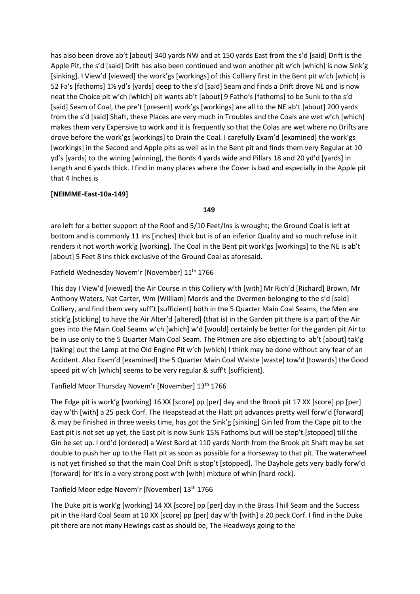has also been drove ab't [about] 340 yards NW and at 150 yards East from the s'd [said] Drift is the Apple Pit, the s'd [said] Drift has also been continued and won another pit w'ch [which] is now Sink'g [sinking]. I View'd [viewed] the work'gs [workings] of this Colliery first in the Bent pit w'ch [which] is 52 Fa's [fathoms] 1½ yd's [yards] deep to the s'd [said] Seam and finds a Drift drove NE and is now neat the Choice pit w'ch [which] pit wants ab't [about] 9 Fatho's [fathoms] to be Sunk to the s'd [said] Seam of Coal, the pre't [present] work'gs [workings] are all to the NE ab't [about] 200 yards from the s'd [said] Shaft, these Places are very much in Troubles and the Coals are wet w'ch [which] makes them very Expensive to work and it is frequently so that the Colas are wet where no Drifts are drove before the work'gs [workings] to Drain the Coal. I carefully Exam'd [examined] the work'gs [workings] in the Second and Apple pits as well as in the Bent pit and finds them very Regular at 10 yd's [yards] to the wining [winning], the Bords 4 yards wide and Pillars 18 and 20 yd'd [yards] in Length and 6 yards thick. I find in many places where the Cover is bad and especially in the Apple pit that 4 Inches is

## **[NEIMME-East-10a-149]**

### **149**

are left for a better support of the Roof and 5/10 Feet/Ins is wrought; the Ground Coal is left at bottom and is commonly 11 Ins [inches] thick but is of an inferior Quality and so much refuse in it renders it not worth work'g [working]. The Coal in the Bent pit work'gs [workings] to the NE is ab't [about] 5 Feet 8 Ins thick exclusive of the Ground Coal as aforesaid.

## Fatfield Wednesday Novem'r [November] 11<sup>th</sup> 1766

This day I View'd [viewed] the Air Course in this Colliery w'th [with] Mr Rich'd [Richard] Brown, Mr Anthony Waters, Nat Carter, Wm [William] Morris and the Overmen belonging to the s'd [said] Colliery, and find them very suff't [sufficient] both in the 5 Quarter Main Coal Seams, the Men are stick'g [sticking] to have the Air Alter'd [altered] {that is) in the Garden pit there is a part of the Air goes into the Main Coal Seams w'ch [which] w'd [would] certainly be better for the garden pit Air to be in use only to the 5 Quarter Main Coal Seam. The Pitmen are also objecting to ab't [about] tak'g [taking] out the Lamp at the Old Engine Pit w'ch [which] I think may be done without any fear of an Accident. Also Exam'd [examined] the 5 Quarter Main Coal Waiste [waste] tow'd [towards] the Good speed pit w'ch [which] seems to be very regular & suff't [sufficient].

## Tanfield Moor Thursday Novem'r [November] 13th 1766

The Edge pit is work'g [working] 16 XX [score] pp [per] day and the Brook pit 17 XX [score] pp [per] day w'th [with] a 25 peck Corf. The Heapstead at the Flatt pit advances pretty well forw'd [forward] & may be finished in three weeks time, has got the Sink'g [sinking] Gin led from the Cape pit to the East pit is not set up yet, the East pit is now Sunk 15½ Fathoms but will be stop't [stopped] till the Gin be set up. I ord'd [ordered] a West Bord at 110 yards North from the Brook pit Shaft may be set double to push her up to the Flatt pit as soon as possible for a Horseway to that pit. The waterwheel is not yet finished so that the main Coal Drift is stop't [stopped]. The Dayhole gets very badly forw'd [forward] for it's in a very strong post w'th [with] mixture of whin [hard rock].

## Tanfield Moor edge Novem'r [November] 13<sup>th</sup> 1766

The Duke pit is work'g [working] 14 XX [score] pp [per] day in the Brass Thill Seam and the Success pit in the Hard Coal Seam at 10 XX [score] pp [per] day w'th [with] a 20 peck Corf. I find in the Duke pit there are not many Hewings cast as should be, The Headways going to the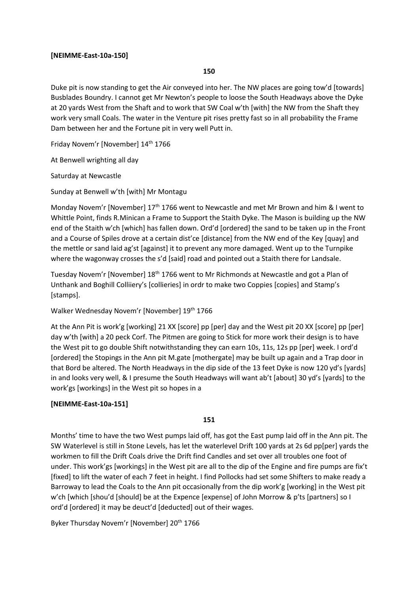### **[NEIMME-East-10a-150]**

### **150**

Duke pit is now standing to get the Air conveyed into her. The NW places are going tow'd [towards] Busblades Boundry. I cannot get Mr Newton's people to loose the South Headways above the Dyke at 20 yards West from the Shaft and to work that SW Coal w'th [with] the NW from the Shaft they work very small Coals. The water in the Venture pit rises pretty fast so in all probability the Frame Dam between her and the Fortune pit in very well Putt in.

Friday Novem'r [November] 14th 1766

At Benwell wrighting all day

Saturday at Newcastle

Sunday at Benwell w'th [with] Mr Montagu

Monday Novem'r [November] 17<sup>th</sup> 1766 went to Newcastle and met Mr Brown and him & I went to Whittle Point, finds R.Minican a Frame to Support the Staith Dyke. The Mason is building up the NW end of the Staith w'ch [which] has fallen down. Ord'd [ordered] the sand to be taken up in the Front and a Course of Spiles drove at a certain dist'ce [distance] from the NW end of the Key [quay] and the mettle or sand laid ag'st [against] it to prevent any more damaged. Went up to the Turnpike where the wagonway crosses the s'd [said] road and pointed out a Staith there for Landsale.

Tuesday Novem'r [November]  $18<sup>th</sup> 1766$  went to Mr Richmonds at Newcastle and got a Plan of Unthank and Boghill Colliiery's [collieries] in ordr to make two Coppies [copies] and Stamp's [stamps].

Walker Wednesday Novem'r [November] 19th 1766

At the Ann Pit is work'g [working] 21 XX [score] pp [per] day and the West pit 20 XX [score] pp [per] day w'th [with] a 20 peck Corf. The Pitmen are going to Stick for more work their design is to have the West pit to go double Shift notwithstanding they can earn 10s, 11s, 12s pp [per] week. I ord'd [ordered] the Stopings in the Ann pit M.gate [mothergate] may be built up again and a Trap door in that Bord be altered. The North Headways in the dip side of the 13 feet Dyke is now 120 yd's [yards] in and looks very well, & I presume the South Headways will want ab't [about] 30 yd's [yards] to the work'gs [workings] in the West pit so hopes in a

### **[NEIMME-East-10a-151]**

**151**

Months' time to have the two West pumps laid off, has got the East pump laid off in the Ann pit. The SW Waterlevel is still in Stone Levels, has let the waterlevel Drift 100 yards at 2s 6d pp[per] yards the workmen to fill the Drift Coals drive the Drift find Candles and set over all troubles one foot of under. This work'gs [workings] in the West pit are all to the dip of the Engine and fire pumps are fix't [fixed] to lift the water of each 7 feet in height. I find Pollocks had set some Shifters to make ready a Barroway to lead the Coals to the Ann pit occasionally from the dip work'g [working] in the West pit w'ch [which [shou'd [should] be at the Expence [expense] of John Morrow & p'ts [partners] so I ord'd [ordered] it may be deuct'd [deducted] out of their wages.

Byker Thursday Novem'r [November] 20<sup>th</sup> 1766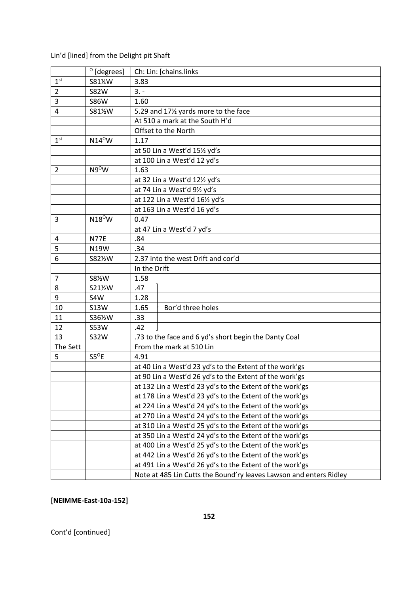## Lin'd [lined] from the Delight pit Shaft

|                 | $^{\circ}$ [degrees] |                                                          | Ch: Lin: [chains.links                                             |  |  |  |  |
|-----------------|----------------------|----------------------------------------------------------|--------------------------------------------------------------------|--|--|--|--|
| 1 <sup>st</sup> | S81%W                | 3.83                                                     |                                                                    |  |  |  |  |
| $\overline{2}$  | <b>S82W</b>          | $3. -$                                                   |                                                                    |  |  |  |  |
| 3               | <b>S86W</b>          | 1.60                                                     |                                                                    |  |  |  |  |
| 4               | S811/2W              | 5.29 and 171/2 yards more to the face                    |                                                                    |  |  |  |  |
|                 |                      |                                                          | At 510 a mark at the South H'd                                     |  |  |  |  |
|                 |                      | Offset to the North                                      |                                                                    |  |  |  |  |
| 1 <sup>st</sup> | $N14^{\circ}$ W      | 1.17                                                     |                                                                    |  |  |  |  |
|                 |                      |                                                          | at 50 Lin a West'd 151/2 yd's                                      |  |  |  |  |
|                 |                      | at 100 Lin a West'd 12 yd's                              |                                                                    |  |  |  |  |
| $\overline{2}$  | $N9^{\circ}$ W       | 1.63                                                     |                                                                    |  |  |  |  |
|                 |                      |                                                          | at 32 Lin a West'd 121/2 yd's                                      |  |  |  |  |
|                 |                      |                                                          | at 74 Lin a West'd 91/2 yd's                                       |  |  |  |  |
|                 |                      |                                                          | at 122 Lin a West'd 161/2 yd's                                     |  |  |  |  |
|                 |                      |                                                          | at 163 Lin a West'd 16 yd's                                        |  |  |  |  |
| 3               | $N18^{\circ}$ W      | 0.47                                                     |                                                                    |  |  |  |  |
|                 |                      |                                                          | at 47 Lin a West'd 7 yd's                                          |  |  |  |  |
| 4               | <b>N77E</b>          | .84                                                      |                                                                    |  |  |  |  |
| 5               | N19W                 | .34                                                      |                                                                    |  |  |  |  |
| 6               | S821/2W              |                                                          | 2.37 into the west Drift and cor'd                                 |  |  |  |  |
|                 |                      |                                                          | In the Drift                                                       |  |  |  |  |
| 7               | S81/2W               | 1.58                                                     |                                                                    |  |  |  |  |
| 8               | S211/2W              | .47                                                      |                                                                    |  |  |  |  |
| 9               | S4W                  | 1.28                                                     |                                                                    |  |  |  |  |
| 10              | <b>S13W</b>          | 1.65                                                     | Bor'd three holes                                                  |  |  |  |  |
| 11              | S361%W               | .33                                                      |                                                                    |  |  |  |  |
| 12              | <b>S53W</b>          | .42                                                      |                                                                    |  |  |  |  |
| 13              | <b>S32W</b>          |                                                          | .73 to the face and 6 yd's short begin the Danty Coal              |  |  |  |  |
| The Sett        |                      |                                                          | From the mark at 510 Lin                                           |  |  |  |  |
| 5               | $S5^{\circ}E$        | 4.91                                                     |                                                                    |  |  |  |  |
|                 |                      |                                                          | at 40 Lin a West'd 23 yd's to the Extent of the work'gs            |  |  |  |  |
|                 |                      |                                                          | at 90 Lin a West'd 26 yd's to the Extent of the work'gs            |  |  |  |  |
|                 |                      |                                                          | at 132 Lin a West'd 23 yd's to the Extent of the work'gs           |  |  |  |  |
|                 |                      | at 178 Lin a West'd 23 yd's to the Extent of the work'gs |                                                                    |  |  |  |  |
|                 |                      | at 224 Lin a West'd 24 yd's to the Extent of the work'gs |                                                                    |  |  |  |  |
|                 |                      | at 270 Lin a West'd 24 yd's to the Extent of the work'gs |                                                                    |  |  |  |  |
|                 |                      | at 310 Lin a West'd 25 yd's to the Extent of the work'gs |                                                                    |  |  |  |  |
|                 |                      | at 350 Lin a West'd 24 yd's to the Extent of the work'gs |                                                                    |  |  |  |  |
|                 |                      |                                                          | at 400 Lin a West'd 25 yd's to the Extent of the work'gs           |  |  |  |  |
|                 |                      |                                                          | at 442 Lin a West'd 26 yd's to the Extent of the work'gs           |  |  |  |  |
|                 |                      | at 491 Lin a West'd 26 yd's to the Extent of the work'gs |                                                                    |  |  |  |  |
|                 |                      |                                                          | Note at 485 Lin Cutts the Bound'ry leaves Lawson and enters Ridley |  |  |  |  |

# **[NEIMME-East-10a-152]**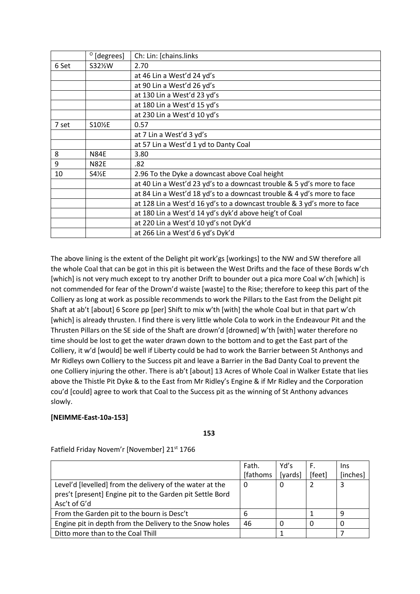|       | $^{\circ}$ [degrees] | Ch: Lin: [chains.links                                                  |
|-------|----------------------|-------------------------------------------------------------------------|
| 6 Set | S32 <sup>%</sup> W   | 2.70                                                                    |
|       |                      | at 46 Lin a West'd 24 yd's                                              |
|       |                      | at 90 Lin a West'd 26 yd's                                              |
|       |                      | at 130 Lin a West'd 23 yd's                                             |
|       |                      | at 180 Lin a West'd 15 yd's                                             |
|       |                      | at 230 Lin a West'd 10 yd's                                             |
| 7 set | S10 <sup>%E</sup>    | 0.57                                                                    |
|       |                      | at 7 Lin a West'd 3 yd's                                                |
|       |                      | at 57 Lin a West'd 1 yd to Danty Coal                                   |
| 8     | <b>N84E</b>          | 3.80                                                                    |
| 9     | <b>N82E</b>          | .82                                                                     |
| 10    | S41/ <sub>2</sub> E  | 2.96 To the Dyke a downcast above Coal height                           |
|       |                      | at 40 Lin a West'd 23 yd's to a downcast trouble & 5 yd's more to face  |
|       |                      | at 84 Lin a West'd 18 yd's to a downcast trouble & 4 yd's more to face  |
|       |                      | at 128 Lin a West'd 16 yd's to a downcast trouble & 3 yd's more to face |
|       |                      | at 180 Lin a West'd 14 yd's dyk'd above heig't of Coal                  |
|       |                      | at 220 Lin a West'd 10 yd's not Dyk'd                                   |
|       |                      | at 266 Lin a West'd 6 yd's Dyk'd                                        |

The above lining is the extent of the Delight pit work'gs [workings] to the NW and SW therefore all the whole Coal that can be got in this pit is between the West Drifts and the face of these Bords w'ch [which] is not very much except to try another Drift to bounder out a pica more Coal w'ch [which] is not commended for fear of the Drown'd waiste [waste] to the Rise; therefore to keep this part of the Colliery as long at work as possible recommends to work the Pillars to the East from the Delight pit Shaft at ab't [about] 6 Score pp [per] Shift to mix w'th [with] the whole Coal but in that part w'ch [which] is already thrusten. I find there is very little whole Cola to work in the Endeavour Pit and the Thrusten Pillars on the SE side of the Shaft are drown'd [drowned] w'th [with] water therefore no time should be lost to get the water drawn down to the bottom and to get the East part of the Colliery, it w'd [would] be well if Liberty could be had to work the Barrier between St Anthonys and Mr Ridleys own Colliery to the Success pit and leave a Barrier in the Bad Danty Coal to prevent the one Colliery injuring the other. There is ab't [about] 13 Acres of Whole Coal in Walker Estate that lies above the Thistle Pit Dyke & to the East from Mr Ridley's Engine & if Mr Ridley and the Corporation cou'd [could] agree to work that Coal to the Success pit as the winning of St Anthony advances slowly.

## **[NEIMME-East-10a-153]**

**153**

|                                                           | Fath.     | Yd's    | F.     | Ins      |
|-----------------------------------------------------------|-----------|---------|--------|----------|
|                                                           | [fathoms] | [yards] | [feet] | [inches] |
| Level'd [levelled] from the delivery of the water at the  | 0         | 0       |        |          |
| pres't [present] Engine pit to the Garden pit Settle Bord |           |         |        |          |
| Asc't of G'd                                              |           |         |        |          |
| From the Garden pit to the bourn is Desc't                | 6         |         |        | q        |
| Engine pit in depth from the Delivery to the Snow holes   | 46        | 0       |        | 0        |
| Ditto more than to the Coal Thill                         |           |         |        |          |

Fatfield Friday Novem'r [November] 21<sup>st</sup> 1766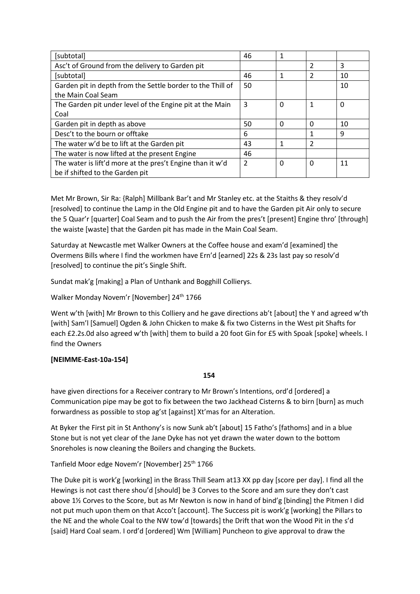| [subtotal]                                                 | 46             | 1        |   |    |
|------------------------------------------------------------|----------------|----------|---|----|
| Asc't of Ground from the delivery to Garden pit            |                |          | 2 | 3  |
| [subtotal]                                                 | 46             | 1        | 2 | 10 |
| Garden pit in depth from the Settle border to the Thill of | 50             |          |   | 10 |
| the Main Coal Seam                                         |                |          |   |    |
| The Garden pit under level of the Engine pit at the Main   | 3              | 0        | 1 | 0  |
| Coal                                                       |                |          |   |    |
| Garden pit in depth as above                               | 50             | 0        | 0 | 10 |
| Desc't to the bourn or offtake                             | 6              |          | 1 | 9  |
| The water w'd be to lift at the Garden pit                 | 43             | 1        | 2 |    |
| The water is now lifted at the present Engine              | 46             |          |   |    |
| The water is lift'd more at the pres't Engine than it w'd  | $\overline{2}$ | $\Omega$ | 0 | 11 |
| be if shifted to the Garden pit                            |                |          |   |    |

Met Mr Brown, Sir Ra: {Ralph] Millbank Bar't and Mr Stanley etc. at the Staiths & they resolv'd [resolved] to continue the Lamp in the Old Engine pit and to have the Garden pit Air only to secure the 5 Quar'r [quarter] Coal Seam and to push the Air from the pres't [present] Engine thro' [through] the waiste [waste] that the Garden pit has made in the Main Coal Seam.

Saturday at Newcastle met Walker Owners at the Coffee house and exam'd [examined] the Overmens Bills where I find the workmen have Ern'd [earned] 22s & 23s last pay so resolv'd [resolved] to continue the pit's Single Shift.

Sundat mak'g [making] a Plan of Unthank and Bogghill Collierys.

Walker Monday Novem'r [November] 24<sup>th</sup> 1766

Went w'th [with] Mr Brown to this Colliery and he gave directions ab't [about] the Y and agreed w'th [with] Sam'l [Samuel] Ogden & John Chicken to make & fix two Cisterns in the West pit Shafts for each £2.2s.0d also agreed w'th [with] them to build a 20 foot Gin for £5 with Spoak [spoke] wheels. I find the Owners

## **[NEIMME-East-10a-154]**

**154**

have given directions for a Receiver contrary to Mr Brown's Intentions, ord'd [ordered] a Communication pipe may be got to fix between the two Jackhead Cisterns & to birn [burn] as much forwardness as possible to stop ag'st [against] Xt'mas for an Alteration.

At Byker the First pit in St Anthony's is now Sunk ab't [about] 15 Fatho's [fathoms] and in a blue Stone but is not yet clear of the Jane Dyke has not yet drawn the water down to the bottom Snoreholes is now cleaning the Boilers and changing the Buckets.

Tanfield Moor edge Novem'r [November] 25<sup>th</sup> 1766

The Duke pit is work'g [working] in the Brass Thill Seam at13 XX pp day [score per day]. I find all the Hewings is not cast there shou'd [should] be 3 Corves to the Score and am sure they don't cast above 1½ Corves to the Score, but as Mr Newton is now in hand of bind'g [binding] the Pitmen I did not put much upon them on that Acco't [account]. The Success pit is work'g [working] the Pillars to the NE and the whole Coal to the NW tow'd [towards] the Drift that won the Wood Pit in the s'd [said] Hard Coal seam. I ord'd [ordered] Wm [William] Puncheon to give approval to draw the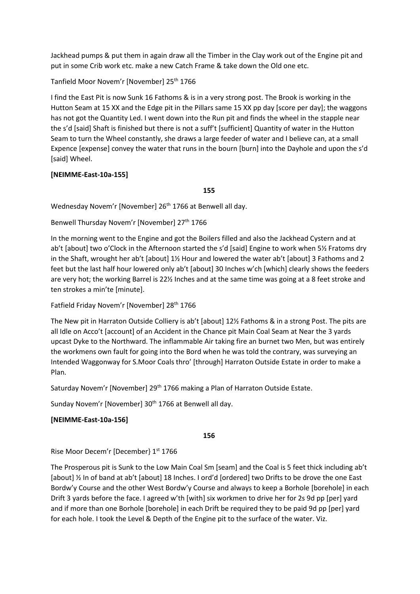Jackhead pumps & put them in again draw all the Timber in the Clay work out of the Engine pit and put in some Crib work etc. make a new Catch Frame & take down the Old one etc.

Tanfield Moor Novem'r [November] 25th 1766

I find the East Pit is now Sunk 16 Fathoms & is in a very strong post. The Brook is working in the Hutton Seam at 15 XX and the Edge pit in the Pillars same 15 XX pp day [score per day]; the waggons has not got the Quantity Led. I went down into the Run pit and finds the wheel in the stapple near the s'd [said] Shaft is finished but there is not a suff't [sufficient] Quantity of water in the Hutton Seam to turn the Wheel constantly, she draws a large feeder of water and I believe can, at a small Expence [expense] convey the water that runs in the bourn [burn] into the Dayhole and upon the s'd [said] Wheel.

## **[NEIMME-East-10a-155]**

**155**

Wednesday Novem'r [November] 26<sup>th</sup> 1766 at Benwell all day.

Benwell Thursday Novem'r [November] 27<sup>th</sup> 1766

In the morning went to the Engine and got the Boilers filled and also the Jackhead Cystern and at ab't [about] two o'Clock in the Afternoon started the s'd [said] Engine to work when 5½ Fratoms dry in the Shaft, wrought her ab't [about] 1½ Hour and lowered the water ab't [about] 3 Fathoms and 2 feet but the last half hour lowered only ab't [about] 30 Inches w'ch [which] clearly shows the feeders are very hot; the working Barrel is 22½ Inches and at the same time was going at a 8 feet stroke and ten strokes a min'te [minute].

Fatfield Friday Novem'r [November] 28<sup>th</sup> 1766

The New pit in Harraton Outside Colliery is ab't [about] 12½ Fathoms & in a strong Post. The pits are all Idle on Acco't [account] of an Accident in the Chance pit Main Coal Seam at Near the 3 yards upcast Dyke to the Northward. The inflammable Air taking fire an burnet two Men, but was entirely the workmens own fault for going into the Bord when he was told the contrary, was surveying an Intended Waggonway for S.Moor Coals thro' [through] Harraton Outside Estate in order to make a Plan.

Saturday Novem'r [November] 29<sup>th</sup> 1766 making a Plan of Harraton Outside Estate.

Sunday Novem'r [November] 30<sup>th</sup> 1766 at Benwell all day.

## **[NEIMME-East-10a-156]**

**156**

Rise Moor Decem'r [December] 1<sup>st</sup> 1766

The Prosperous pit is Sunk to the Low Main Coal Sm [seam] and the Coal is 5 feet thick including ab't [about] ½ In of band at ab't [about] 18 Inches. I ord'd [ordered] two Drifts to be drove the one East Bordw'y Course and the other West Bordw'y Course and always to keep a Borhole [borehole] in each Drift 3 yards before the face. I agreed w'th [with] six workmen to drive her for 2s 9d pp [per] yard and if more than one Borhole [borehole] in each Drift be required they to be paid 9d pp [per] yard for each hole. I took the Level & Depth of the Engine pit to the surface of the water. Viz.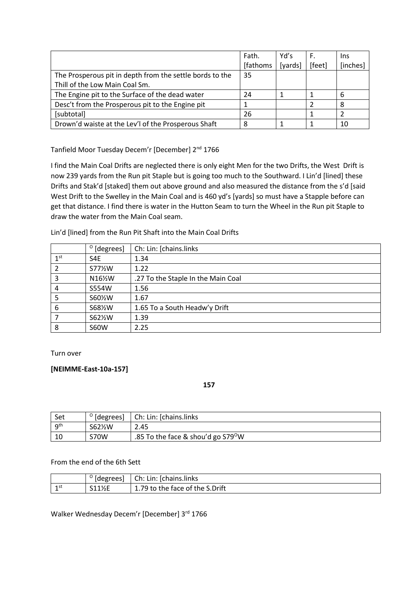|                                                          | Fath.     | Yd's    | F.     | Ins      |
|----------------------------------------------------------|-----------|---------|--------|----------|
|                                                          | [fathoms] | [yards] | [feet] | [inches] |
| The Prosperous pit in depth from the settle bords to the | 35        |         |        |          |
| Thill of the Low Main Coal Sm.                           |           |         |        |          |
| The Engine pit to the Surface of the dead water          | 24        |         |        | 6        |
| Desc't from the Prosperous pit to the Engine pit         |           |         |        | 8        |
| [subtotal]                                               | 26        |         |        |          |
| Drown'd waiste at the Lev'l of the Prosperous Shaft      | 8         |         |        | 10       |

Tanfield Moor Tuesday Decem'r [December] 2<sup>nd</sup> 1766

I find the Main Coal Drifts are neglected there is only eight Men for the two Drifts, the West Drift is now 239 yards from the Run pit Staple but is going too much to the Southward. I Lin'd [lined] these Drifts and Stak'd [staked] them out above ground and also measured the distance from the s'd [said West Drift to the Swelley in the Main Coal and is 460 yd's [yards] so must have a Stapple before can get that distance. I find there is water in the Hutton Seam to turn the Wheel in the Run pit Staple to draw the water from the Main Coal seam.

Lin'd [lined] from the Run Pit Shaft into the Main Coal Drifts

|                 | $^{\circ}$ [degrees] | Ch: Lin: [chains.links             |
|-----------------|----------------------|------------------------------------|
| 1 <sup>st</sup> | S4E                  | 1.34                               |
| 2               | S77%W                | 1.22                               |
| 3               | N16½W                | .27 To the Staple In the Main Coal |
| 4               | S554W                | 1.56                               |
| 5               | S60%W                | 1.67                               |
| 6               | S68%W                | 1.65 To a South Headw'y Drift      |
|                 | S62½W                | 1.39                               |
| 8               | <b>S60W</b>          | 2.25                               |

Turn over

**[NEIMME-East-10a-157]**

**157**

| Set      | $^{\circ}$ [degrees] | Ch: Lin: [chains.links]                        |
|----------|----------------------|------------------------------------------------|
| $q^{th}$ | S62½W                | 2.45                                           |
| 10       | S70W                 | .85 To the face & shou'd go S79 <sup>0</sup> W |

From the end of the 6th Sett

|           | [degrees]                       | Ch:<br>-Ichains.links<br>Lin:  |
|-----------|---------------------------------|--------------------------------|
| 1 st<br>- | S1114F<br>L 172 L<br><u>. .</u> | .79 to the face of the S.Drift |

Walker Wednesday Decem'r [December] 3rd 1766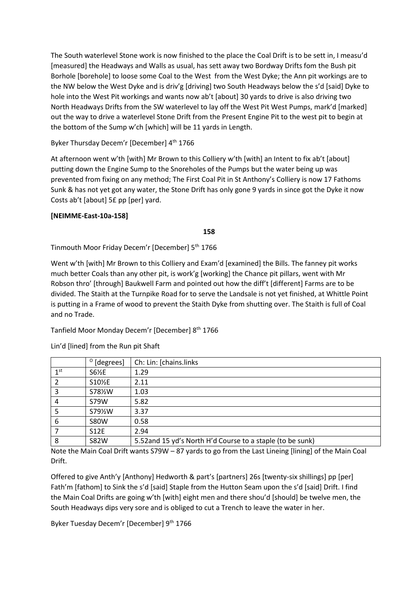The South waterlevel Stone work is now finished to the place the Coal Drift is to be sett in, I measu'd [measured] the Headways and Walls as usual, has sett away two Bordway Drifts fom the Bush pit Borhole [borehole] to loose some Coal to the West from the West Dyke; the Ann pit workings are to the NW below the West Dyke and is driv'g [driving] two South Headways below the s'd [said] Dyke to hole into the West Pit workings and wants now ab't [about] 30 yards to drive is also driving two North Headways Drifts from the SW waterlevel to lay off the West Pit West Pumps, mark'd [marked] out the way to drive a waterlevel Stone Drift from the Present Engine Pit to the west pit to begin at the bottom of the Sump w'ch [which] will be 11 yards in Length.

## Byker Thursday Decem'r [December] 4<sup>th</sup> 1766

At afternoon went w'th [with] Mr Brown to this Colliery w'th [with] an Intent to fix ab't [about] putting down the Engine Sump to the Snoreholes of the Pumps but the water being up was prevented from fixing on any method; The First Coal Pit in St Anthony's Colliery is now 17 Fathoms Sunk & has not yet got any water, the Stone Drift has only gone 9 yards in since got the Dyke it now Costs ab't [about] 5£ pp [per] yard.

## **[NEIMME-East-10a-158]**

**158**

Tinmouth Moor Friday Decem'r [December] 5th 1766

Went w'th [with] Mr Brown to this Colliery and Exam'd [examined] the Bills. The fanney pit works much better Coals than any other pit, is work'g [working] the Chance pit pillars, went with Mr Robson thro' [through] Baukwell Farm and pointed out how the diff't [different] Farms are to be divided. The Staith at the Turnpike Road for to serve the Landsale is not yet finished, at Whittle Point is putting in a Frame of wood to prevent the Staith Dyke from shutting over. The Staith is full of Coal and no Trade.

Tanfield Moor Monday Decem'r [December] 8th 1766

|                 | $^{\circ}$ [degrees] | Ch: Lin: [chains.links                                    |
|-----------------|----------------------|-----------------------------------------------------------|
| 1 <sup>st</sup> | S6½E                 | 1.29                                                      |
|                 | S10 <sup>%E</sup>    | 2.11                                                      |
| 3               | S78½W                | 1.03                                                      |
| 4               | S79W                 | 5.82                                                      |
|                 | S79½W                | 3.37                                                      |
| 6               | <b>S80W</b>          | 0.58                                                      |
|                 | <b>S12E</b>          | 2.94                                                      |
| 8               | <b>S82W</b>          | 5.52and 15 yd's North H'd Course to a staple (to be sunk) |

Lin'd [lined] from the Run pit Shaft

Note the Main Coal Drift wants S79W – 87 yards to go from the Last Lineing [lining] of the Main Coal Drift.

Offered to give Anth'y [Anthony] Hedworth & part's [partners] 26s [twenty-six shillings] pp [per] Fath'm [fathom] to Sink the s'd [said] Staple from the Hutton Seam upon the s'd [said] Drift. I find the Main Coal Drifts are going w'th [with] eight men and there shou'd [should] be twelve men, the South Headways dips very sore and is obliged to cut a Trench to leave the water in her.

Byker Tuesday Decem'r [December] 9<sup>th</sup> 1766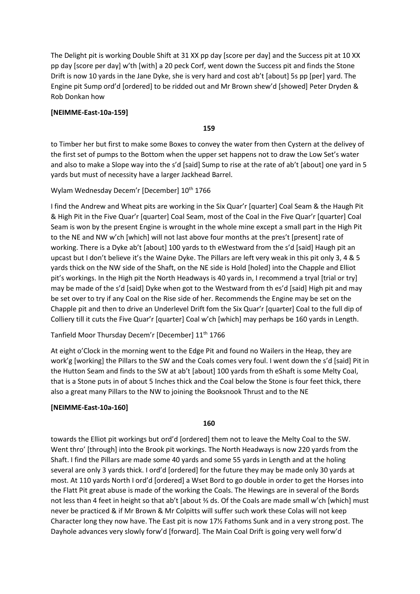The Delight pit is working Double Shift at 31 XX pp day [score per day] and the Success pit at 10 XX pp day [score per day] w'th [with] a 20 peck Corf, went down the Success pit and finds the Stone Drift is now 10 yards in the Jane Dyke, she is very hard and cost ab't [about] 5s pp [per] yard. The Engine pit Sump ord'd [ordered] to be ridded out and Mr Brown shew'd [showed] Peter Dryden & Rob Donkan how

### **[NEIMME-East-10a-159]**

**159**

to Timber her but first to make some Boxes to convey the water from then Cystern at the delivey of the first set of pumps to the Bottom when the upper set happens not to draw the Low Set's water and also to make a Slope way into the s'd [said] Sump to rise at the rate of ab't [about] one yard in 5 yards but must of necessity have a larger Jackhead Barrel.

Wylam Wednesday Decem'r [December] 10<sup>th</sup> 1766

I find the Andrew and Wheat pits are working in the Six Quar'r [quarter] Coal Seam & the Haugh Pit & High Pit in the Five Quar'r [quarter] Coal Seam, most of the Coal in the Five Quar'r [quarter] Coal Seam is won by the present Engine is wrought in the whole mine except a small part in the High Pit to the NE and NW w'ch [which] will not last above four months at the pres't [present] rate of working. There is a Dyke ab't [about] 100 yards to th eWestward from the s'd [said] Haugh pit an upcast but I don't believe it's the Waine Dyke. The Pillars are left very weak in this pit only 3, 4 & 5 yards thick on the NW side of the Shaft, on the NE side is Hold [holed] into the Chapple and Elliot pit's workings. In the High pit the North Headways is 40 yards in, I recommend a tryal [trial or try] may be made of the s'd [said] Dyke when got to the Westward from th es'd [said] High pit and may be set over to try if any Coal on the Rise side of her. Recommends the Engine may be set on the Chapple pit and then to drive an Underlevel Drift fom the Six Quar'r [quarter] Coal to the full dip of Colliery till it cuts the Five Quar'r [quarter] Coal w'ch [which] may perhaps be 160 yards in Length.

Tanfield Moor Thursday Decem'r [December] 11<sup>th</sup> 1766

At eight o'Clock in the morning went to the Edge Pit and found no Wailers in the Heap, they are work'g [working] the Pillars to the SW and the Coals comes very foul. I went down the s'd [said] Pit in the Hutton Seam and finds to the SW at ab't [about] 100 yards from th eShaft is some Melty Coal, that is a Stone puts in of about 5 Inches thick and the Coal below the Stone is four feet thick, there also a great many Pillars to the NW to joining the Booksnook Thrust and to the NE

## **[NEIMME-East-10a-160]**

**160**

towards the Elliot pit workings but ord'd [ordered] them not to leave the Melty Coal to the SW. Went thro' [through] into the Brook pit workings. The North Headways is now 220 yards from the Shaft. I find the Pillars are made some 40 yards and some 55 yards in Length and at the holing several are only 3 yards thick. I ord'd [ordered] for the future they may be made only 30 yards at most. At 110 yards North I ord'd [ordered] a Wset Bord to go double in order to get the Horses into the Flatt Pit great abuse is made of the working the Coals. The Hewings are in several of the Bords not less than 4 feet in height so that ab't [about ⅔ ds. Of the Coals are made small w'ch [which] must never be practiced & if Mr Brown & Mr Colpitts will suffer such work these Colas will not keep Character long they now have. The East pit is now 17½ Fathoms Sunk and in a very strong post. The Dayhole advances very slowly forw'd [forward]. The Main Coal Drift is going very well forw'd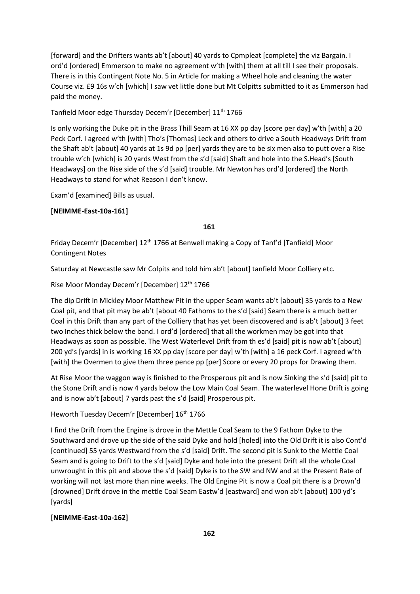[forward] and the Drifters wants ab't [about] 40 yards to Cpmpleat [complete] the viz Bargain. I ord'd [ordered] Emmerson to make no agreement w'th [with] them at all till I see their proposals. There is in this Contingent Note No. 5 in Article for making a Wheel hole and cleaning the water Course viz. £9 16s w'ch [which] I saw vet little done but Mt Colpitts submitted to it as Emmerson had paid the money.

Tanfield Moor edge Thursday Decem'r [December] 11<sup>th</sup> 1766

Is only working the Duke pit in the Brass Thill Seam at 16 XX pp day [score per day] w'th [with] a 20 Peck Corf. I agreed w'th [with] Tho's [Thomas] Leck and others to drive a South Headways Drift from the Shaft ab't [about] 40 yards at 1s 9d pp [per] yards they are to be six men also to putt over a Rise trouble w'ch [which] is 20 yards West from the s'd [said] Shaft and hole into the S.Head's [South Headways] on the Rise side of the s'd [said] trouble. Mr Newton has ord'd [ordered] the North Headways to stand for what Reason I don't know.

Exam'd [examined] Bills as usual.

### **[NEIMME-East-10a-161]**

**161**

Friday Decem'r [December] 12<sup>th</sup> 1766 at Benwell making a Copy of Tanf'd [Tanfield] Moor Contingent Notes

Saturday at Newcastle saw Mr Colpits and told him ab't [about] tanfield Moor Colliery etc.

Rise Moor Monday Decem'r [December] 12<sup>th</sup> 1766

The dip Drift in Mickley Moor Matthew Pit in the upper Seam wants ab't [about] 35 yards to a New Coal pit, and that pit may be ab't [about 40 Fathoms to the s'd [said] Seam there is a much better Coal in this Drift than any part of the Colliery that has yet been discovered and is ab't [about] 3 feet two Inches thick below the band. I ord'd [ordered] that all the workmen may be got into that Headways as soon as possible. The West Waterlevel Drift from th es'd [said] pit is now ab't [about] 200 yd's [yards] in is working 16 XX pp day [score per day] w'th [with] a 16 peck Corf. I agreed w'th [with] the Overmen to give them three pence pp [per] Score or every 20 props for Drawing them.

At Rise Moor the waggon way is finished to the Prosperous pit and is now Sinking the s'd [said] pit to the Stone Drift and is now 4 yards below the Low Main Coal Seam. The waterlevel Hone Drift is going and is now ab't [about] 7 yards past the s'd [said] Prosperous pit.

Heworth Tuesday Decem'r [December] 16<sup>th</sup> 1766

I find the Drift from the Engine is drove in the Mettle Coal Seam to the 9 Fathom Dyke to the Southward and drove up the side of the said Dyke and hold [holed] into the Old Drift it is also Cont'd [continued] 55 yards Westward from the s'd [said] Drift. The second pit is Sunk to the Mettle Coal Seam and is going to Drift to the s'd [said] Dyke and hole into the present Drift all the whole Coal unwrought in this pit and above the s'd [said] Dyke is to the SW and NW and at the Present Rate of working will not last more than nine weeks. The Old Engine Pit is now a Coal pit there is a Drown'd [drowned] Drift drove in the mettle Coal Seam Eastw'd [eastward] and won ab't [about] 100 yd's [yards]

### **[NEIMME-East-10a-162]**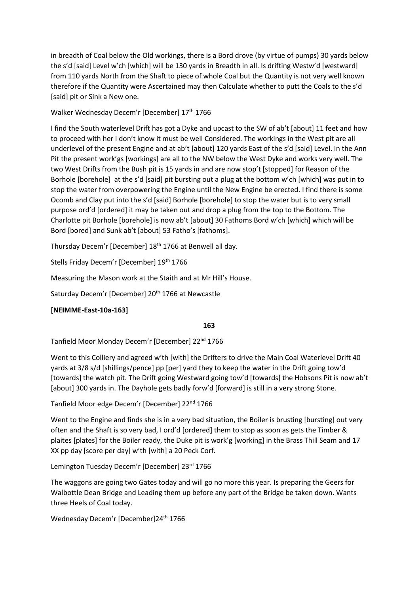in breadth of Coal below the Old workings, there is a Bord drove (by virtue of pumps) 30 yards below the s'd [said] Level w'ch [which] will be 130 yards in Breadth in all. Is drifting Westw'd [westward] from 110 yards North from the Shaft to piece of whole Coal but the Quantity is not very well known therefore if the Quantity were Ascertained may then Calculate whether to putt the Coals to the s'd [said] pit or Sink a New one.

Walker Wednesday Decem'r [December] 17<sup>th</sup> 1766

I find the South waterlevel Drift has got a Dyke and upcast to the SW of ab't [about] 11 feet and how to proceed with her I don't know it must be well Considered. The workings in the West pit are all underlevel of the present Engine and at ab't [about] 120 yards East of the s'd [said] Level. In the Ann Pit the present work'gs [workings] are all to the NW below the West Dyke and works very well. The two West Drifts from the Bush pit is 15 yards in and are now stop't [stopped] for Reason of the Borhole [borehole] at the s'd [said] pit bursting out a plug at the bottom w'ch [which] was put in to stop the water from overpowering the Engine until the New Engine be erected. I find there is some Ocomb and Clay put into the s'd [said] Borhole [borehole] to stop the water but is to very small purpose ord'd [ordered] it may be taken out and drop a plug from the top to the Bottom. The Charlotte pit Borhole [borehole] is now ab't [about] 30 Fathoms Bord w'ch [which] which will be Bord [bored] and Sunk ab't [about] 53 Fatho's [fathoms].

Thursday Decem'r [December] 18th 1766 at Benwell all day.

Stells Friday Decem'r [December] 19<sup>th</sup> 1766

Measuring the Mason work at the Staith and at Mr Hill's House.

Saturday Decem'r [December] 20<sup>th</sup> 1766 at Newcastle

**[NEIMME-East-10a-163]**

## **163**

Tanfield Moor Monday Decem'r [December] 22<sup>nd</sup> 1766

Went to this Colliery and agreed w'th [with] the Drifters to drive the Main Coal Waterlevel Drift 40 yards at 3/8 s/d [shillings/pence] pp [per] yard they to keep the water in the Drift going tow'd [towards] the watch pit. The Drift going Westward going tow'd [towards] the Hobsons Pit is now ab't [about] 300 yards in. The Dayhole gets badly forw'd [forward] is still in a very strong Stone.

Tanfield Moor edge Decem'r [December] 22<sup>nd</sup> 1766

Went to the Engine and finds she is in a very bad situation, the Boiler is brusting [bursting] out very often and the Shaft is so very bad, I ord'd [ordered] them to stop as soon as gets the Timber & plaites [plates] for the Boiler ready, the Duke pit is work'g [working] in the Brass Thill Seam and 17 XX pp day [score per day] w'th [with] a 20 Peck Corf.

Lemington Tuesday Decem'r [December] 23rd 1766

The waggons are going two Gates today and will go no more this year. Is preparing the Geers for Walbottle Dean Bridge and Leading them up before any part of the Bridge be taken down. Wants three Heels of Coal today.

Wednesday Decem'r [December]24<sup>th</sup> 1766